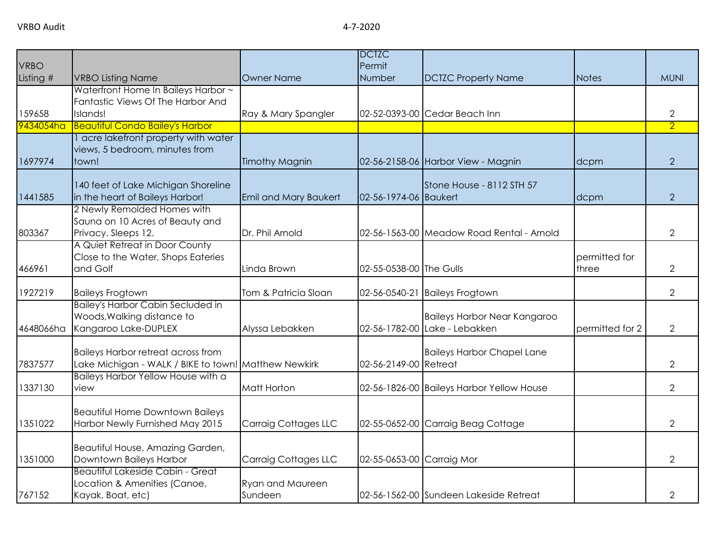|             |                                                                                                   |                       | <b>DCTZC</b>              |                                           |                 |                |
|-------------|---------------------------------------------------------------------------------------------------|-----------------------|---------------------------|-------------------------------------------|-----------------|----------------|
| <b>VRBO</b> |                                                                                                   |                       | Permit                    |                                           |                 |                |
| Listing #   | <b>VRBO Listing Name</b>                                                                          | <b>Owner Name</b>     | Number                    | <b>DCTZC Property Name</b>                | Notes           | <b>MUNI</b>    |
|             | Waterfront Home In Baileys Harbor ~                                                               |                       |                           |                                           |                 |                |
| 159658      | Fantastic Views Of The Harbor And<br>Islands!                                                     | Ray & Mary Spangler   |                           | 02-52-0393-00 Cedar Beach Inn             |                 | $\overline{2}$ |
| 9434054ha   | <b>Beautiful Condo Bailey's Harbor</b>                                                            |                       |                           |                                           |                 | $\overline{2}$ |
|             | acre lakefront property with water                                                                |                       |                           |                                           |                 |                |
|             | views, 5 bedroom, minutes from                                                                    |                       |                           |                                           |                 |                |
| 1697974     | town!                                                                                             | <b>Timothy Magnin</b> |                           | 02-56-2158-06 Harbor View - Magnin        | dcpm            | $\overline{2}$ |
|             |                                                                                                   |                       |                           |                                           |                 |                |
|             | 140 feet of Lake Michigan Shoreline                                                               |                       |                           | Stone House - 8112 STH 57                 |                 |                |
| 1441585     | in the heart of Baileys Harbor!                                                                   | Emil and Mary Baukert | 02-56-1974-06 Baukert     |                                           | dcpm            | $\overline{2}$ |
|             | 2 Newly Remolded Homes with                                                                       |                       |                           |                                           |                 |                |
|             | Sauna on 10 Acres of Beauty and                                                                   |                       |                           |                                           |                 |                |
| 803367      | Privacy. Sleeps 12.                                                                               | Dr. Phil Arnold       |                           | 02-56-1563-00 Meadow Road Rental - Arnold |                 | $\overline{2}$ |
|             | A Quiet Retreat in Door County                                                                    |                       |                           |                                           |                 |                |
|             | Close to the Water, Shops Eateries<br>and Golf                                                    |                       | 02-55-0538-00 The Gulls   |                                           | permitted for   |                |
| 466961      |                                                                                                   | Linda Brown           |                           |                                           | three           | $\overline{2}$ |
| 1927219     | <b>Baileys Frogtown</b>                                                                           | Tom & Patricia Sloan  |                           | 02-56-0540-21 Baileys Frogtown            |                 | $\overline{2}$ |
|             | <b>Bailey's Harbor Cabin Secluded in</b>                                                          |                       |                           |                                           |                 |                |
|             | Woods, Walking distance to                                                                        |                       |                           | <b>Baileys Harbor Near Kangaroo</b>       |                 |                |
| 4648066ha   | Kangaroo Lake-DUPLEX                                                                              | Alyssa Lebakken       |                           | 02-56-1782-00 Lake - Lebakken             | permitted for 2 | $\overline{2}$ |
|             |                                                                                                   |                       |                           |                                           |                 |                |
| 7837577     | <b>Baileys Harbor retreat across from</b><br>Lake Michigan - WALK / BIKE to town! Matthew Newkirk |                       | 02-56-2149-00 Retreat     | <b>Baileys Harbor Chapel Lane</b>         |                 | $\overline{2}$ |
|             | Baileys Harbor Yellow House with a                                                                |                       |                           |                                           |                 |                |
| 1337130     | view                                                                                              | <b>Matt Horton</b>    |                           | 02-56-1826-00 Baileys Harbor Yellow House |                 | $\overline{2}$ |
|             |                                                                                                   |                       |                           |                                           |                 |                |
|             | <b>Beautiful Home Downtown Baileys</b>                                                            |                       |                           |                                           |                 |                |
| 1351022     | Harbor Newly Furnished May 2015                                                                   | Carraig Cottages LLC  |                           | 02-55-0652-00 Carraig Beag Cottage        |                 | $\overline{2}$ |
|             |                                                                                                   |                       |                           |                                           |                 |                |
|             | Beautiful House, Amazing Garden,                                                                  |                       |                           |                                           |                 |                |
| 1351000     | Downtown Baileys Harbor                                                                           | Carraig Cottages LLC  | 02-55-0653-00 Carraig Mor |                                           |                 | $\overline{2}$ |
|             | <b>Beautiful Lakeside Cabin - Great</b>                                                           |                       |                           |                                           |                 |                |
|             | Location & Amenities (Canoe,                                                                      | Ryan and Maureen      |                           |                                           |                 |                |
| 767152      | Kayak, Boat, etc)                                                                                 | Sundeen               |                           | 02-56-1562-00 Sundeen Lakeside Retreat    |                 | $\overline{2}$ |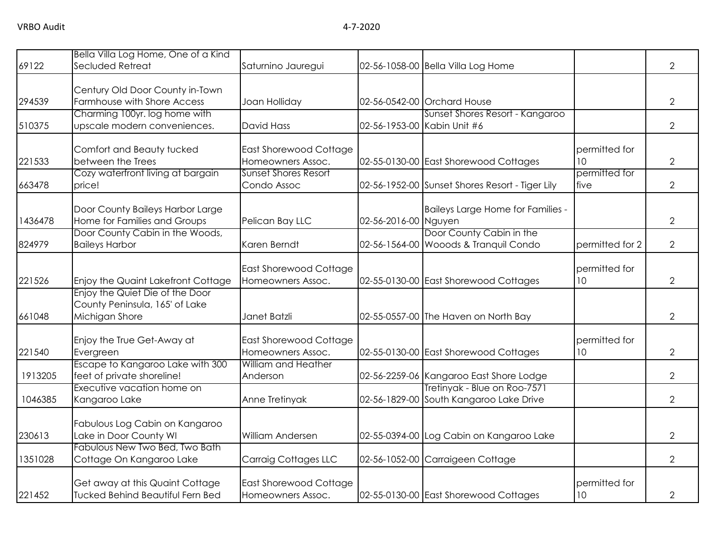|         | Bella Villa Log Home, One of a Kind                                                 |                                                    |                      |                                                                         |                                  |                |
|---------|-------------------------------------------------------------------------------------|----------------------------------------------------|----------------------|-------------------------------------------------------------------------|----------------------------------|----------------|
| 69122   | Secluded Retreat                                                                    | Saturnino Jauregui                                 |                      | 02-56-1058-00 Bella Villa Log Home                                      |                                  | $\overline{2}$ |
| 294539  | Century Old Door County in-Town<br>Farmhouse with Shore Access                      | Joan Holliday                                      |                      | 02-56-0542-00 Orchard House                                             |                                  | $\overline{2}$ |
| 510375  | Charming 100yr. log home with<br>upscale modern conveniences.                       | <b>David Hass</b>                                  |                      | Sunset Shores Resort - Kangaroo<br>02-56-1953-00 Kabin Unit #6          |                                  | $\overline{2}$ |
| 221533  | Comfort and Beauty tucked<br>between the Trees                                      | <b>East Shorewood Cottage</b><br>Homeowners Assoc. |                      | 02-55-0130-00 East Shorewood Cottages                                   | permitted for<br>10              | $\mathbf{2}$   |
| 663478  | Cozy waterfront living at bargain<br>price!                                         | <b>Sunset Shores Resort</b><br>Condo Assoc         |                      | 02-56-1952-00 Sunset Shores Resort - Tiger Lily                         | permitted for<br>five            | $\overline{2}$ |
| 1436478 | Door County Baileys Harbor Large<br>Home for Families and Groups                    | Pelican Bay LLC                                    | 02-56-2016-00 Nguyen | Baileys Large Home for Families -                                       |                                  | $\overline{2}$ |
| 824979  | Door County Cabin in the Woods,<br><b>Baileys Harbor</b>                            | Karen Berndt                                       |                      | Door County Cabin in the<br>02-56-1564-00 Wooods & Tranquil Condo       | permitted for 2                  | $\overline{2}$ |
| 221526  | Enjoy the Quaint Lakefront Cottage                                                  | <b>East Shorewood Cottage</b><br>Homeowners Assoc. |                      | 02-55-0130-00 East Shorewood Cottages                                   | permitted for<br>10 <sup>°</sup> | $\overline{2}$ |
| 661048  | Enjoy the Quiet Die of the Door<br>County Peninsula, 165' of Lake<br>Michigan Shore | Janet Batzli                                       |                      | 02-55-0557-00 The Haven on North Bay                                    |                                  | $\overline{2}$ |
| 221540  | Enjoy the True Get-Away at<br>Evergreen                                             | <b>East Shorewood Cottage</b><br>Homeowners Assoc. |                      | 02-55-0130-00 East Shorewood Cottages                                   | permitted for<br>10              | $\overline{2}$ |
| 1913205 | Escape to Kangaroo Lake with 300<br>feet of private shoreline!                      | William and Heather<br>Anderson                    |                      | 02-56-2259-06 Kangaroo East Shore Lodge                                 |                                  | $\overline{2}$ |
| 1046385 | Executive vacation home on<br>Kangaroo Lake                                         | Anne Tretinyak                                     |                      | Tretinyak - Blue on Roo-7571<br>02-56-1829-00 South Kangaroo Lake Drive |                                  | 2              |
| 230613  | Fabulous Log Cabin on Kangaroo<br>Lake in Door County WI                            | William Andersen                                   |                      | 02-55-0394-00 Log Cabin on Kangaroo Lake                                |                                  | $\overline{2}$ |
| 1351028 | Fabulous New Two Bed, Two Bath<br>Cottage On Kangaroo Lake                          | Carraig Cottages LLC                               |                      | 02-56-1052-00 Carraigeen Cottage                                        |                                  | $\overline{2}$ |
| 221452  | Get away at this Quaint Cottage<br><b>Tucked Behind Beautiful Fern Bed</b>          | <b>East Shorewood Cottage</b><br>Homeowners Assoc. |                      | 02-55-0130-00 East Shorewood Cottages                                   | permitted for<br>10 <sup>°</sup> | 2              |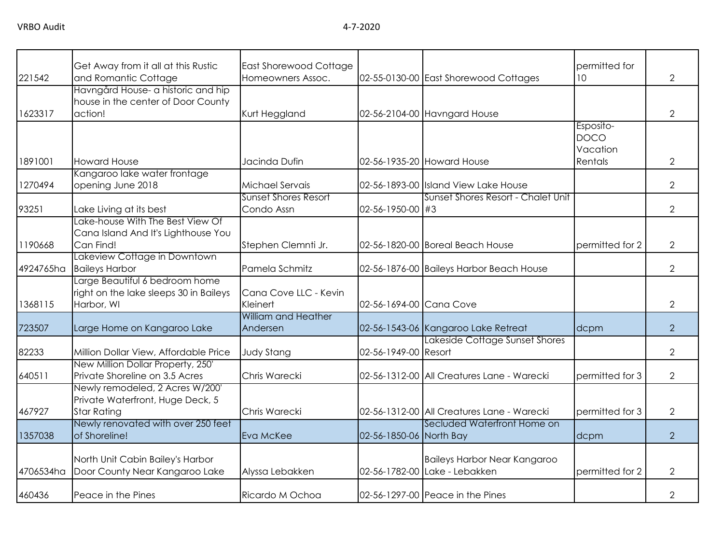| 221542    | Get Away from it all at this Rustic<br>and Romantic Cottage                         | <b>East Shorewood Cottage</b><br>Homeowners Assoc. |                         | 02-55-0130-00 East Shorewood Cottages      | permitted for<br>10 <sup>°</sup>     | $\overline{2}$ |
|-----------|-------------------------------------------------------------------------------------|----------------------------------------------------|-------------------------|--------------------------------------------|--------------------------------------|----------------|
| 1623317   | Havngård House- a historic and hip<br>house in the center of Door County<br>action! | Kurt Heggland                                      |                         | 02-56-2104-00 Havngard House               |                                      | $\overline{2}$ |
|           |                                                                                     |                                                    |                         |                                            |                                      |                |
|           |                                                                                     |                                                    |                         |                                            | Esposito-<br><b>DOCO</b><br>Vacation |                |
| 1891001   | <b>Howard House</b>                                                                 | Jacinda Dufin                                      |                         | 02-56-1935-20 Howard House                 | Rentals                              | $\overline{2}$ |
|           | Kangaroo lake water frontage                                                        |                                                    |                         |                                            |                                      |                |
| 1270494   | opening June 2018                                                                   | Michael Servais                                    |                         | 02-56-1893-00 Island View Lake House       |                                      | $\overline{2}$ |
|           |                                                                                     | <b>Sunset Shores Resort</b>                        |                         | Sunset Shores Resort - Chalet Unit         |                                      |                |
| 93251     | Lake Living at its best                                                             | Condo Assn                                         | 02-56-1950-00 #3        |                                            |                                      | $\overline{2}$ |
|           | Lake-house With The Best View Of<br>Cana Island And It's Lighthouse You             |                                                    |                         |                                            |                                      |                |
| 1190668   | Can Find!                                                                           | Stephen Clemnti Jr.                                |                         | 02-56-1820-00 Boreal Beach House           | permitted for 2                      | $\overline{2}$ |
| 4924765ha | Lakeview Cottage in Downtown                                                        | Pamela Schmitz                                     |                         |                                            |                                      | $\overline{2}$ |
|           | <b>Baileys Harbor</b><br>Large Beautiful 6 bedroom home                             |                                                    |                         | 02-56-1876-00 Baileys Harbor Beach House   |                                      |                |
|           | right on the lake sleeps 30 in Baileys                                              | Cana Cove LLC - Kevin                              |                         |                                            |                                      |                |
| 1368115   | Harbor, WI                                                                          | Kleinert                                           | 02-56-1694-00 Cana Cove |                                            |                                      | $\overline{2}$ |
|           |                                                                                     | <b>William and Heather</b>                         |                         |                                            |                                      |                |
| 723507    | Large Home on Kangaroo Lake                                                         | Andersen                                           |                         | 02-56-1543-06 Kangaroo Lake Retreat        | dcpm                                 | $\overline{2}$ |
|           |                                                                                     |                                                    |                         | Lakeside Cottage Sunset Shores             |                                      |                |
| 82233     | Million Dollar View, Affordable Price                                               | <b>Judy Stang</b>                                  | 02-56-1949-00 Resort    |                                            |                                      | $\overline{2}$ |
|           | New Million Dollar Property, 250'                                                   |                                                    |                         |                                            |                                      |                |
| 640511    | Private Shoreline on 3.5 Acres                                                      | Chris Warecki                                      |                         | 02-56-1312-00 All Creatures Lane - Warecki | permitted for 3                      | $\overline{2}$ |
|           | Newly remodeled, 2 Acres W/200'                                                     |                                                    |                         |                                            |                                      |                |
|           | Private Waterfront, Huge Deck, 5                                                    |                                                    |                         |                                            |                                      |                |
| 467927    | <b>Star Rating</b>                                                                  | Chris Warecki                                      |                         | 02-56-1312-00 All Creatures Lane - Warecki | permitted for 3                      | $\overline{2}$ |
| 1357038   | Newly renovated with over 250 feet<br>of Shoreline!                                 | Eva McKee                                          | 02-56-1850-06 North Bay | Secluded Waterfront Home on                | dcpm                                 | $\overline{2}$ |
|           |                                                                                     |                                                    |                         |                                            |                                      |                |
|           | North Unit Cabin Bailey's Harbor                                                    |                                                    |                         | <b>Baileys Harbor Near Kangaroo</b>        |                                      |                |
| 4706534ha | Door County Near Kangaroo Lake                                                      | Alyssa Lebakken                                    |                         | 02-56-1782-00 Lake - Lebakken              | permitted for 2                      | 2              |
| 460436    | Peace in the Pines                                                                  | Ricardo M Ochoa                                    |                         | 02-56-1297-00 Peace in the Pines           |                                      | $\overline{2}$ |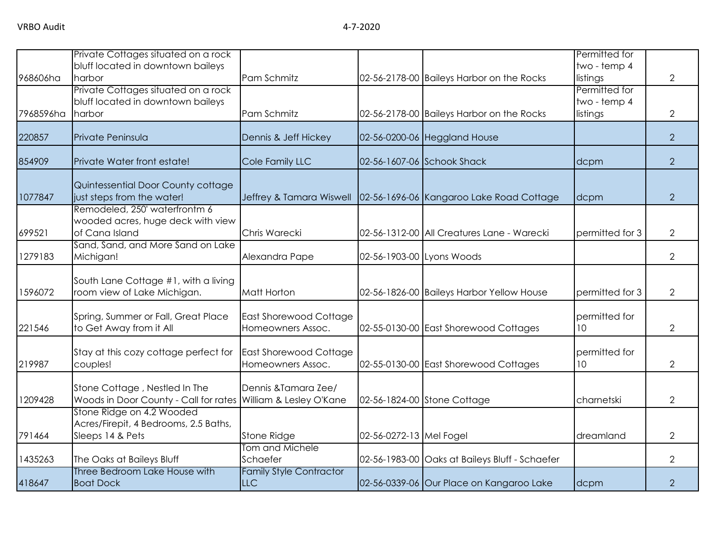|           | Private Cottages situated on a rock<br>bluff located in downtown baileys                       |                                                    |                         |                                                | Permitted for<br>two - temp 4             |                |
|-----------|------------------------------------------------------------------------------------------------|----------------------------------------------------|-------------------------|------------------------------------------------|-------------------------------------------|----------------|
| 968606ha  | harbor                                                                                         | Pam Schmitz                                        |                         | 02-56-2178-00 Baileys Harbor on the Rocks      | listings                                  | $\overline{2}$ |
| 7968596ha | Private Cottages situated on a rock<br>bluff located in downtown baileys<br>harbor             | Pam Schmitz                                        |                         | 02-56-2178-00 Baileys Harbor on the Rocks      | Permitted for<br>two - temp 4<br>listings | $\overline{2}$ |
| 220857    | Private Peninsula                                                                              | Dennis & Jeff Hickey                               |                         | 02-56-0200-06 Heggland House                   |                                           | $\overline{2}$ |
| 854909    | Private Water front estate!                                                                    | Cole Family LLC                                    |                         | 02-56-1607-06 Schook Shack                     | dcpm                                      | $\overline{2}$ |
| 1077847   | Quintessential Door County cottage<br>just steps from the water!                               | Jeffrey & Tamara Wiswell                           |                         | 02-56-1696-06 Kangaroo Lake Road Cottage       | dcpm                                      | $\overline{2}$ |
| 699521    | Remodeled, 250' waterfrontm 6<br>wooded acres, huge deck with view<br>of Cana Island           | Chris Warecki                                      |                         | 02-56-1312-00 All Creatures Lane - Warecki     | permitted for 3                           | $\overline{2}$ |
| 1279183   | Sand, Sand, and More Sand on Lake<br>Michigan!                                                 | Alexandra Pape                                     |                         | 02-56-1903-00 Lyons Woods                      |                                           | $\overline{2}$ |
| 1596072   | South Lane Cottage #1, with a living<br>room view of Lake Michigan.                            | Matt Horton                                        |                         | 02-56-1826-00 Baileys Harbor Yellow House      | permitted for 3                           | $\overline{2}$ |
| 221546    | Spring, Summer or Fall, Great Place<br>to Get Away from it All                                 | <b>East Shorewood Cottage</b><br>Homeowners Assoc. |                         | 02-55-0130-00 East Shorewood Cottages          | permitted for<br>10 <sup>°</sup>          | $\overline{2}$ |
| 219987    | Stay at this cozy cottage perfect for<br>couples!                                              | <b>East Shorewood Cottage</b><br>Homeowners Assoc. |                         | 02-55-0130-00 East Shorewood Cottages          | permitted for<br>10 <sup>°</sup>          | $\overline{2}$ |
| 1209428   | Stone Cottage, Nestled In The<br>Woods in Door County - Call for rates William & Lesley O'Kane | Dennis & Tamara Zee/                               |                         | 02-56-1824-00 Stone Cottage                    | charnetski                                | $\overline{2}$ |
| 791464    | Stone Ridge on 4.2 Wooded<br>Acres/Firepit, 4 Bedrooms, 2.5 Baths,<br>Sleeps 14 & Pets         | Stone Ridge                                        | 02-56-0272-13 Mel Fogel |                                                | dreamland                                 | $\overline{2}$ |
| 1435263   | The Oaks at Baileys Bluff                                                                      | Tom and Michele<br>Schaefer                        |                         | 02-56-1983-00 Oaks at Baileys Bluff - Schaefer |                                           | $\overline{2}$ |
| 418647    | Three Bedroom Lake House with<br><b>Boat Dock</b>                                              | <b>Family Style Contractor</b><br><b>LLC</b>       |                         | 02-56-0339-06 Our Place on Kangaroo Lake       | dcpm                                      | $\overline{2}$ |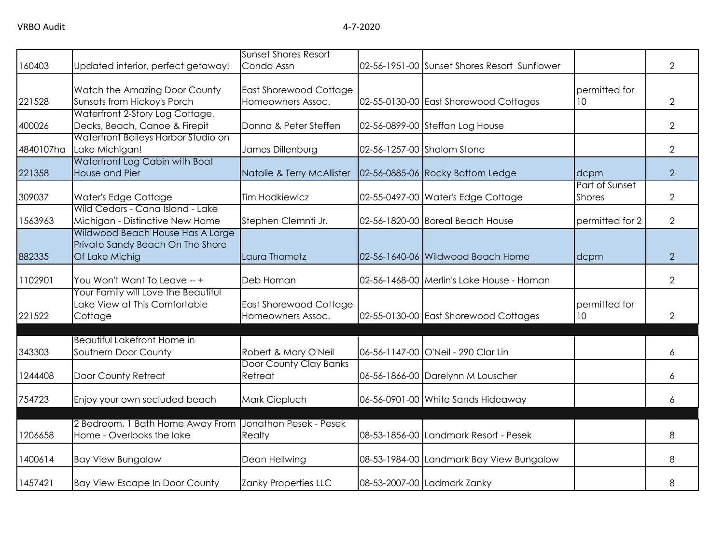| 160403    | Updated interior, perfect getaway!                                                     | <b>Sunset Shores Resort</b><br>Condo Assn          | 02-56-1951-00 Sunset Shores Resort Sunflower |                                 | $\overline{2}$ |
|-----------|----------------------------------------------------------------------------------------|----------------------------------------------------|----------------------------------------------|---------------------------------|----------------|
| 221528    | Watch the Amazing Door County<br>Sunsets from Hickoy's Porch                           | <b>East Shorewood Cottage</b><br>Homeowners Assoc. | 02-55-0130-00 East Shorewood Cottages        | permitted for<br>10             | 2              |
| 400026    | Waterfront 2-Story Log Cottage,<br>Decks, Beach, Canoe & Firepit                       | Donna & Peter Steffen                              | 02-56-0899-00 Steffan Log House              |                                 | $\overline{2}$ |
| 4840107ha | Waterfront Baileys Harbor Studio on<br>Lake Michigan!                                  | James Dillenburg                                   | 02-56-1257-00 Shalom Stone                   |                                 | $\mathbf{2}$   |
| 221358    | Waterfront Log Cabin with Boat<br>House and Pier                                       | Natalie & Terry McAllister                         | 02-56-0885-06 Rocky Bottom Ledge             | dcpm                            | $\overline{2}$ |
| 309037    | Water's Edge Cottage                                                                   | <b>Tim Hodkiewicz</b>                              | 02-55-0497-00 Water's Edge Cottage           | Part of Sunset<br><b>Shores</b> | $\overline{2}$ |
| 1563963   | Wild Cedars - Cana Island - Lake<br>Michigan - Distinctive New Home                    | Stephen Clemnti Jr.                                | 02-56-1820-00 Boreal Beach House             | permitted for 2                 | $\overline{2}$ |
| 882335    | Wildwood Beach House Has A Large<br>Private Sandy Beach On The Shore<br>Of Lake Michig | Laura Thometz                                      | 02-56-1640-06 Wildwood Beach Home            | dcpm                            | $\overline{2}$ |
| 1102901   | You Won't Want To Leave -- +                                                           | Deb Homan                                          | 02-56-1468-00 Merlin's Lake House - Homan    |                                 | $\overline{2}$ |
| 221522    | Your Family will Love the Beautiful<br>Lake View at This Comfortable<br>Cottage        | East Shorewood Cottage<br>Homeowners Assoc.        | 02-55-0130-00 East Shorewood Cottages        | permitted for<br>10             | $\overline{2}$ |
| 343303    | <b>Beautiful Lakefront Home in</b><br>Southern Door County                             | Robert & Mary O'Neil                               | 06-56-1147-00 O'Neil - 290 Clar Lin          |                                 | 6              |
| 1244408   | Door County Retreat                                                                    | Door County Clay Banks<br>Retreat                  | 06-56-1866-00 Darelynn M Louscher            |                                 | 6              |
| 754723    | Enjoy your own secluded beach                                                          | Mark Ciepluch                                      | 06-56-0901-00 White Sands Hideaway           |                                 | 6              |
| 1206658   | 2 Bedroom, 1 Bath Home Away From<br>Home - Overlooks the lake                          | Jonathon Pesek - Pesek<br>Realty                   | 08-53-1856-00 Landmark Resort - Pesek        |                                 | 8              |
| 1400614   | <b>Bay View Bungalow</b>                                                               | Dean Hellwing                                      | 08-53-1984-00 Landmark Bay View Bungalow     |                                 | 8              |
| 1457421   | <b>Bay View Escape In Door County</b>                                                  | Zanky Properties LLC                               | 08-53-2007-00 Ladmark Zanky                  |                                 | 8              |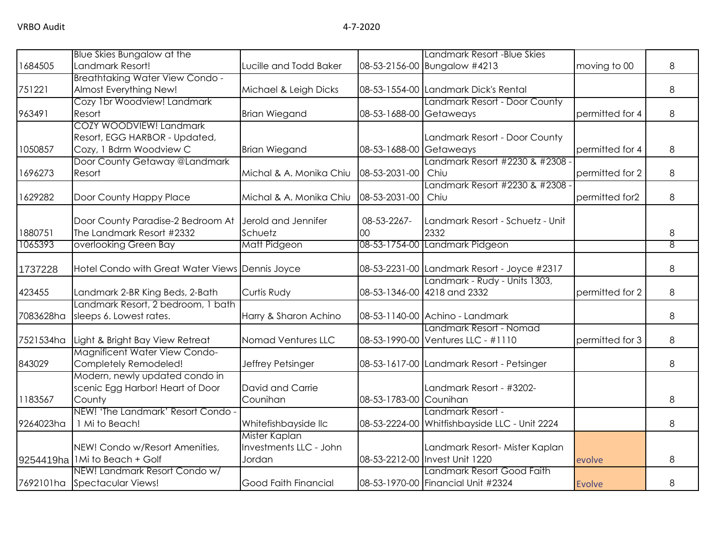|           | Blue Skies Bungalow at the                            |                                       |                         | Landmark Resort - Blue Skies                                     |                 |   |
|-----------|-------------------------------------------------------|---------------------------------------|-------------------------|------------------------------------------------------------------|-----------------|---|
| 1684505   | Landmark Resort!                                      | Lucille and Todd Baker                |                         | 08-53-2156-00 Bungalow #4213                                     | moving to 00    | 8 |
|           | <b>Breathtaking Water View Condo -</b>                |                                       |                         |                                                                  |                 |   |
| 751221    | Almost Everything New!                                | Michael & Leigh Dicks                 |                         | 08-53-1554-00 Landmark Dick's Rental                             |                 | 8 |
|           | Cozy 1br Woodview! Landmark                           |                                       |                         | Landmark Resort - Door County                                    |                 |   |
| 963491    | Resort                                                | <b>Brian Wiegand</b>                  | 08-53-1688-00 Getaweays |                                                                  | permitted for 4 | 8 |
|           | COZY WOODVIEW! Landmark                               |                                       |                         |                                                                  |                 |   |
|           | Resort, EGG HARBOR - Updated,                         |                                       |                         | Landmark Resort - Door County                                    |                 |   |
| 1050857   | Cozy, 1 Bdrm Woodview C                               | <b>Brian Wiegand</b>                  | 08-53-1688-00 Getaweays |                                                                  | permitted for 4 | 8 |
|           | Door County Getaway @Landmark                         |                                       |                         | Landmark Resort #2230 & #2308 -                                  |                 |   |
| 1696273   | Resort                                                | Michal & A. Monika Chiu               | 08-53-2031-00           | Chiu                                                             | permitted for 2 | 8 |
|           |                                                       |                                       |                         | Landmark Resort #2230 & #2308 -                                  |                 |   |
| 1629282   | Door County Happy Place                               | Michal & A. Monika Chiu               | 08-53-2031-00           | Chiu                                                             | permitted for2  | 8 |
|           |                                                       |                                       |                         |                                                                  |                 |   |
|           | Door County Paradise-2 Bedroom At                     | Jerold and Jennifer                   | 08-53-2267-             | Landmark Resort - Schuetz - Unit                                 |                 |   |
| 1880751   | The Landmark Resort #2332                             | Schuetz                               | 00                      | 2332                                                             |                 | 8 |
| 1065393   | overlooking Green Bay                                 | Matt Pidgeon                          |                         | 08-53-1754-00 Landmark Pidgeon                                   |                 | 8 |
|           |                                                       |                                       |                         |                                                                  |                 |   |
| 1737228   | Hotel Condo with Great Water Views Dennis Joyce       |                                       |                         | 08-53-2231-00 Landmark Resort - Joyce #2317                      |                 | 8 |
|           |                                                       |                                       |                         | Landmark - Rudy - Units 1303,                                    |                 |   |
| 423455    | Landmark 2-BR King Beds, 2-Bath                       | Curtis Rudy                           |                         | 08-53-1346-00 4218 and 2332                                      | permitted for 2 | 8 |
|           | Landmark Resort, 2 bedroom, 1 bath                    |                                       |                         |                                                                  |                 |   |
| 7083628ha | sleeps 6. Lowest rates.                               | Harry & Sharon Achino                 |                         | 08-53-1140-00 Achino - Landmark                                  |                 | 8 |
|           |                                                       |                                       |                         | Landmark Resort - Nomad                                          |                 |   |
| 7521534ha | Light & Bright Bay View Retreat                       | Nomad Ventures LLC                    |                         | 08-53-1990-00 Ventures LLC - #1110                               | permitted for 3 | 8 |
|           | <b>Magnificent Water View Condo-</b>                  |                                       |                         |                                                                  |                 |   |
| 843029    | Completely Remodeled!                                 | Jeffrey Petsinger                     |                         | 08-53-1617-00 Landmark Resort - Petsinger                        |                 | 8 |
|           | Modern, newly updated condo in                        |                                       |                         |                                                                  |                 |   |
|           | scenic Egg Harbor! Heart of Door                      | David and Carrie                      |                         | Landmark Resort - #3202-                                         |                 |   |
| 1183567   | County<br>NEW! 'The Landmark' Resort Condo -          | Counihan                              | 08-53-1783-00 Counihan  | Landmark Resort -                                                |                 | 8 |
| 9264023ha | 1 Mi to Beach!                                        |                                       |                         |                                                                  |                 |   |
|           |                                                       | Whitefishbayside IIc<br>Mister Kaplan |                         | 08-53-2224-00 Whitfishbayside LLC - Unit 2224                    |                 | 8 |
|           |                                                       | Investments LLC - John                |                         |                                                                  |                 |   |
|           | NEW! Condo w/Resort Amenities,<br>1Mi to Beach + Golf | Jordan                                |                         | Landmark Resort- Mister Kaplan<br>08-53-2212-00 Invest Unit 1220 |                 | 8 |
| 9254419ha | NEW! Landmark Resort Condo w/                         |                                       |                         | Landmark Resort Good Faith                                       | evolve          |   |
| 7692101ha | Spectacular Views!                                    | Good Faith Financial                  |                         | 08-53-1970-00 Financial Unit #2324                               | <b>Evolve</b>   | 8 |
|           |                                                       |                                       |                         |                                                                  |                 |   |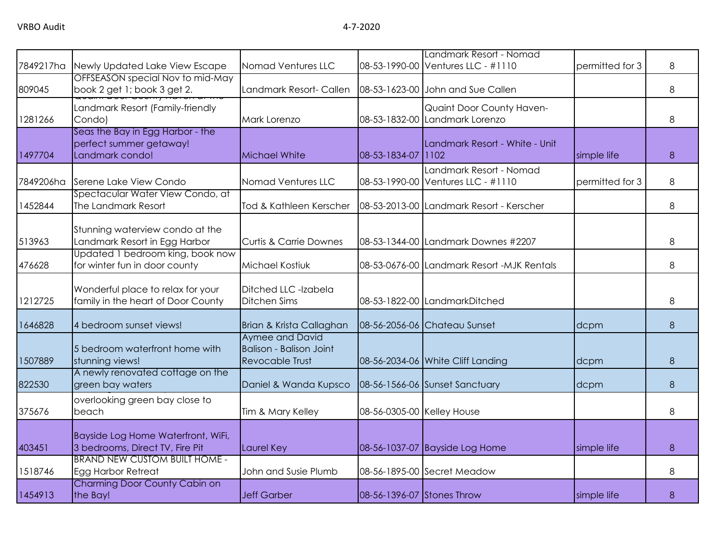| 7849217ha | Newly Updated Lake View Escape                                                 | Nomad Ventures LLC                                                          |                            | Landmark Resort - Nomad<br>08-53-1990-00 Ventures LLC - #1110 | permitted for 3 | 8 |
|-----------|--------------------------------------------------------------------------------|-----------------------------------------------------------------------------|----------------------------|---------------------------------------------------------------|-----------------|---|
| 809045    | OFFSEASON special Nov to mid-May<br>book 2 get 1; book 3 get 2.                | Landmark Resort- Callen                                                     |                            | 08-53-1623-00 John and Sue Callen                             |                 | 8 |
| 1281266   | Landmark Resort (Family-friendly<br>Condo)                                     | Mark Lorenzo                                                                |                            | Quaint Door County Haven-<br>08-53-1832-00 Landmark Lorenzo   |                 | 8 |
| 1497704   | Seas the Bay in Egg Harbor - the<br>perfect summer getaway!<br>Landmark condo! | Michael White                                                               | 08-53-1834-07 1102         | Landmark Resort - White - Unit                                | simple life     | 8 |
| 7849206ha | Serene Lake View Condo                                                         | Nomad Ventures LLC                                                          |                            | Landmark Resort - Nomad<br>08-53-1990-00 Ventures LLC - #1110 | permitted for 3 | 8 |
| 1452844   | Spectacular Water View Condo, at<br>The Landmark Resort                        | Tod & Kathleen Kerscher                                                     |                            | 08-53-2013-00 Landmark Resort - Kerscher                      |                 | 8 |
| 513963    | Stunning waterview condo at the<br>Landmark Resort in Egg Harbor               | <b>Curtis &amp; Carrie Downes</b>                                           |                            | 08-53-1344-00 Landmark Downes #2207                           |                 | 8 |
| 476628    | Updated 1 bedroom king, book now<br>for winter fun in door county              | <b>Michael Kostiuk</b>                                                      |                            | 08-53-0676-00 Landmark Resort -MJK Rentals                    |                 | 8 |
| 1212725   | Wonderful place to relax for your<br>family in the heart of Door County        | Ditched LLC -Izabela<br>Ditchen Sims                                        |                            | 08-53-1822-00 LandmarkDitched                                 |                 | 8 |
| 1646828   | 4 bedroom sunset views!                                                        | Brian & Krista Callaghan                                                    |                            | 08-56-2056-06 Chateau Sunset                                  | dcpm            | 8 |
| 1507889   | 5 bedroom waterfront home with<br>stunning views!                              | Aymee and David<br><b>Balison - Balison Joint</b><br><b>Revocable Trust</b> |                            | 08-56-2034-06 White Cliff Landing                             | dcpm            | 8 |
| 822530    | A newly renovated cottage on the<br>green bay waters                           | Daniel & Wanda Kupsco                                                       |                            | 08-56-1566-06 Sunset Sanctuary                                | dcpm            | 8 |
| 375676    | overlooking green bay close to<br>beach                                        | Tim & Mary Kelley                                                           | 08-56-0305-00 Kelley House |                                                               |                 | 8 |
| 403451    | Bayside Log Home Waterfront, WiFi,<br>3 bedrooms, Direct TV, Fire Pit          | Laurel Key                                                                  |                            | 08-56-1037-07 Bayside Log Home                                | simple life     | 8 |
| 1518746   | <b>BRAND NEW CUSTOM BUILT HOME -</b><br>Egg Harbor Retreat                     | John and Susie Plumb                                                        |                            | 08-56-1895-00 Secret Meadow                                   |                 | 8 |
| 1454913   | Charming Door County Cabin on<br>the Bay!                                      | <b>Jeff Garber</b>                                                          | 08-56-1396-07 Stones Throw |                                                               | simple life     | 8 |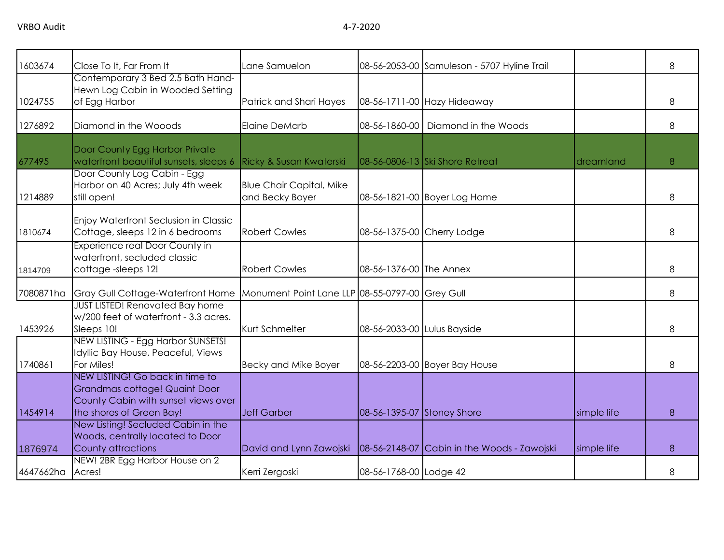| 1603674   | Close To It, Far From It                                                                                                            | Lane Samuelon                                      |                             | 08-56-2053-00 Samuleson - 5707 Hyline Trail |             | 8 |
|-----------|-------------------------------------------------------------------------------------------------------------------------------------|----------------------------------------------------|-----------------------------|---------------------------------------------|-------------|---|
| 1024755   | Contemporary 3 Bed 2.5 Bath Hand-<br>Hewn Log Cabin in Wooded Setting<br>of Egg Harbor                                              | Patrick and Shari Hayes                            |                             | 08-56-1711-00 Hazy Hideaway                 |             | 8 |
| 1276892   | Diamond in the Wooods                                                                                                               | Elaine DeMarb                                      | 08-56-1860-00               | Diamond in the Woods                        |             | 8 |
| 677495    | Door County Egg Harbor Private<br>waterfront beautiful sunsets, sleeps 6                                                            | <b>Ricky &amp; Susan Kwaterski</b>                 |                             | 08-56-0806-13 Ski Shore Retreat             | dreamland   | 8 |
| 1214889   | Door County Log Cabin - Egg<br>Harbor on 40 Acres; July 4th week<br>still open!                                                     | <b>Blue Chair Capital, Mike</b><br>and Becky Boyer |                             | 08-56-1821-00 Boyer Log Home                |             | 8 |
| 1810674   | Enjoy Waterfront Seclusion in Classic<br>Cottage, sleeps 12 in 6 bedrooms                                                           | <b>Robert Cowles</b>                               |                             | 08-56-1375-00 Cherry Lodge                  |             | 8 |
| 1814709   | Experience real Door County in<br>waterfront, secluded classic<br>cottage-sleeps 12!                                                | <b>Robert Cowles</b>                               | 08-56-1376-00 The Annex     |                                             |             | 8 |
| 7080871ha | Gray Gull Cottage-Waterfront Home                                                                                                   | Monument Point Lane LLP 08-55-0797-00 Grey Gull    |                             |                                             |             | 8 |
| 1453926   | <b>JUST LISTED! Renovated Bay home</b><br>w/200 feet of waterfront - 3.3 acres.<br>Sleeps 10!                                       | Kurt Schmelter                                     | 08-56-2033-00 Lulus Bayside |                                             |             | 8 |
| 1740861   | NEW LISTING - Egg Harbor SUNSETS!<br>Idyllic Bay House, Peaceful, Views<br>For Miles!                                               | <b>Becky and Mike Boyer</b>                        |                             | 08-56-2203-00 Boyer Bay House               |             | 8 |
| 1454914   | NEW LISTING! Go back in time to<br>Grandmas cottage! Quaint Door<br>County Cabin with sunset views over<br>the shores of Green Bay! | <b>Jeff Garber</b>                                 | 08-56-1395-07 Stoney Shore  |                                             | simple life | 8 |
| 1876974   | New Listing! Secluded Cabin in the<br>Woods, centrally located to Door<br>County attractions                                        | David and Lynn Zawojski                            |                             | 08-56-2148-07 Cabin in the Woods - Zawojski | simple life | 8 |
| 4647662ha | NEW! 2BR Egg Harbor House on 2<br>Acres!                                                                                            | Kerri Zergoski                                     | 08-56-1768-00 Lodge 42      |                                             |             | 8 |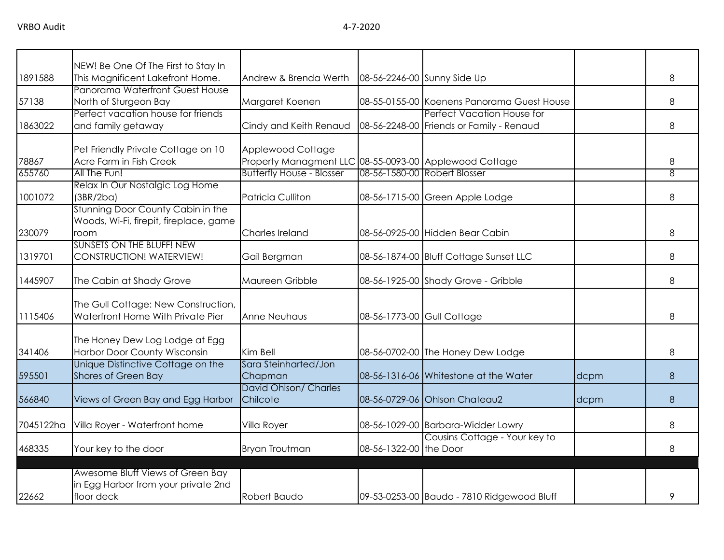|           | NEW! Be One Of The First to Stay In    |                                                        |                            |                                            |      |   |
|-----------|----------------------------------------|--------------------------------------------------------|----------------------------|--------------------------------------------|------|---|
| 1891588   | This Magnificent Lakefront Home.       | Andrew & Brenda Werth                                  |                            | 08-56-2246-00 Sunny Side Up                |      | 8 |
|           | Panorama Waterfront Guest House        |                                                        |                            |                                            |      |   |
| 57138     | North of Sturgeon Bay                  | Margaret Koenen                                        |                            | 08-55-0155-00 Koenens Panorama Guest House |      | 8 |
|           | Perfect vacation house for friends     |                                                        |                            | Perfect Vacation House for                 |      |   |
| 1863022   | and family getaway                     | Cindy and Keith Renaud                                 |                            | 08-56-2248-00 Friends or Family - Renaud   |      | 8 |
|           | Pet Friendly Private Cottage on 10     | Applewood Cottage                                      |                            |                                            |      |   |
| 78867     | Acre Farm in Fish Creek                | Property Managment LLC 08-55-0093-00 Applewood Cottage |                            |                                            |      | 8 |
| 655760    | All The Fun!                           | <b>Butterfly House - Blosser</b>                       |                            | 08-56-1580-00 Robert Blosser               |      | 8 |
|           | Relax In Our Nostalgic Log Home        |                                                        |                            |                                            |      |   |
| 1001072   | (3BR/2ba)                              | Patricia Culliton                                      |                            | 08-56-1715-00 Green Apple Lodge            |      | 8 |
|           | Stunning Door County Cabin in the      |                                                        |                            |                                            |      |   |
|           | Woods, Wi-Fi, firepit, fireplace, game |                                                        |                            |                                            |      |   |
| 230079    | room                                   | Charles Ireland                                        |                            | 08-56-0925-00 Hidden Bear Cabin            |      | 8 |
|           | <b>SUNSETS ON THE BLUFF! NEW</b>       |                                                        |                            |                                            |      |   |
| 1319701   | CONSTRUCTION! WATERVIEW!               | Gail Bergman                                           |                            | 08-56-1874-00 Bluff Cottage Sunset LLC     |      | 8 |
| 1445907   | The Cabin at Shady Grove               | Maureen Gribble                                        |                            | 08-56-1925-00 Shady Grove - Gribble        |      | 8 |
|           |                                        |                                                        |                            |                                            |      |   |
|           | The Gull Cottage: New Construction,    |                                                        |                            |                                            |      |   |
| 1115406   | Waterfront Home With Private Pier      | Anne Neuhaus                                           | 08-56-1773-00 Gull Cottage |                                            |      | 8 |
|           |                                        |                                                        |                            |                                            |      |   |
|           | The Honey Dew Log Lodge at Egg         |                                                        |                            |                                            |      |   |
| 341406    | <b>Harbor Door County Wisconsin</b>    | Kim Bell                                               |                            | 08-56-0702-00 The Honey Dew Lodge          |      | 8 |
|           | Unique Distinctive Cottage on the      | Sara Steinharted/Jon                                   |                            |                                            |      |   |
| 595501    | Shores of Green Bay                    | Chapman                                                |                            | 08-56-1316-06 Whitestone at the Water      | dcpm | 8 |
|           |                                        | David Ohlson/ Charles                                  |                            |                                            |      |   |
| 566840    | Views of Green Bay and Egg Harbor      | Chilcote                                               |                            | 08-56-0729-06 Ohlson Chateau2              | dcpm | 8 |
| 7045122ha | Villa Royer - Waterfront home          | Villa Royer                                            |                            | 08-56-1029-00 Barbara-Widder Lowry         |      | 8 |
|           |                                        |                                                        |                            | Cousins Cottage - Your key to              |      |   |
| 468335    | Your key to the door                   | <b>Bryan Troutman</b>                                  | 08-56-1322-00 the Door     |                                            |      | 8 |
|           |                                        |                                                        |                            |                                            |      |   |
|           | Awesome Bluff Views of Green Bay       |                                                        |                            |                                            |      |   |
|           | in Egg Harbor from your private 2nd    |                                                        |                            |                                            |      |   |
| 22662     | floor deck                             | Robert Baudo                                           |                            | 09-53-0253-00 Baudo - 7810 Ridgewood Bluff |      | 9 |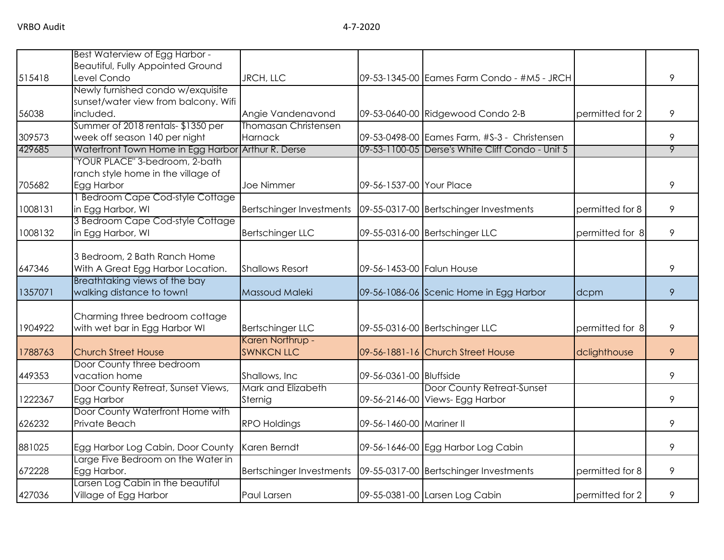|         | Best Waterview of Egg Harbor -                     |                             |                           |                                                                     |                 |   |
|---------|----------------------------------------------------|-----------------------------|---------------------------|---------------------------------------------------------------------|-----------------|---|
|         | <b>Beautiful, Fully Appointed Ground</b>           |                             |                           |                                                                     |                 |   |
| 515418  | Level Condo                                        | <b>JRCH, LLC</b>            |                           | 09-53-1345-00 Eames Farm Condo - #M5 - JRCH                         |                 | 9 |
|         | Newly furnished condo w/exquisite                  |                             |                           |                                                                     |                 |   |
|         | sunset/water view from balcony. Wifi               |                             |                           |                                                                     |                 |   |
| 56038   | included.                                          | Angie Vandenavond           |                           | 09-53-0640-00 Ridgewood Condo 2-B                                   | permitted for 2 | 9 |
|         | Summer of 2018 rentals-\$1350 per                  | <b>Thomasan Christensen</b> |                           |                                                                     |                 |   |
| 309573  | week off season 140 per night                      | <b>Harnack</b>              |                           | 09-53-0498-00 Eames Farm, #S-3 - Christensen                        |                 | 9 |
| 429685  | Waterfront Town Home in Egg Harbor Arthur R. Derse |                             |                           | 09-53-1100-05 Derse's White Cliff Condo - Unit 5                    |                 | 9 |
|         | YOUR PLACE" 3-bedroom, 2-bath                      |                             |                           |                                                                     |                 |   |
|         | ranch style home in the village of                 |                             |                           |                                                                     |                 |   |
| 705682  | Egg Harbor                                         | Joe Nimmer                  | 09-56-1537-00 Your Place  |                                                                     |                 | 9 |
|         | <b>Bedroom Cape Cod-style Cottage</b>              |                             |                           |                                                                     |                 |   |
| 1008131 | in Egg Harbor, WI                                  | Bertschinger Investments    |                           | 09-55-0317-00 Bertschinger Investments                              | permitted for 8 | 9 |
|         | 3 Bedroom Cape Cod-style Cottage                   |                             |                           |                                                                     |                 |   |
| 1008132 | in Egg Harbor, WI                                  | <b>Bertschinger LLC</b>     |                           | 09-55-0316-00 Bertschinger LLC                                      | permitted for 8 | 9 |
|         |                                                    |                             |                           |                                                                     |                 |   |
|         | 3 Bedroom, 2 Bath Ranch Home                       |                             |                           |                                                                     |                 |   |
| 647346  | With A Great Egg Harbor Location.                  | <b>Shallows Resort</b>      | 09-56-1453-00 Falun House |                                                                     |                 | 9 |
|         | Breathtaking views of the bay                      |                             |                           |                                                                     |                 |   |
| 1357071 | walking distance to town!                          | Massoud Maleki              |                           | 09-56-1086-06 Scenic Home in Egg Harbor                             | dcpm            | 9 |
|         |                                                    |                             |                           |                                                                     |                 |   |
|         | Charming three bedroom cottage                     |                             |                           |                                                                     |                 |   |
| 1904922 | with wet bar in Egg Harbor WI                      | <b>Bertschinger LLC</b>     |                           | 09-55-0316-00 Bertschinger LLC                                      | permitted for 8 | 9 |
|         |                                                    | Karen Northrup -            |                           |                                                                     |                 |   |
| 1788763 | <b>Church Street House</b>                         | <b>SWNKCN LLC</b>           |                           | 09-56-1881-16 Church Street House                                   | dclighthouse    | 9 |
|         | Door County three bedroom                          |                             |                           |                                                                     |                 |   |
| 449353  | vacation home                                      | Shallows, Inc.              | 09-56-0361-00 Bluffside   |                                                                     |                 | 9 |
|         | Door County Retreat, Sunset Views,                 | Mark and Elizabeth          |                           | Door County Retreat-Sunset                                          |                 |   |
| 1222367 | Egg Harbor                                         | Sternig                     |                           | 09-56-2146-00 Views- Egg Harbor                                     |                 | 9 |
|         | Door County Waterfront Home with                   |                             |                           |                                                                     |                 |   |
| 626232  | Private Beach                                      | <b>RPO Holdings</b>         | 09-56-1460-00 Mariner II  |                                                                     |                 | 9 |
| 881025  | Egg Harbor Log Cabin, Door County                  | Karen Berndt                |                           | 09-56-1646-00 Egg Harbor Log Cabin                                  |                 | 9 |
|         | Large Five Bedroom on the Water in                 |                             |                           |                                                                     |                 |   |
| 672228  | Egg Harbor.                                        |                             |                           | Bertschinger Investments   09-55-0317-00   Bertschinger Investments | permitted for 8 | 9 |
|         | Larsen Log Cabin in the beautiful                  |                             |                           |                                                                     |                 |   |
| 427036  | Village of Egg Harbor                              | Paul Larsen                 |                           | 09-55-0381-00 Larsen Log Cabin                                      | permitted for 2 | 9 |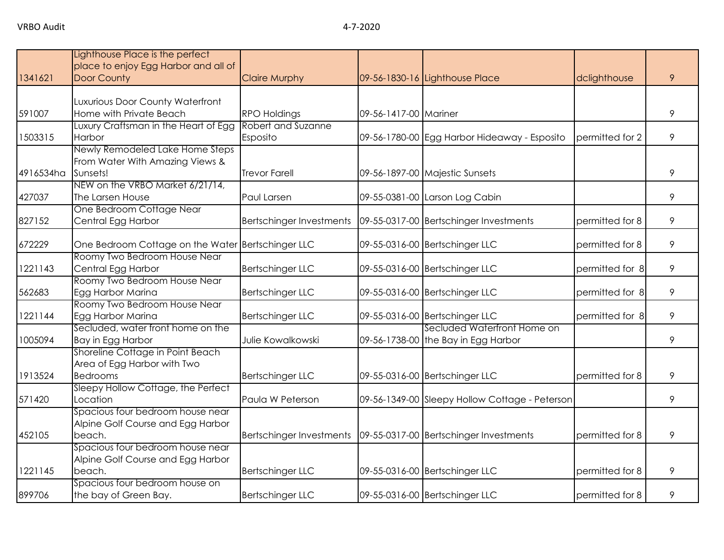|           | Lighthouse Place is the perfect      |                          |                       |                                                                     |                 |   |
|-----------|--------------------------------------|--------------------------|-----------------------|---------------------------------------------------------------------|-----------------|---|
|           | place to enjoy Egg Harbor and all of |                          |                       |                                                                     |                 |   |
| 1341621   | Door County                          | <b>Claire Murphy</b>     |                       | 09-56-1830-16 Lighthouse Place                                      | dclighthouse    | 9 |
|           |                                      |                          |                       |                                                                     |                 |   |
|           | Luxurious Door County Waterfront     |                          |                       |                                                                     |                 |   |
| 591007    | Home with Private Beach              | <b>RPO Holdings</b>      | 09-56-1417-00 Mariner |                                                                     |                 | 9 |
|           | Luxury Craftsman in the Heart of Egg | Robert and Suzanne       |                       |                                                                     |                 |   |
| 1503315   | Harbor                               | Esposito                 |                       | 09-56-1780-00 Egg Harbor Hideaway - Esposito                        | permitted for 2 | 9 |
|           | Newly Remodeled Lake Home Steps      |                          |                       |                                                                     |                 |   |
|           | From Water With Amazing Views &      |                          |                       |                                                                     |                 |   |
| 4916534ha | Sunsets!                             | <b>Trevor Farell</b>     |                       | 09-56-1897-00 Majestic Sunsets                                      |                 | 9 |
|           | NEW on the VRBO Market 6/21/14,      |                          |                       |                                                                     |                 |   |
| 427037    | The Larsen House                     | Paul Larsen              |                       | 09-55-0381-00 Larson Log Cabin                                      |                 | 9 |
|           | One Bedroom Cottage Near             |                          |                       |                                                                     |                 |   |
| 827152    | Central Egg Harbor                   | Bertschinger Investments |                       | 09-55-0317-00 Bertschinger Investments                              | permitted for 8 | 9 |
|           |                                      |                          |                       |                                                                     |                 |   |
| 672229    | One Bedroom Cottage on the Water     | <b>Bertschinger LLC</b>  |                       | 09-55-0316-00 Bertschinger LLC                                      | permitted for 8 | 9 |
|           | Roomy Two Bedroom House Near         |                          |                       |                                                                     |                 |   |
| 1221143   | Central Egg Harbor                   | Bertschinger LLC         |                       | 09-55-0316-00 Bertschinger LLC                                      | permitted for 8 | 9 |
|           | Roomy Two Bedroom House Near         |                          |                       |                                                                     |                 |   |
| 562683    | Egg Harbor Marina                    | <b>Bertschinger LLC</b>  |                       | 09-55-0316-00 Bertschinger LLC                                      | permitted for 8 | 9 |
|           | Roomy Two Bedroom House Near         |                          |                       |                                                                     |                 |   |
| 1221144   | Egg Harbor Marina                    | <b>Bertschinger LLC</b>  |                       | 09-55-0316-00 Bertschinger LLC                                      | permitted for 8 | 9 |
|           | Secluded, water front home on the    |                          |                       | Secluded Waterfront Home on                                         |                 |   |
| 1005094   | Bay in Egg Harbor                    | Julie Kowalkowski        |                       | 09-56-1738-00 the Bay in Egg Harbor                                 |                 | 9 |
|           | Shoreline Cottage in Point Beach     |                          |                       |                                                                     |                 |   |
|           | Area of Egg Harbor with Two          |                          |                       |                                                                     |                 |   |
| 1913524   | <b>Bedrooms</b>                      | <b>Bertschinger LLC</b>  |                       | 09-55-0316-00 Bertschinger LLC                                      | permitted for 8 | 9 |
|           | Sleepy Hollow Cottage, the Perfect   |                          |                       |                                                                     |                 |   |
| 571420    | Location                             | Paula W Peterson         |                       | 09-56-1349-00 Sleepy Hollow Cottage - Peterson                      |                 | 9 |
|           | Spacious four bedroom house near     |                          |                       |                                                                     |                 |   |
|           | Alpine Golf Course and Egg Harbor    |                          |                       |                                                                     |                 |   |
| 452105    | beach.                               |                          |                       | Bertschinger Investments   09-55-0317-00   Bertschinger Investments | permitted for 8 | 9 |
|           | Spacious four bedroom house near     |                          |                       |                                                                     |                 |   |
|           | Alpine Golf Course and Egg Harbor    |                          |                       |                                                                     |                 |   |
| 1221145   | beach.                               | <b>Bertschinger LLC</b>  |                       | 09-55-0316-00 Bertschinger LLC                                      | permitted for 8 | 9 |
|           | Spacious four bedroom house on       |                          |                       |                                                                     |                 |   |
| 899706    | the bay of Green Bay.                | <b>Bertschinger LLC</b>  |                       | 09-55-0316-00 Bertschinger LLC                                      | permitted for 8 | 9 |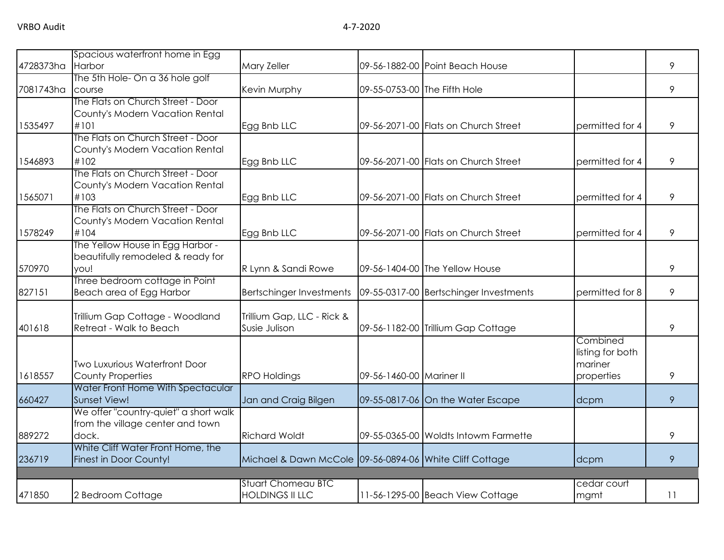|           | Spacious waterfront home in Egg         |                                                         |                              |                                        |                  |    |
|-----------|-----------------------------------------|---------------------------------------------------------|------------------------------|----------------------------------------|------------------|----|
| 4728373ha | Harbor                                  | Mary Zeller                                             |                              | 09-56-1882-00 Point Beach House        |                  | 9  |
|           | The 5th Hole- On a 36 hole golf         |                                                         |                              |                                        |                  |    |
| 7081743ha | course                                  | Kevin Murphy                                            | 09-55-0753-00 The Fifth Hole |                                        |                  | 9  |
|           | The Flats on Church Street - Door       |                                                         |                              |                                        |                  |    |
|           | County's Modern Vacation Rental         |                                                         |                              |                                        |                  |    |
| 1535497   | #101                                    | Egg Bnb LLC                                             |                              | 09-56-2071-00 Flats on Church Street   | permitted for 4  | 9  |
|           | The Flats on Church Street - Door       |                                                         |                              |                                        |                  |    |
|           | County's Modern Vacation Rental         |                                                         |                              |                                        |                  |    |
| 1546893   | #102                                    | Egg Bnb LLC                                             |                              | 09-56-2071-00 Flats on Church Street   | permitted for 4  | 9  |
|           | The Flats on Church Street - Door       |                                                         |                              |                                        |                  |    |
|           | County's Modern Vacation Rental<br>#103 |                                                         |                              |                                        |                  |    |
| 1565071   | The Flats on Church Street - Door       | Egg Bnb LLC                                             |                              | 09-56-2071-00 Flats on Church Street   | permitted for 4  | 9  |
|           | County's Modern Vacation Rental         |                                                         |                              |                                        |                  |    |
| 1578249   | #104                                    | Egg Bnb LLC                                             |                              | 09-56-2071-00 Flats on Church Street   | permitted for 4  | 9  |
|           | The Yellow House in Egg Harbor -        |                                                         |                              |                                        |                  |    |
|           | beautifully remodeled & ready for       |                                                         |                              |                                        |                  |    |
| 570970    | you!                                    | R Lynn & Sandi Rowe                                     |                              | 09-56-1404-00 The Yellow House         |                  | 9  |
|           | Three bedroom cottage in Point          |                                                         |                              |                                        |                  |    |
| 827151    | Beach area of Egg Harbor                | <b>Bertschinger Investments</b>                         |                              | 09-55-0317-00 Bertschinger Investments | permitted for 8  | 9  |
|           |                                         |                                                         |                              |                                        |                  |    |
|           | Trillium Gap Cottage - Woodland         | Trillium Gap, LLC - Rick &                              |                              |                                        |                  |    |
| 401618    | Retreat - Walk to Beach                 | Susie Julison                                           |                              | 09-56-1182-00 Trillium Gap Cottage     |                  | 9  |
|           |                                         |                                                         |                              |                                        | Combined         |    |
|           |                                         |                                                         |                              |                                        | listing for both |    |
|           | <b>Two Luxurious Waterfront Door</b>    |                                                         |                              |                                        | mariner          |    |
| 1618557   | County Properties                       | <b>RPO Holdings</b>                                     | 09-56-1460-00 Mariner II     |                                        | properties       | 9  |
|           | Water Front Home With Spectacular       |                                                         |                              |                                        |                  |    |
| 660427    | Sunset View!                            | Jan and Craig Bilgen                                    |                              | 09-55-0817-06 On the Water Escape      | dcpm             | 9  |
|           | We offer "country-quiet" a short walk   |                                                         |                              |                                        |                  |    |
|           | from the village center and town        |                                                         |                              |                                        |                  |    |
| 889272    | dock.                                   | <b>Richard Woldt</b>                                    |                              | 09-55-0365-00 Woldts Intowm Farmette   |                  | 9  |
|           | White Cliff Water Front Home, the       |                                                         |                              |                                        |                  |    |
| 236719    | Finest in Door County!                  | Michael & Dawn McCole 09-56-0894-06 White Cliff Cottage |                              |                                        | dcpm             | 9  |
|           |                                         |                                                         |                              |                                        |                  |    |
|           |                                         | <b>Stuart Chomeau BTC</b>                               |                              |                                        | cedar court      |    |
| 471850    | 2 Bedroom Cottage                       | <b>HOLDINGS II LLC</b>                                  |                              | 11-56-1295-00 Beach View Cottage       | mgmt             | 11 |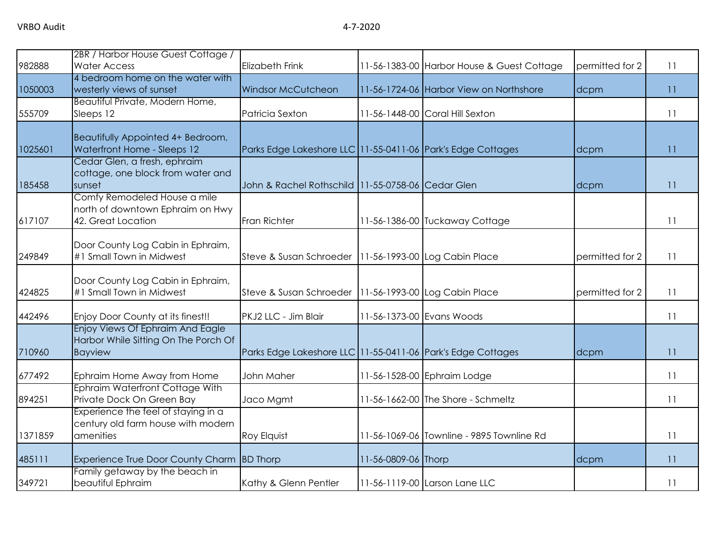| 982888  | 2BR / Harbor House Guest Cottage /<br><b>Water Access</b>                                  | Elizabeth Frink                                             |                     | 11-56-1383-00 Harbor House & Guest Cottage | permitted for 2 | 11 |
|---------|--------------------------------------------------------------------------------------------|-------------------------------------------------------------|---------------------|--------------------------------------------|-----------------|----|
|         | 4 bedroom home on the water with                                                           |                                                             |                     |                                            |                 |    |
| 1050003 | westerly views of sunset                                                                   | Windsor McCutcheon                                          |                     | 11-56-1724-06 Harbor View on Northshore    | dcpm            | 11 |
| 555709  | Beautiful Private, Modern Home,<br>Sleeps 12                                               | Patricia Sexton                                             |                     | 11-56-1448-00 Coral Hill Sexton            |                 | 11 |
| 1025601 | Beautifully Appointed 4+ Bedroom,<br>Waterfront Home - Sleeps 12                           | Parks Edge Lakeshore LLC 11-55-0411-06 Park's Edge Cottages |                     |                                            | dcpm            | 11 |
| 185458  | Cedar Glen, a fresh, ephraim<br>cottage, one block from water and<br>sunset                | John & Rachel Rothschild 11-55-0758-06 Cedar Glen           |                     |                                            | dcpm            | 11 |
| 617107  | Comfy Remodeled House a mile<br>north of downtown Ephraim on Hwy<br>42. Great Location     | Fran Richter                                                |                     | 11-56-1386-00 Tuckaway Cottage             |                 | 11 |
| 249849  | Door County Log Cabin in Ephraim,<br>#1 Small Town in Midwest                              | Steve & Susan Schroeder   11-56-1993-00 Log Cabin Place     |                     |                                            | permitted for 2 | 11 |
| 424825  | Door County Log Cabin in Ephraim,<br>#1 Small Town in Midwest                              | Steve & Susan Schroeder   11-56-1993-00 Log Cabin Place     |                     |                                            | permitted for 2 | 11 |
| 442496  | Enjoy Door County at its finest!!                                                          | PKJ2 LLC - Jim Blair                                        |                     | 11-56-1373-00 Evans Woods                  |                 | 11 |
| 710960  | Enjoy Views Of Ephraim And Eagle<br>Harbor While Sitting On The Porch Of<br><b>Bayview</b> | Parks Edge Lakeshore LLC 11-55-0411-06 Park's Edge Cottages |                     |                                            | dcpm            | 11 |
| 677492  | Ephraim Home Away from Home                                                                | John Maher                                                  |                     | 11-56-1528-00 Ephraim Lodge                |                 | 11 |
| 894251  | Ephraim Waterfront Cottage With<br>Private Dock On Green Bay                               | Jaco Mgmt                                                   |                     | 11-56-1662-00 The Shore - Schmeltz         |                 | 11 |
| 1371859 | Experience the feel of staying in a<br>century old farm house with modern<br>amenities     | Roy Elquist                                                 |                     | 11-56-1069-06 Townline - 9895 Townline Rd  |                 | 11 |
| 485111  | Experience True Door County Charm BD Thorp                                                 |                                                             | 11-56-0809-06 Thorp |                                            | dcpm            | 11 |
| 349721  | Family getaway by the beach in<br>beautiful Ephraim                                        | Kathy & Glenn Pentler                                       |                     | 11-56-1119-00 Larson Lane LLC              |                 | 11 |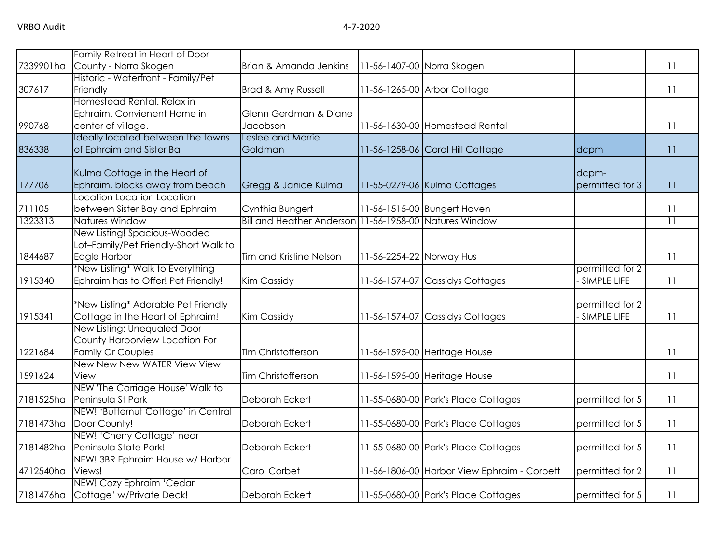|           | Family Retreat in Heart of Door                                 |                                                        |                          |                                             |                 |                 |
|-----------|-----------------------------------------------------------------|--------------------------------------------------------|--------------------------|---------------------------------------------|-----------------|-----------------|
| 7339901ha | County - Norra Skogen                                           | Brian & Amanda Jenkins                                 |                          | 11-56-1407-00 Norra Skogen                  |                 | 11              |
|           | Historic - Waterfront - Family/Pet                              |                                                        |                          |                                             |                 |                 |
| 307617    | Friendly                                                        | Brad & Amy Russell                                     |                          | 11-56-1265-00 Arbor Cottage                 |                 | 11              |
|           | Homestead Rental, Relax in                                      |                                                        |                          |                                             |                 |                 |
|           | Ephraim. Convienent Home in                                     | Glenn Gerdman & Diane                                  |                          |                                             |                 |                 |
| 990768    | center of village.                                              | Jacobson                                               |                          | 11-56-1630-00 Homestead Rental              |                 | 11              |
|           | Ideally located between the towns                               | Leslee and Morrie                                      |                          |                                             |                 |                 |
| 836338    | of Ephraim and Sister Ba                                        | Goldman                                                |                          | 11-56-1258-06 Coral Hill Cottage            | dcpm            | 11              |
|           | Kulma Cottage in the Heart of                                   |                                                        |                          |                                             | dcpm-           |                 |
| 177706    | Ephraim, blocks away from beach                                 | Gregg & Janice Kulma                                   |                          | 11-55-0279-06 Kulma Cottages                | permitted for 3 | 11              |
|           | Location Location Location                                      |                                                        |                          |                                             |                 |                 |
| 711105    | between Sister Bay and Ephraim                                  | Cynthia Bungert                                        |                          | 11-56-1515-00 Bungert Haven                 |                 | 11              |
| 1323313   | <b>Natures Window</b>                                           | Bill and Heather Anderson 11-56-1958-00 Natures Window |                          |                                             |                 | $\overline{11}$ |
|           | New Listing! Spacious-Wooded                                    |                                                        |                          |                                             |                 |                 |
|           | Lot-Family/Pet Friendly-Short Walk to                           |                                                        |                          |                                             |                 |                 |
| 1844687   | Eagle Harbor                                                    | Tim and Kristine Nelson                                | 11-56-2254-22 Norway Hus |                                             |                 | 11              |
|           | *New Listing* Walk to Everything                                |                                                        |                          |                                             | permitted for 2 |                 |
| 1915340   | Ephraim has to Offer! Pet Friendly!                             | Kim Cassidy                                            |                          | 11-56-1574-07 Cassidys Cottages             | SIMPLE LIFE     | 11              |
|           |                                                                 |                                                        |                          |                                             |                 |                 |
|           | *New Listing* Adorable Pet Friendly                             |                                                        |                          |                                             | permitted for 2 |                 |
| 1915341   | Cottage in the Heart of Ephraim!<br>New Listing: Unequaled Door | Kim Cassidy                                            |                          | 11-56-1574-07 Cassidys Cottages             | SIMPLE LIFE     | 11              |
|           | County Harborview Location For                                  |                                                        |                          |                                             |                 |                 |
| 1221684   | <b>Family Or Couples</b>                                        | Tim Christofferson                                     |                          | 11-56-1595-00 Heritage House                |                 | 11              |
|           | New New New WATER View View                                     |                                                        |                          |                                             |                 |                 |
| 1591624   | View                                                            | Tim Christofferson                                     |                          | 11-56-1595-00 Heritage House                |                 | 11              |
|           | NEW 'The Carriage House' Walk to                                |                                                        |                          |                                             |                 |                 |
| 7181525ha | Peninsula St Park                                               | Deborah Eckert                                         |                          | 11-55-0680-00 Park's Place Cottages         | permitted for 5 | 11              |
|           | NEW! 'Butternut Cottage' in Central                             |                                                        |                          |                                             |                 |                 |
| 7181473ha | Door County!                                                    | Deborah Eckert                                         |                          | 11-55-0680-00 Park's Place Cottages         | permitted for 5 | 11              |
|           | NEW! 'Cherry Cottage' near                                      |                                                        |                          |                                             |                 |                 |
| 7181482ha | Peninsula State Park!                                           | Deborah Eckert                                         |                          | 11-55-0680-00 Park's Place Cottages         | permitted for 5 | 11              |
|           | NEW! 3BR Ephraim House w/ Harbor                                |                                                        |                          |                                             |                 |                 |
| 4712540ha | Views!                                                          | Carol Corbet                                           |                          | 11-56-1806-00 Harbor View Ephraim - Corbett | permitted for 2 | 11              |
|           | NEW! Cozy Ephraim 'Cedar                                        |                                                        |                          |                                             |                 |                 |
| 7181476ha | Cottage' w/Private Deck!                                        | Deborah Eckert                                         |                          | 11-55-0680-00 Park's Place Cottages         | permitted for 5 | 11              |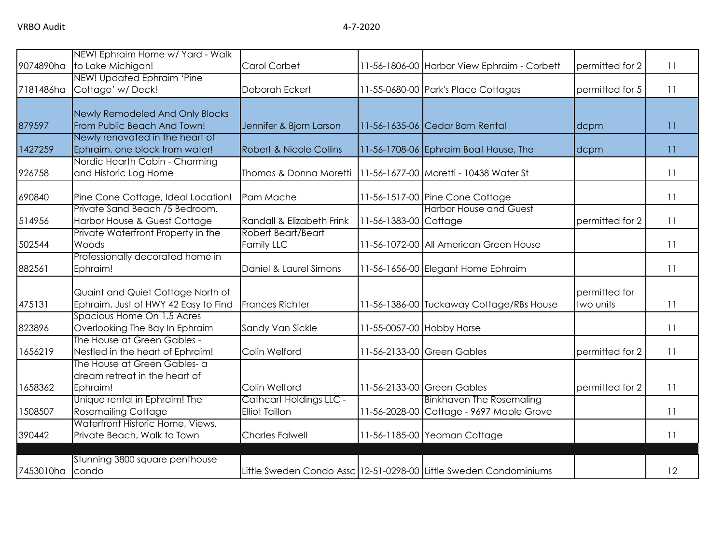|           | NEW! Ephraim Home w/ Yard - Walk                                   |                                    |                           |                                                                   |                 |    |
|-----------|--------------------------------------------------------------------|------------------------------------|---------------------------|-------------------------------------------------------------------|-----------------|----|
| 9074890ha | to Lake Michigan!                                                  | Carol Corbet                       |                           | 11-56-1806-00 Harbor View Ephraim - Corbett                       | permitted for 2 | 11 |
|           | NEW! Updated Ephraim 'Pine                                         |                                    |                           |                                                                   |                 |    |
| 7181486ha | Cottage' w/Deck!                                                   | Deborah Eckert                     |                           | 11-55-0680-00 Park's Place Cottages                               | permitted for 5 | 11 |
|           |                                                                    |                                    |                           |                                                                   |                 |    |
|           | Newly Remodeled And Only Blocks                                    |                                    |                           |                                                                   |                 |    |
| 879597    | From Public Beach And Town!                                        | Jennifer & Bjorn Larson            |                           | 11-56-1635-06 Cedar Barn Rental                                   | dcpm            | 11 |
|           | Newly renovated in the heart of                                    |                                    |                           |                                                                   |                 |    |
| 1427259   | Ephraim, one block from water!                                     | <b>Robert &amp; Nicole Collins</b> |                           | 11-56-1708-06 Ephraim Boat House, The                             | dcpm            | 11 |
|           | Nordic Hearth Cabin - Charming                                     |                                    |                           |                                                                   |                 |    |
| 926758    | and Historic Log Home                                              | Thomas & Donna Moretti             |                           | 11-56-1677-00 Moretti - 10438 Water St                            |                 | 11 |
| 690840    | Pine Cone Cottage, Ideal Location!                                 | Pam Mache                          |                           | 11-56-1517-00 Pine Cone Cottage                                   |                 | 11 |
|           | Private Sand Beach /5 Bedroom.                                     |                                    |                           | <b>Harbor House and Guest</b>                                     |                 |    |
| 514956    | Harbor House & Guest Cottage                                       | Randall & Elizabeth Frink          | 11-56-1383-00 Cottage     |                                                                   | permitted for 2 | 11 |
|           | Private Waterfront Property in the                                 | Robert Beart/Beart                 |                           |                                                                   |                 |    |
| 502544    | Woods                                                              | Family LLC                         |                           | 11-56-1072-00 All American Green House                            |                 | 11 |
|           | Professionally decorated home in                                   |                                    |                           |                                                                   |                 |    |
| 882561    | Ephraim!                                                           | Daniel & Laurel Simons             |                           | 11-56-1656-00 Elegant Home Ephraim                                |                 | 11 |
|           |                                                                    |                                    |                           |                                                                   |                 |    |
|           | Quaint and Quiet Cottage North of                                  |                                    |                           |                                                                   | permitted for   |    |
| 475131    | Ephraim, Just of HWY 42 Easy to Find<br>Spacious Home On 1.5 Acres | <b>Frances Richter</b>             |                           | 11-56-1386-00 Tuckaway Cottage/RBs House                          | two units       | 11 |
| 823896    | Overlooking The Bay In Ephraim                                     | Sandy Van Sickle                   | 11-55-0057-00 Hobby Horse |                                                                   |                 | 11 |
|           | The House at Green Gables -                                        |                                    |                           |                                                                   |                 |    |
| 1656219   | Nestled in the heart of Ephraim!                                   | Colin Welford                      |                           | 11-56-2133-00 Green Gables                                        | permitted for 2 | 11 |
|           | The House at Green Gables- a                                       |                                    |                           |                                                                   |                 |    |
|           | dream retreat in the heart of                                      |                                    |                           |                                                                   |                 |    |
| 1658362   | Ephraim!                                                           | Colin Welford                      |                           | 11-56-2133-00 Green Gables                                        | permitted for 2 | 11 |
|           | Unique rental in Ephraim! The                                      | Cathcart Holdings LLC -            |                           | <b>Binkhaven The Rosemaling</b>                                   |                 |    |
| 1508507   | <b>Rosemailing Cottage</b>                                         | <b>Elliot Taillon</b>              |                           | 11-56-2028-00 Cottage - 9697 Maple Grove                          |                 | 11 |
|           | Waterfront Historic Home, Views,                                   |                                    |                           |                                                                   |                 |    |
| 390442    | Private Beach, Walk to Town                                        | <b>Charles Falwell</b>             |                           | 11-56-1185-00 Yeoman Cottage                                      |                 | 11 |
|           | Stunning 3800 square penthouse                                     |                                    |                           |                                                                   |                 |    |
| 7453010ha | condo                                                              |                                    |                           | Little Sweden Condo Assc 12-51-0298-00 Little Sweden Condominiums |                 | 12 |
|           |                                                                    |                                    |                           |                                                                   |                 |    |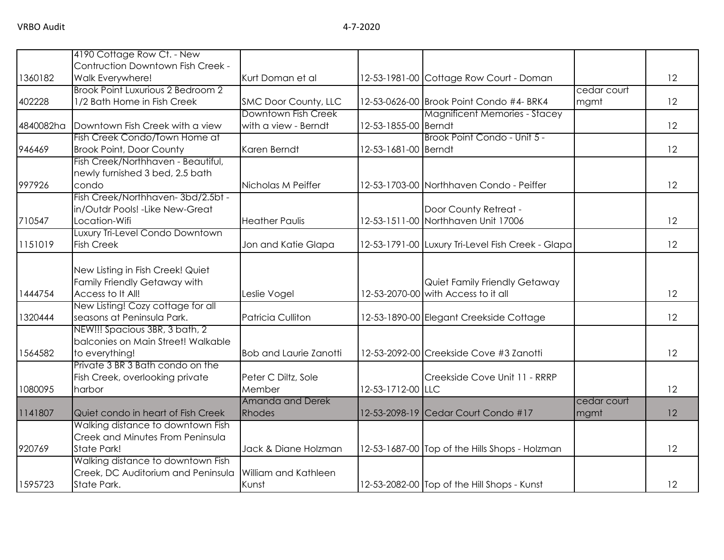|           | 4190 Cottage Row Ct. - New               |                               |                      |                                                   |             |    |
|-----------|------------------------------------------|-------------------------------|----------------------|---------------------------------------------------|-------------|----|
|           | Contruction Downtown Fish Creek -        |                               |                      |                                                   |             |    |
| 1360182   | Walk Everywhere!                         | Kurt Doman et al              |                      | 12-53-1981-00 Cottage Row Court - Doman           |             | 12 |
|           | Brook Point Luxurious 2 Bedroom 2        |                               |                      |                                                   | cedar court |    |
| 402228    | 1/2 Bath Home in Fish Creek              | SMC Door County, LLC          |                      | 12-53-0626-00 Brook Point Condo #4- BRK4          | mgmt        | 12 |
|           |                                          | Downtown Fish Creek           |                      | <b>Magnificent Memories - Stacey</b>              |             |    |
| 4840082ha | Downtown Fish Creek with a view          | with a view - Berndt          | 12-53-1855-00 Berndt |                                                   |             | 12 |
|           | Fish Creek Condo/Town Home at            |                               |                      | Brook Point Condo - Unit 5 -                      |             |    |
| 946469    | <b>Brook Point, Door County</b>          | Karen Berndt                  | 12-53-1681-00 Berndt |                                                   |             | 12 |
|           | Fish Creek/Northhaven - Beautiful,       |                               |                      |                                                   |             |    |
|           | newly furnished 3 bed, 2.5 bath<br>condo |                               |                      |                                                   |             | 12 |
| 997926    | Fish Creek/Northhaven-3bd/2.5bt -        | Nicholas M Peiffer            |                      | 12-53-1703-00 Northhaven Condo - Peiffer          |             |    |
|           | in/Outdr Pools! - Like New-Great         |                               |                      | Door County Retreat -                             |             |    |
| 710547    | Location-Wifi                            | <b>Heather Paulis</b>         |                      | 12-53-1511-00 Northhaven Unit 17006               |             | 12 |
|           | Luxury Tri-Level Condo Downtown          |                               |                      |                                                   |             |    |
| 1151019   | <b>Fish Creek</b>                        | Jon and Katie Glapa           |                      | 12-53-1791-00 Luxury Tri-Level Fish Creek - Glapa |             | 12 |
|           |                                          |                               |                      |                                                   |             |    |
|           | New Listing in Fish Creek! Quiet         |                               |                      |                                                   |             |    |
|           | Family Friendly Getaway with             |                               |                      | Quiet Family Friendly Getaway                     |             |    |
| 1444754   | Access to It All!                        | Leslie Vogel                  |                      | 12-53-2070-00 with Access to it all               |             | 12 |
|           | New Listing! Cozy cottage for all        |                               |                      |                                                   |             |    |
| 1320444   | seasons at Peninsula Park.               | <b>Patricia Culliton</b>      |                      | 12-53-1890-00 Elegant Creekside Cottage           |             | 12 |
|           | NEW!!! Spacious 3BR, 3 bath, 2           |                               |                      |                                                   |             |    |
|           | balconies on Main Street! Walkable       |                               |                      |                                                   |             |    |
| 1564582   | to everything!                           | <b>Bob and Laurie Zanotti</b> |                      | 12-53-2092-00 Creekside Cove #3 Zanotti           |             | 12 |
|           | Private 3 BR 3 Bath condo on the         |                               |                      |                                                   |             |    |
|           | Fish Creek, overlooking private          | Peter C Diltz, Sole           |                      | Creekside Cove Unit 11 - RRRP                     |             |    |
| 1080095   | harbor                                   | Member                        | 12-53-1712-00 LLC    |                                                   |             | 12 |
|           |                                          | Amanda and Derek              |                      |                                                   | cedar court |    |
| 1141807   | Quiet condo in heart of Fish Creek       | <b>Rhodes</b>                 |                      | 12-53-2098-19 Cedar Court Condo #17               | mgmt        | 12 |
|           | Walking distance to downtown Fish        |                               |                      |                                                   |             |    |
|           | Creek and Minutes From Peninsula         |                               |                      |                                                   |             |    |
| 920769    | State Park!                              | Jack & Diane Holzman          |                      | 12-53-1687-00 Top of the Hills Shops - Holzman    |             | 12 |
|           | Walking distance to downtown Fish        |                               |                      |                                                   |             |    |
|           | Creek, DC Auditorium and Peninsula       | William and Kathleen          |                      |                                                   |             |    |
| 1595723   | State Park.                              | Kunst                         |                      | 12-53-2082-00 Top of the Hill Shops - Kunst       |             | 12 |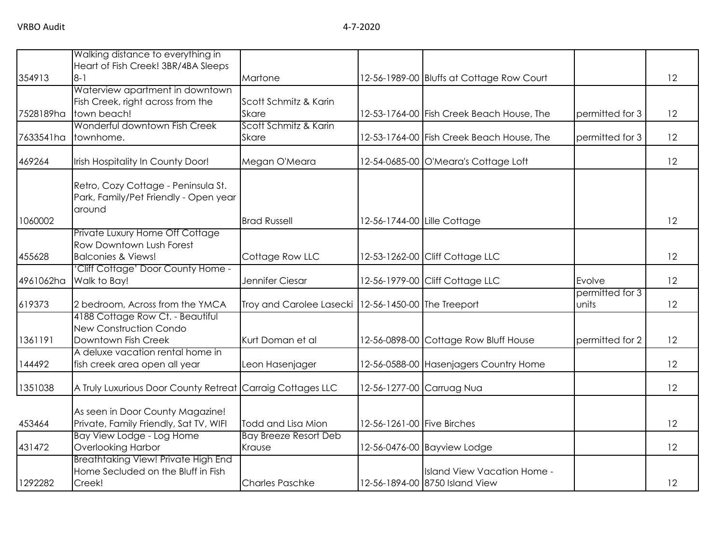|           | Walking distance to everything in                                                          |                                                       |                            |                                                               |                          |    |
|-----------|--------------------------------------------------------------------------------------------|-------------------------------------------------------|----------------------------|---------------------------------------------------------------|--------------------------|----|
| 354913    | Heart of Fish Creek! 3BR/4BA Sleeps<br>$8 - 1$                                             | Martone                                               |                            |                                                               |                          | 12 |
|           | Waterview apartment in downtown                                                            |                                                       |                            | 12-56-1989-00 Bluffs at Cottage Row Court                     |                          |    |
|           | Fish Creek, right across from the                                                          | Scott Schmitz & Karin                                 |                            |                                                               |                          |    |
| 7528189ha | town beach!                                                                                | <b>Skare</b>                                          |                            | 12-53-1764-00 Fish Creek Beach House, The                     | permitted for 3          | 12 |
|           | Wonderful downtown Fish Creek                                                              | Scott Schmitz & Karin                                 |                            |                                                               |                          |    |
| 7633541ha | townhome.                                                                                  | Skare                                                 |                            | 12-53-1764-00 Fish Creek Beach House, The                     | permitted for 3          | 12 |
| 469264    | Irish Hospitality In County Door!                                                          | Megan O'Meara                                         |                            | 12-54-0685-00 O'Meara's Cottage Loft                          |                          | 12 |
|           | Retro, Cozy Cottage - Peninsula St.<br>Park, Family/Pet Friendly - Open year<br>around     |                                                       |                            |                                                               |                          |    |
| 1060002   |                                                                                            | <b>Brad Russell</b>                                   |                            | 12-56-1744-00 Lille Cottage                                   |                          | 12 |
|           | Private Luxury Home Off Cottage<br>Row Downtown Lush Forest                                |                                                       |                            |                                                               |                          |    |
| 455628    | <b>Balconies &amp; Views!</b>                                                              | Cottage Row LLC                                       |                            | 12-53-1262-00 Cliff Cottage LLC                               |                          | 12 |
| 4961062ha | 'Cliff Cottage' Door County Home -<br>Walk to Bay!                                         | Jennifer Ciesar                                       |                            | 12-56-1979-00 Cliff Cottage LLC                               | Evolve                   | 12 |
| 619373    | 2 bedroom, Across from the YMCA                                                            | Troy and Carolee Lasecki   12-56-1450-00 The Treeport |                            |                                                               | permitted for 3<br>units | 12 |
| 1361191   | 4188 Cottage Row Ct. - Beautiful<br><b>New Construction Condo</b><br>Downtown Fish Creek   | Kurt Doman et al                                      |                            | 12-56-0898-00 Cottage Row Bluff House                         | permitted for 2          | 12 |
| 144492    | A deluxe vacation rental home in<br>fish creek area open all year                          | Leon Hasenjager                                       |                            | 12-56-0588-00 Hasenjagers Country Home                        |                          | 12 |
| 1351038   | A Truly Luxurious Door County Retreat                                                      | Carraig Cottages LLC                                  |                            | 12-56-1277-00 Carruag Nua                                     |                          | 12 |
| 453464    | As seen in Door County Magazine!<br>Private, Family Friendly, Sat TV, WIFI                 | Todd and Lisa Mion                                    | 12-56-1261-00 Five Birches |                                                               |                          | 12 |
|           | Bay View Lodge - Log Home                                                                  | <b>Bay Breeze Resort Deb</b>                          |                            |                                                               |                          |    |
| 431472    | Overlooking Harbor                                                                         | Krause                                                |                            | 12-56-0476-00 Bayview Lodge                                   |                          | 12 |
| 1292282   | <b>Breathtaking View! Private High End</b><br>Home Secluded on the Bluff in Fish<br>Creek! | <b>Charles Paschke</b>                                |                            | Island View Vacation Home -<br>12-56-1894-00 8750 Island View |                          | 12 |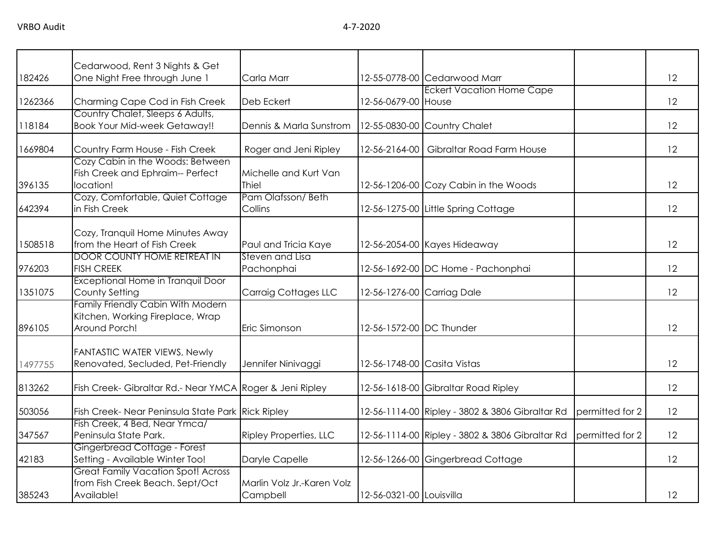|         | Cedarwood, Rent 3 Nights & Get                                                                |                                        |                             |                                                 |                 |    |
|---------|-----------------------------------------------------------------------------------------------|----------------------------------------|-----------------------------|-------------------------------------------------|-----------------|----|
| 182426  | One Night Free through June 1                                                                 | Carla Marr                             |                             | 12-55-0778-00 Cedarwood Marr                    |                 | 12 |
| 1262366 | Charming Cape Cod in Fish Creek                                                               | Deb Eckert                             | 12-56-0679-00 House         | <b>Eckert Vacation Home Cape</b>                |                 | 12 |
| 118184  | Country Chalet, Sleeps 6 Adults,<br><b>Book Your Mid-week Getaway!!</b>                       | Dennis & Marla Sunstrom                |                             | 12-55-0830-00 Country Chalet                    |                 | 12 |
| 1669804 | Country Farm House - Fish Creek                                                               | Roger and Jeni Ripley                  | 12-56-2164-00               | Gibraltar Road Farm House                       |                 | 12 |
| 396135  | Cozy Cabin in the Woods: Between<br>Fish Creek and Ephraim-- Perfect<br>location!             | Michelle and Kurt Van<br>Thiel         |                             | 12-56-1206-00 Cozy Cabin in the Woods           |                 | 12 |
| 642394  | Cozy, Comfortable, Quiet Cottage<br>in Fish Creek                                             | Pam Olafsson/Beth<br>Collins           |                             | 12-56-1275-00 Little Spring Cottage             |                 | 12 |
| 1508518 | Cozy, Tranquil Home Minutes Away<br>from the Heart of Fish Creek                              | Paul and Tricia Kaye                   |                             | 12-56-2054-00 Kayes Hideaway                    |                 | 12 |
| 976203  | <b>DOOR COUNTY HOME RETREAT IN</b><br><b>FISH CREEK</b>                                       | Steven and Lisa<br>Pachonphai          |                             | 12-56-1692-00 DC Home - Pachonphai              |                 | 12 |
| 1351075 | Exceptional Home in Tranquil Door<br>County Setting                                           | <b>Carraig Cottages LLC</b>            | 12-56-1276-00 Carriag Dale  |                                                 |                 | 12 |
| 896105  | <b>Family Friendly Cabin With Modern</b><br>Kitchen, Working Fireplace, Wrap<br>Around Porch! | Eric Simonson                          | 12-56-1572-00 DC Thunder    |                                                 |                 | 12 |
| 1497755 | <b>FANTASTIC WATER VIEWS, Newly</b><br>Renovated, Secluded, Pet-Friendly                      | Jennifer Ninivaggi                     | 12-56-1748-00 Casita Vistas |                                                 |                 | 12 |
| 813262  | Fish Creek- Gibraltar Rd.- Near YMCA Roger & Jeni Ripley                                      |                                        |                             | 12-56-1618-00 Gibraltar Road Ripley             |                 | 12 |
| 503056  | Fish Creek- Near Peninsula State Park Rick Ripley                                             |                                        |                             | 12-56-1114-00 Ripley - 3802 & 3806 Gibraltar Rd | permitted for 2 | 12 |
| 347567  | Fish Creek, 4 Bed, Near Ymca/<br>Peninsula State Park.                                        | <b>Ripley Properties, LLC</b>          |                             | 12-56-1114-00 Ripley - 3802 & 3806 Gibraltar Rd | permitted for 2 | 12 |
| 42183   | Gingerbread Cottage - Forest<br>Setting - Available Winter Too!                               | Daryle Capelle                         |                             | 12-56-1266-00 Gingerbread Cottage               |                 | 12 |
| 385243  | <b>Great Family Vacation Spot! Across</b><br>from Fish Creek Beach. Sept/Oct<br>Available!    | Marlin Volz Jr.-Karen Volz<br>Campbell | 12-56-0321-00 Louisvilla    |                                                 |                 | 12 |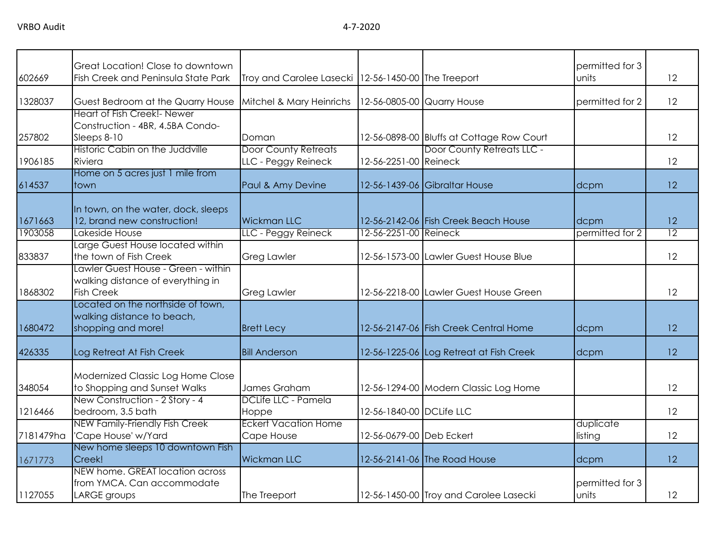| 602669    | Great Location! Close to downtown<br>Fish Creek and Peninsula State Park | Troy and Carolee Lasecki   12-56-1450-00 The Treeport |                          |                                                                         | permitted for 3<br>units | 12              |
|-----------|--------------------------------------------------------------------------|-------------------------------------------------------|--------------------------|-------------------------------------------------------------------------|--------------------------|-----------------|
|           |                                                                          |                                                       |                          |                                                                         |                          |                 |
| 1328037   | Guest Bedroom at the Quarry House                                        | Mitchel & Mary Heinrichs                              |                          | 12-56-0805-00 Quarry House                                              | permitted for 2          | 12              |
|           | Heart of Fish Creek!- Newer                                              |                                                       |                          |                                                                         |                          |                 |
|           | Construction - 4BR, 4.5BA Condo-                                         |                                                       |                          |                                                                         |                          |                 |
| 257802    | Sleeps 8-10<br>Historic Cabin on the Juddville                           | Doman<br><b>Door County Retreats</b>                  |                          | 12-56-0898-00 Bluffs at Cottage Row Court<br>Door County Retreats LLC - |                          | 12              |
| 1906185   | Riviera                                                                  | LLC - Peggy Reineck                                   | 12-56-2251-00 Reineck    |                                                                         |                          | 12              |
|           | Home on 5 acres just 1 mile from                                         |                                                       |                          |                                                                         |                          |                 |
| 614537    | town                                                                     | Paul & Amy Devine                                     |                          | 12-56-1439-06 Gibraltar House                                           | dcpm                     | 12              |
|           |                                                                          |                                                       |                          |                                                                         |                          |                 |
| 1671663   | In town, on the water, dock, sleeps<br>12, brand new construction!       | <b>Wickman LLC</b>                                    |                          | 12-56-2142-06 Fish Creek Beach House                                    | dcpm                     | 12              |
| 1903058   | Lakeside House                                                           | LLC - Peggy Reineck                                   | 12-56-2251-00 Reineck    |                                                                         | permitted for 2          | $\overline{12}$ |
|           | Large Guest House located within                                         |                                                       |                          |                                                                         |                          |                 |
| 833837    | the town of Fish Creek                                                   | <b>Greg Lawler</b>                                    |                          | 12-56-1573-00 Lawler Guest House Blue                                   |                          | 12              |
|           | Lawler Guest House - Green - within                                      |                                                       |                          |                                                                         |                          |                 |
|           | walking distance of everything in                                        |                                                       |                          |                                                                         |                          |                 |
| 1868302   | <b>Fish Creek</b>                                                        | <b>Greg Lawler</b>                                    |                          | 12-56-2218-00 Lawler Guest House Green                                  |                          | 12              |
|           | Located on the northside of town,<br>walking distance to beach,          |                                                       |                          |                                                                         |                          |                 |
| 1680472   | shopping and more!                                                       | <b>Brett Lecy</b>                                     |                          | 12-56-2147-06 Fish Creek Central Home                                   | dcpm                     | 12              |
|           |                                                                          |                                                       |                          |                                                                         |                          |                 |
| 426335    | Log Retreat At Fish Creek                                                | <b>Bill Anderson</b>                                  |                          | 12-56-1225-06 Log Retreat at Fish Creek                                 | dcpm                     | 12              |
|           |                                                                          |                                                       |                          |                                                                         |                          |                 |
|           | Modernized Classic Log Home Close                                        | James Graham                                          |                          |                                                                         |                          | 12              |
| 348054    | to Shopping and Sunset Walks<br>New Construction - 2 Story - 4           | DCLife LLC - Pamela                                   |                          | 12-56-1294-00 Modern Classic Log Home                                   |                          |                 |
| 1216466   | bedroom, 3.5 bath                                                        | Hoppe                                                 | 12-56-1840-00 DCLife LLC |                                                                         |                          | 12              |
|           | <b>NEW Family-Friendly Fish Creek</b>                                    | <b>Eckert Vacation Home</b>                           |                          |                                                                         | duplicate                |                 |
| 7181479ha | 'Cape House' w/Yard                                                      | Cape House                                            | 12-56-0679-00 Deb Eckert |                                                                         | listing                  | 12              |
|           | New home sleeps 10 downtown Fish                                         |                                                       |                          |                                                                         |                          |                 |
| 1671773   | Creek!                                                                   | <b>Wickman LLC</b>                                    |                          | 12-56-2141-06 The Road House                                            | dcpm                     | 12              |
|           | NEW home. GREAT location across                                          |                                                       |                          |                                                                         |                          |                 |
|           | from YMCA. Can accommodate                                               |                                                       |                          |                                                                         | permitted for 3          |                 |
| 1127055   | LARGE groups                                                             | The Treeport                                          |                          | 12-56-1450-00 Troy and Carolee Lasecki                                  | units                    | 12              |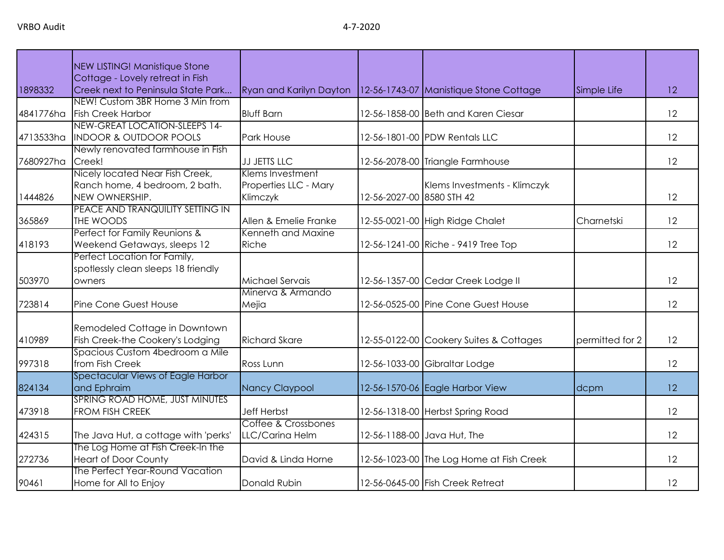VRBO Audit 4-7-2020

|           | NEW LISTING! Manistique Stone                                                       |                                                       |                           |                                          |                 |    |
|-----------|-------------------------------------------------------------------------------------|-------------------------------------------------------|---------------------------|------------------------------------------|-----------------|----|
|           | Cottage - Lovely retreat in Fish                                                    |                                                       |                           |                                          |                 |    |
| 1898332   | Creek next to Peninsula State Park                                                  | Ryan and Karilyn Dayton                               |                           | 12-56-1743-07 Manistique Stone Cottage   | Simple Life     | 12 |
| 4841776ha | NEW! Custom 3BR Home 3 Min from<br><b>Fish Creek Harbor</b>                         | <b>Bluff Barn</b>                                     |                           | 12-56-1858-00 Beth and Karen Ciesar      |                 | 12 |
| 4713533ha | NEW-GREAT LOCATION-SLEEPS 14-<br><b>INDOOR &amp; OUTDOOR POOLS</b>                  | Park House                                            |                           | 12-56-1801-00 PDW Rentals LLC            |                 | 12 |
| 7680927ha | Newly renovated farmhouse in Fish<br>Creek!                                         | <b>JJ JETTS LLC</b>                                   |                           | 12-56-2078-00 Triangle Farmhouse         |                 | 12 |
| 1444826   | Nicely located Near Fish Creek,<br>Ranch home, 4 bedroom, 2 bath.<br>NEW OWNERSHIP. | Klems Investment<br>Properties LLC - Mary<br>Klimczyk | 12-56-2027-00 8580 STH 42 | Klems Investments - Klimczyk             |                 | 12 |
| 365869    | PEACE AND TRANQUILITY SETTING IN<br>THE WOODS                                       | Allen & Emelie Franke                                 |                           | 12-55-0021-00 High Ridge Chalet          | Charnetski      | 12 |
| 418193    | Perfect for Family Reunions &<br>Weekend Getaways, sleeps 12                        | Kenneth and Maxine<br>Riche                           |                           | 12-56-1241-00 Riche - 9419 Tree Top      |                 | 12 |
| 503970    | Perfect Location for Family,<br>spotlessly clean sleeps 18 friendly<br>owners       | Michael Servais                                       |                           | 12-56-1357-00 Cedar Creek Lodge II       |                 | 12 |
| 723814    | Pine Cone Guest House                                                               | Minerva & Armando<br>Mejia                            |                           | 12-56-0525-00 Pine Cone Guest House      |                 | 12 |
| 410989    | Remodeled Cottage in Downtown<br>Fish Creek-the Cookery's Lodging                   | <b>Richard Skare</b>                                  |                           | 12-55-0122-00 Cookery Suites & Cottages  | permitted for 2 | 12 |
| 997318    | Spacious Custom 4bedroom a Mile<br>from Fish Creek                                  | Ross Lunn                                             |                           | 12-56-1033-00 Gibraltar Lodge            |                 | 12 |
| 824134    | Spectacular Views of Eagle Harbor<br>and Ephraim                                    | Nancy Claypool                                        |                           | 12-56-1570-06 Eagle Harbor View          | dcpm            | 12 |
| 473918    | SPRING ROAD HOME, JUST MINUTES<br>FROM FISH CREEK                                   | <b>Jeff Herbst</b>                                    |                           | 12-56-1318-00 Herbst Spring Road         |                 | 12 |
| 424315    | The Java Hut, a cottage with 'perks'                                                | Coffee & Crossbones<br>LLC/Carina Helm                |                           | 12-56-1188-00 Java Hut, The              |                 | 12 |
| 272736    | The Log Home at Fish Creek-In the<br><b>Heart of Door County</b>                    | David & Linda Horne                                   |                           | 12-56-1023-00 The Log Home at Fish Creek |                 | 12 |
| 90461     | The Perfect Year-Round Vacation<br>Home for All to Enjoy                            | Donald Rubin                                          |                           | 12-56-0645-00 Fish Creek Retreat         |                 | 12 |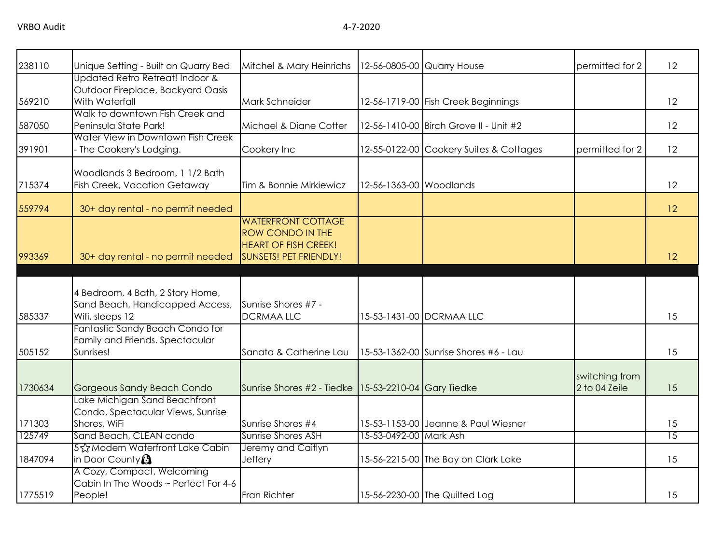| 238110  | Unique Setting - Built on Quarry Bed                                                   | Mitchel & Mary Heinrichs                                                                                      |                         | 12-56-0805-00 Quarry House              | permitted for 2                 | 12              |
|---------|----------------------------------------------------------------------------------------|---------------------------------------------------------------------------------------------------------------|-------------------------|-----------------------------------------|---------------------------------|-----------------|
| 569210  | Updated Retro Retreat! Indoor &<br>Outdoor Fireplace, Backyard Oasis<br>With Waterfall | Mark Schneider                                                                                                |                         | 12-56-1719-00 Fish Creek Beginnings     |                                 | 12              |
| 587050  | Walk to downtown Fish Creek and<br>Peninsula State Park!                               | Michael & Diane Cotter                                                                                        |                         | 12-56-1410-00 Birch Grove II - Unit #2  |                                 | 12              |
| 391901  | Water View in Downtown Fish Creek<br>- The Cookery's Lodging.                          | Cookery Inc                                                                                                   |                         | 12-55-0122-00 Cookery Suites & Cottages | permitted for 2                 | 12              |
| 715374  | Woodlands 3 Bedroom, 1 1/2 Bath<br>Fish Creek, Vacation Getaway                        | Tim & Bonnie Mirkiewicz                                                                                       | 12-56-1363-00 Woodlands |                                         |                                 | 12              |
| 559794  | 30+ day rental - no permit needed                                                      |                                                                                                               |                         |                                         |                                 | 12              |
| 993369  | 30+ day rental - no permit needed                                                      | <b>WATERFRONT COTTAGE</b><br><b>ROW CONDO IN THE</b><br><b>HEART OF FISH CREEK!</b><br>SUNSETS! PET FRIENDLY! |                         |                                         |                                 | 12              |
|         |                                                                                        |                                                                                                               |                         |                                         |                                 |                 |
| 585337  | 4 Bedroom, 4 Bath, 2 Story Home,<br>Sand Beach, Handicapped Access,<br>Wifi, sleeps 12 | Sunrise Shores #7 -<br><b>DCRMAA LLC</b>                                                                      |                         | 15-53-1431-00 DCRMAA LLC                |                                 | 15              |
| 505152  | Fantastic Sandy Beach Condo for<br>Family and Friends. Spectacular<br>Sunrises!        | Sanata & Catherine Lau                                                                                        |                         | 15-53-1362-00 Sunrise Shores #6 - Lau   |                                 | 15              |
| 1730634 | <b>Gorgeous Sandy Beach Condo</b>                                                      | Sunrise Shores #2 - Tiedke 15-53-2210-04 Gary Tiedke                                                          |                         |                                         | switching from<br>2 to 04 Zeile | 15              |
| 171303  | Lake Michigan Sand Beachfront<br>Condo, Spectacular Views, Sunrise<br>Shores, WiFi     | Sunrise Shores #4                                                                                             |                         | 15-53-1153-00 Jeanne & Paul Wiesner     |                                 | 15              |
| 125749  | Sand Beach, CLEAN condo                                                                | Sunrise Shores ASH                                                                                            | 15-53-0492-00 Mark Ash  |                                         |                                 | $\overline{15}$ |
| 1847094 | 5☆Modern Waterfront Lake Cabin<br>in Door County                                       | Jeremy and Caitlyn<br>Jeffery                                                                                 |                         | 15-56-2215-00 The Bay on Clark Lake     |                                 | 15              |
| 1775519 | A Cozy, Compact, Welcoming<br>Cabin In The Woods ~ Perfect For 4-6<br>People!          | Fran Richter                                                                                                  |                         | 15-56-2230-00 The Quilted Log           |                                 | 15              |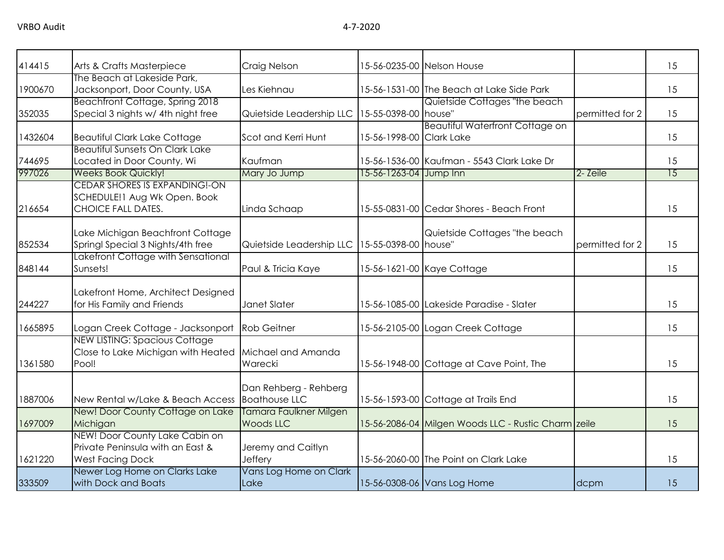| 414415  | Arts & Crafts Masterpiece                                                                     | Craig Nelson                                      |                          | 15-56-0235-00 Nelson House                          |                 | 15 |
|---------|-----------------------------------------------------------------------------------------------|---------------------------------------------------|--------------------------|-----------------------------------------------------|-----------------|----|
| 1900670 | The Beach at Lakeside Park,<br>Jacksonport, Door County, USA                                  | Les Kiehnau                                       |                          | 15-56-1531-00 The Beach at Lake Side Park           |                 | 15 |
| 352035  | <b>Beachfront Cottage, Spring 2018</b><br>Special 3 nights w/ 4th night free                  | Quietside Leadership LLC   15-55-0398-00   house" |                          | Quietside Cottages "the beach                       | permitted for 2 | 15 |
| 1432604 | <b>Beautiful Clark Lake Cottage</b>                                                           | Scot and Kerri Hunt                               | 15-56-1998-00 Clark Lake | <b>Beautiful Waterfront Cottage on</b>              |                 | 15 |
| 744695  | Beautiful Sunsets On Clark Lake<br>Located in Door County, Wi                                 | Kaufman                                           |                          | 15-56-1536-00 Kaufman - 5543 Clark Lake Dr          |                 | 15 |
| 997026  | <b>Weeks Book Quickly!</b><br><b>CEDAR SHORES IS EXPANDING!-ON</b>                            | Mary Jo Jump                                      | 15-56-1263-04 Jump Inn   |                                                     | 2- Zeile        | 15 |
| 216654  | SCHEDULE! I Aug Wk Open. Book<br>CHOICE FALL DATES.                                           | Linda Schaap                                      |                          | 15-55-0831-00 Cedar Shores - Beach Front            |                 | 15 |
| 852534  | Lake Michigan Beachfront Cottage<br>Springl Special 3 Nights/4th free                         | Quietside Leadership LLC   15-55-0398-00   house" |                          | Quietside Cottages "the beach                       | permitted for 2 | 15 |
| 848144  | Lakefront Cottage with Sensational<br>Sunsets!                                                | Paul & Tricia Kaye                                |                          | 15-56-1621-00 Kaye Cottage                          |                 | 15 |
| 244227  | Lakefront Home, Architect Designed<br>for His Family and Friends                              | Janet Slater                                      |                          | 15-56-1085-00 Lakeside Paradise - Slater            |                 | 15 |
| 1665895 | Logan Creek Cottage - Jacksonport                                                             | <b>Rob Geitner</b>                                |                          | 15-56-2105-00 Logan Creek Cottage                   |                 | 15 |
| 1361580 | NEW LISTING: Spacious Cottage<br>Close to Lake Michigan with Heated<br>Pool!                  | Michael and Amanda<br>Warecki                     |                          | 15-56-1948-00 Cottage at Cave Point, The            |                 | 15 |
| 1887006 | New Rental w/Lake & Beach Access                                                              | Dan Rehberg - Rehberg<br><b>Boathouse LLC</b>     |                          | 15-56-1593-00 Cottage at Trails End                 |                 | 15 |
| 1697009 | New! Door County Cottage on Lake<br>Michigan                                                  | Tamara Faulkner Milgen<br><b>Woods LLC</b>        |                          | 15-56-2086-04 Milgen Woods LLC - Rustic Charm zeile |                 | 15 |
| 1621220 | NEW! Door County Lake Cabin on<br>Private Peninsula with an East &<br><b>West Facing Dock</b> | Jeremy and Caitlyn<br>Jeffery                     |                          | 15-56-2060-00 The Point on Clark Lake               |                 | 15 |
| 333509  | Newer Log Home on Clarks Lake<br>with Dock and Boats                                          | Vans Log Home on Clark<br>Lake                    |                          | 15-56-0308-06 Vans Log Home                         | dcpm            | 15 |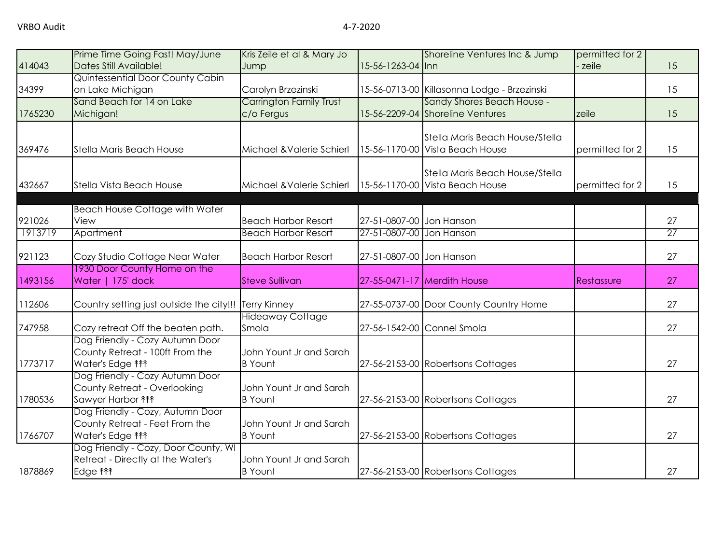| 15 |
|----|
|    |
|    |
| 15 |
|    |
| 15 |
|    |
|    |
| 15 |
|    |
| 15 |
|    |
|    |
| 27 |
| 27 |
|    |
| 27 |
|    |
| 27 |
|    |
| 27 |
|    |
| 27 |
|    |
| 27 |
|    |
|    |
| 27 |
|    |
|    |
| 27 |
|    |
|    |
| 27 |
|    |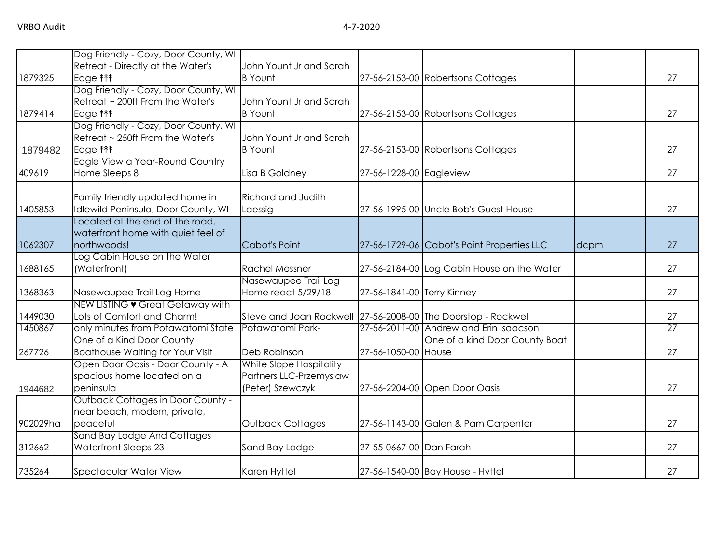|          | Dog Friendly - Cozy, Door County, WI                                         |                                                                                   |                            |                                            |      |          |
|----------|------------------------------------------------------------------------------|-----------------------------------------------------------------------------------|----------------------------|--------------------------------------------|------|----------|
|          | Retreat - Directly at the Water's                                            | John Yount Jr and Sarah                                                           |                            |                                            |      |          |
| 1879325  | Edge <b>fff</b>                                                              | <b>B</b> Yount                                                                    |                            | 27-56-2153-00 Robertsons Cottages          |      | 27       |
|          | Dog Friendly - Cozy, Door County, WI                                         |                                                                                   |                            |                                            |      |          |
|          | Retreat ~ 200ft From the Water's                                             | John Yount Jr and Sarah                                                           |                            |                                            |      |          |
| 1879414  | Edge <b>fff</b>                                                              | <b>B</b> Yount                                                                    |                            | 27-56-2153-00 Robertsons Cottages          |      | 27       |
|          | Dog Friendly - Cozy, Door County, WI                                         |                                                                                   |                            |                                            |      |          |
|          | Retreat ~ 250ft From the Water's                                             | John Yount Jr and Sarah                                                           |                            |                                            |      |          |
| 1879482  | Edge <b>fff</b>                                                              | <b>B</b> Yount                                                                    |                            | 27-56-2153-00 Robertsons Cottages          |      | 27       |
|          | Eagle View a Year-Round Country                                              |                                                                                   |                            |                                            |      |          |
| 409619   | Home Sleeps 8                                                                | Lisa B Goldney                                                                    | 27-56-1228-00 Eagleview    |                                            |      | 27       |
|          |                                                                              |                                                                                   |                            |                                            |      |          |
|          | Family friendly updated home in                                              | <b>Richard and Judith</b>                                                         |                            |                                            |      |          |
| 1405853  | Idlewild Peninsula, Door County, WI                                          | Laessig                                                                           |                            | 27-56-1995-00 Uncle Bob's Guest House      |      | 27       |
|          | Located at the end of the road,                                              |                                                                                   |                            |                                            |      |          |
|          | waterfront home with quiet feel of                                           |                                                                                   |                            |                                            |      |          |
| 1062307  | northwoods!                                                                  | Cabot's Point                                                                     |                            | 27-56-1729-06 Cabot's Point Properties LLC | dcpm | 27       |
|          | Log Cabin House on the Water                                                 |                                                                                   |                            |                                            |      |          |
| 1688165  | (Waterfront)                                                                 | <b>Rachel Messner</b>                                                             |                            | 27-56-2184-00 Log Cabin House on the Water |      | 27       |
|          |                                                                              | Nasewaupee Trail Log                                                              |                            |                                            |      |          |
| 1368363  | Nasewaupee Trail Log Home                                                    | Home react 5/29/18                                                                | 27-56-1841-00 Terry Kinney |                                            |      | 27       |
|          | NEW LISTING • Great Getaway with                                             |                                                                                   |                            |                                            |      |          |
| 1449030  | Lots of Comfort and Charm!                                                   | Steve and Joan Rockwell 27-56-2008-00 The Doorstop - Rockwell<br>Potawatomi Park- |                            | 27-56-2011-00 Andrew and Erin Isaacson     |      | 27<br>27 |
| 1450867  | only minutes from Potawatomi State<br>One of a Kind Door County              |                                                                                   |                            |                                            |      |          |
|          |                                                                              |                                                                                   |                            | One of a kind Door County Boat             |      | 27       |
| 267726   | <b>Boathouse Waiting for Your Visit</b><br>Open Door Oasis - Door County - A | Deb Robinson                                                                      | 27-56-1050-00 House        |                                            |      |          |
|          | spacious home located on a                                                   | White Slope Hospitality<br>Partners LLC-Przemyslaw                                |                            |                                            |      |          |
|          | peninsula                                                                    | (Peter) Szewczyk                                                                  |                            |                                            |      | 27       |
| 1944682  | <b>Outback Cottages in Door County -</b>                                     |                                                                                   |                            | 27-56-2204-00 Open Door Oasis              |      |          |
|          |                                                                              |                                                                                   |                            |                                            |      |          |
| 902029ha | near beach, modern, private,<br>peaceful                                     | <b>Outback Cottages</b>                                                           |                            | 27-56-1143-00 Galen & Pam Carpenter        |      | 27       |
|          | Sand Bay Lodge And Cottages                                                  |                                                                                   |                            |                                            |      |          |
| 312662   | Waterfront Sleeps 23                                                         | Sand Bay Lodge                                                                    | 27-55-0667-00 Dan Farah    |                                            |      | 27       |
|          |                                                                              |                                                                                   |                            |                                            |      |          |
| 735264   | Spectacular Water View                                                       | Karen Hyttel                                                                      |                            | 27-56-1540-00 Bay House - Hyttel           |      | 27       |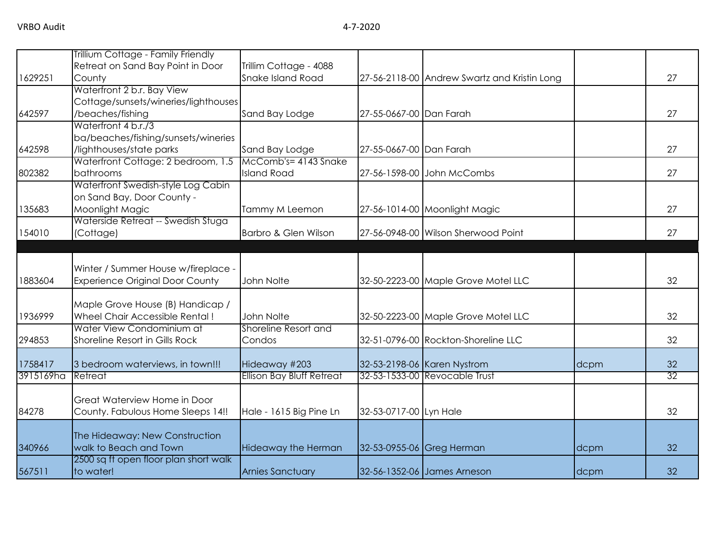|           | Trillium Cottage - Family Friendly     |                                  |                           |                                              |      |                 |
|-----------|----------------------------------------|----------------------------------|---------------------------|----------------------------------------------|------|-----------------|
|           | Retreat on Sand Bay Point in Door      | Trillim Cottage - 4088           |                           |                                              |      |                 |
| 1629251   | County                                 | <b>Snake Island Road</b>         |                           | 27-56-2118-00 Andrew Swartz and Kristin Long |      | 27              |
|           | Waterfront 2 b.r. Bay View             |                                  |                           |                                              |      |                 |
|           | Cottage/sunsets/wineries/lighthouses   |                                  |                           |                                              |      |                 |
| 642597    | /beaches/fishing                       | Sand Bay Lodge                   | 27-55-0667-00 Dan Farah   |                                              |      | 27              |
|           | Waterfront 4 b.r./3                    |                                  |                           |                                              |      |                 |
|           | ba/beaches/fishing/sunsets/wineries    |                                  |                           |                                              |      |                 |
| 642598    | /lighthouses/state parks               | Sand Bay Lodge                   | 27-55-0667-00 Dan Farah   |                                              |      | 27              |
|           | Waterfront Cottage: 2 bedroom, 1.5     | McComb's= 4143 Snake             |                           |                                              |      |                 |
| 802382    | bathrooms                              | <b>Island Road</b>               |                           | 27-56-1598-00 John McCombs                   |      | 27              |
|           | Waterfront Swedish-style Log Cabin     |                                  |                           |                                              |      |                 |
|           | on Sand Bay, Door County -             |                                  |                           |                                              |      |                 |
| 135683    | Moonlight Magic                        | Tammy M Leemon                   |                           | 27-56-1014-00 Moonlight Magic                |      | 27              |
|           | Waterside Retreat -- Swedish Stuga     |                                  |                           |                                              |      |                 |
| 154010    | (Cottage)                              | Barbro & Glen Wilson             |                           | 27-56-0948-00 Wilson Sherwood Point          |      | 27              |
|           |                                        |                                  |                           |                                              |      |                 |
|           |                                        |                                  |                           |                                              |      |                 |
|           | Winter / Summer House w/fireplace -    |                                  |                           |                                              |      |                 |
| 1883604   | <b>Experience Original Door County</b> | John Nolte                       |                           | 32-50-2223-00 Maple Grove Motel LLC          |      | 32              |
|           |                                        |                                  |                           |                                              |      |                 |
|           | Maple Grove House (B) Handicap /       |                                  |                           |                                              |      |                 |
| 1936999   | Wheel Chair Accessible Rental!         | John Nolte                       |                           | 32-50-2223-00 Maple Grove Motel LLC          |      | 32              |
|           | Water View Condominium at              | Shoreline Resort and             |                           |                                              |      |                 |
| 294853    | Shoreline Resort in Gills Rock         | Condos                           |                           | 32-51-0796-00 Rockton-Shoreline LLC          |      | 32              |
| 1758417   | 3 bedroom waterviews, in town!!!       | Hideaway #203                    |                           | 32-53-2198-06 Karen Nystrom                  | dcpm | 32              |
| 3915169ha | Retreat                                | <b>Ellison Bay Bluff Retreat</b> |                           | 32-53-1533-00 Revocable Trust                |      | $\overline{32}$ |
|           |                                        |                                  |                           |                                              |      |                 |
|           | Great Waterview Home in Door           |                                  |                           |                                              |      |                 |
| 84278     | County. Fabulous Home Sleeps 14!!      | Hale - 1615 Big Pine Ln          | 32-53-0717-00 Lyn Hale    |                                              |      | 32              |
|           |                                        |                                  |                           |                                              |      |                 |
|           | The Hideaway: New Construction         |                                  |                           |                                              |      |                 |
| 340966    | walk to Beach and Town                 | Hideaway the Herman              | 32-53-0955-06 Greg Herman |                                              | dcpm | 32              |
|           | 2500 sq ft open floor plan short walk  |                                  |                           |                                              |      |                 |
| 567511    | to water!                              | <b>Arnies Sanctuary</b>          |                           | 32-56-1352-06 James Arneson                  | dcpm | 32              |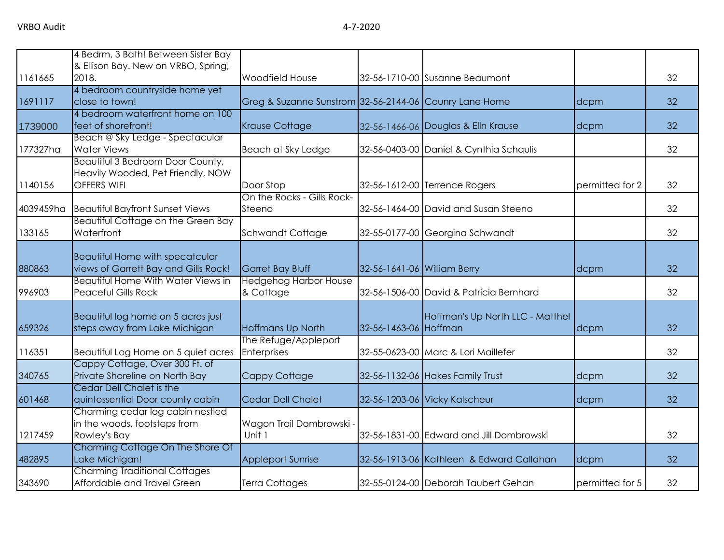|           | 4 Bedrm, 3 Bath! Between Sister Bay                                                 |                                                        |                             |                                          |                 |    |
|-----------|-------------------------------------------------------------------------------------|--------------------------------------------------------|-----------------------------|------------------------------------------|-----------------|----|
|           | & Ellison Bay. New on VRBO, Spring,                                                 |                                                        |                             |                                          |                 |    |
| 1161665   | 2018.                                                                               | Woodfield House                                        |                             | 32-56-1710-00 Susanne Beaumont           |                 | 32 |
| 1691117   | 4 bedroom countryside home yet<br>close to town!                                    | Greg & Suzanne Sunstrom 32-56-2144-06 Counry Lane Home |                             |                                          | dcpm            | 32 |
|           | 4 bedroom waterfront home on 100                                                    |                                                        |                             |                                          |                 |    |
| 1739000   | feet of shorefront!                                                                 | <b>Krause Cottage</b>                                  |                             | 32-56-1466-06 Douglas & Elln Krause      | dcpm            | 32 |
|           | Beach @ Sky Ledge - Spectacular                                                     |                                                        |                             |                                          |                 |    |
| 177327ha  | <b>Water Views</b>                                                                  | Beach at Sky Ledge                                     |                             | 32-56-0403-00 Daniel & Cynthia Schaulis  |                 | 32 |
|           | Beautiful 3 Bedroom Door County,                                                    |                                                        |                             |                                          |                 |    |
|           | Heavily Wooded, Pet Friendly, NOW                                                   |                                                        |                             |                                          |                 |    |
| 1140156   | <b>OFFERS WIFI</b>                                                                  | Door Stop                                              |                             | 32-56-1612-00 Terrence Rogers            | permitted for 2 | 32 |
|           |                                                                                     | On the Rocks - Gills Rock-                             |                             |                                          |                 |    |
| 4039459ha | <b>Beautiful Bayfront Sunset Views</b><br><b>Beautiful Cottage on the Green Bay</b> | Steeno                                                 |                             | 32-56-1464-00 David and Susan Steeno     |                 | 32 |
| 133165    | Waterfront                                                                          | Schwandt Cottage                                       |                             | 32-55-0177-00 Georgina Schwandt          |                 | 32 |
|           |                                                                                     |                                                        |                             |                                          |                 |    |
|           | <b>Beautiful Home with specatcular</b>                                              |                                                        |                             |                                          |                 |    |
| 880863    | views of Garrett Bay and Gills Rock!                                                | <b>Garret Bay Bluff</b>                                | 32-56-1641-06 William Berry |                                          | dcpm            | 32 |
|           | Beautiful Home With Water Views in                                                  | <b>Hedgehog Harbor House</b>                           |                             |                                          |                 |    |
| 996903    | <b>Peaceful Gills Rock</b>                                                          | & Cottage                                              |                             | 32-56-1506-00 David & Patricia Bernhard  |                 | 32 |
|           |                                                                                     |                                                        |                             |                                          |                 |    |
|           | Beautiful log home on 5 acres just                                                  |                                                        |                             | Hoffman's Up North LLC - Matthel         |                 |    |
| 659326    | steps away from Lake Michigan                                                       | Hoffmans Up North                                      | 32-56-1463-06 Hoffman       |                                          | dcpm            | 32 |
|           |                                                                                     | The Refuge/Appleport                                   |                             |                                          |                 |    |
| 116351    | Beautiful Log Home on 5 quiet acres                                                 | Enterprises                                            |                             | 32-55-0623-00 Marc & Lori Maillefer      |                 | 32 |
|           | Cappy Cottage, Over 300 Ft. of                                                      |                                                        |                             |                                          |                 |    |
| 340765    | Private Shoreline on North Bay                                                      | Cappy Cottage                                          |                             | 32-56-1132-06 Hakes Family Trust         | dcpm            | 32 |
|           | Cedar Dell Chalet is the                                                            |                                                        |                             |                                          |                 |    |
| 601468    | quintessential Door county cabin                                                    | Cedar Dell Chalet                                      |                             | 32-56-1203-06 Vicky Kalscheur            | dcpm            | 32 |
|           | Charming cedar log cabin nestled                                                    |                                                        |                             |                                          |                 |    |
|           | in the woods, footsteps from                                                        | Wagon Trail Dombrowski -                               |                             |                                          |                 |    |
| 1217459   | Rowley's Bay                                                                        | Unit 1                                                 |                             | 32-56-1831-00 Edward and Jill Dombrowski |                 | 32 |
| 482895    | Charming Cottage On The Shore Of                                                    |                                                        |                             |                                          |                 | 32 |
|           | Lake Michigan!<br><b>Charming Traditional Cottages</b>                              | <b>Appleport Sunrise</b>                               |                             | 32-56-1913-06 Kathleen & Edward Callahan | dcpm            |    |
| 343690    | Affordable and Travel Green                                                         | Terra Cottages                                         |                             | 32-55-0124-00 Deborah Taubert Gehan      | permitted for 5 | 32 |
|           |                                                                                     |                                                        |                             |                                          |                 |    |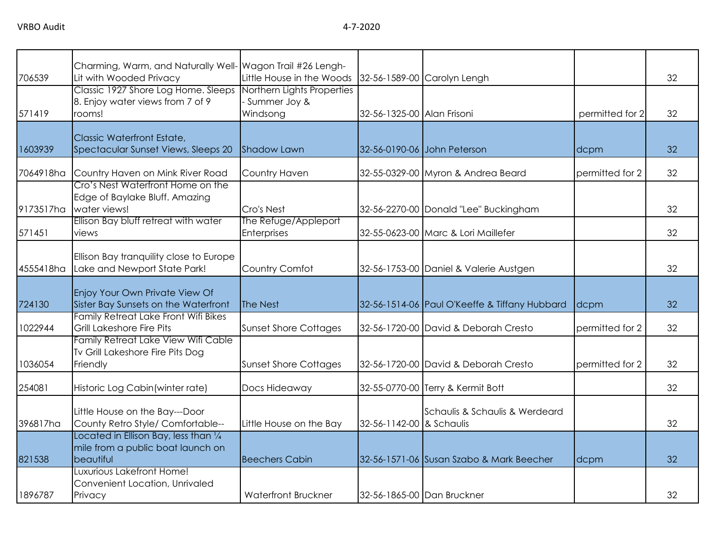|           | Charming, Warm, and Naturally Well- Wagon Trail #26 Lengh- |                              |                            |                                               |                 |    |
|-----------|------------------------------------------------------------|------------------------------|----------------------------|-----------------------------------------------|-----------------|----|
| 706539    | Lit with Wooded Privacy                                    | Little House in the Woods    |                            | 32-56-1589-00 Carolyn Lengh                   |                 | 32 |
|           | Classic 1927 Shore Log Home. Sleeps                        | Northern Lights Properties   |                            |                                               |                 |    |
|           | 8. Enjoy water views from 7 of 9                           | - Summer Joy &               |                            |                                               |                 |    |
| 571419    | rooms!                                                     | Windsong                     | 32-56-1325-00 Alan Frisoni |                                               | permitted for 2 | 32 |
|           |                                                            |                              |                            |                                               |                 |    |
|           | Classic Waterfront Estate,                                 |                              |                            |                                               |                 |    |
| 1603939   | Spectacular Sunset Views, Sleeps 20                        | <b>Shadow Lawn</b>           |                            | 32-56-0190-06 John Peterson                   | dcpm            | 32 |
|           |                                                            |                              |                            |                                               |                 |    |
| 7064918ha | Country Haven on Mink River Road                           | Country Haven                |                            | 32-55-0329-00 Myron & Andrea Beard            | permitted for 2 | 32 |
|           | Cro's Nest Waterfront Home on the                          |                              |                            |                                               |                 |    |
|           | Edge of Baylake Bluff. Amazing                             |                              |                            |                                               |                 |    |
| 9173517ha | water views!                                               | Cro's Nest                   |                            |                                               |                 | 32 |
|           |                                                            |                              |                            | 32-56-2270-00 Donald "Lee" Buckingham         |                 |    |
|           | Ellison Bay bluff retreat with water                       | The Refuge/Appleport         |                            |                                               |                 |    |
| 571451    | views                                                      | Enterprises                  |                            | 32-55-0623-00 Marc & Lori Maillefer           |                 | 32 |
|           |                                                            |                              |                            |                                               |                 |    |
|           | Ellison Bay tranquility close to Europe                    |                              |                            |                                               |                 |    |
| 4555418ha | Lake and Newport State Park!                               | Country Comfot               |                            | 32-56-1753-00 Daniel & Valerie Austgen        |                 | 32 |
|           |                                                            |                              |                            |                                               |                 |    |
|           | Enjoy Your Own Private View Of                             |                              |                            |                                               |                 |    |
| 724130    | Sister Bay Sunsets on the Waterfront                       | The Nest                     |                            | 32-56-1514-06 Paul O'Keeffe & Tiffany Hubbard | dcpm            | 32 |
|           | Family Retreat Lake Front Wifi Bikes                       |                              |                            |                                               |                 |    |
| 1022944   | Grill Lakeshore Fire Pits                                  | <b>Sunset Shore Cottages</b> |                            | 32-56-1720-00 David & Deborah Cresto          | permitted for 2 | 32 |
|           | Family Retreat Lake View Wifi Cable                        |                              |                            |                                               |                 |    |
|           | Tv Grill Lakeshore Fire Pits Dog                           |                              |                            |                                               |                 |    |
| 1036054   |                                                            |                              |                            | 32-56-1720-00 David & Deborah Cresto          |                 | 32 |
|           | Friendly                                                   | <b>Sunset Shore Cottages</b> |                            |                                               | permitted for 2 |    |
|           |                                                            |                              |                            |                                               |                 |    |
| 254081    | Historic Log Cabin (winter rate)                           | Docs Hideaway                |                            | 32-55-0770-00 Terry & Kermit Bott             |                 | 32 |
|           |                                                            |                              |                            |                                               |                 |    |
|           | Little House on the Bay---Door                             |                              |                            | Schaulis & Schaulis & Werdeard                |                 |    |
| 396817ha  | County Retro Style/ Comfortable--                          | Little House on the Bay      | 32-56-1142-00 & Schaulis   |                                               |                 | 32 |
|           | Located in Ellison Bay, less than $\frac{1}{4}$            |                              |                            |                                               |                 |    |
|           | mile from a public boat launch on                          |                              |                            |                                               |                 |    |
| 821538    | beautiful                                                  | <b>Beechers Cabin</b>        |                            | 32-56-1571-06 Susan Szabo & Mark Beecher      | dcpm            | 32 |
|           | Luxurious Lakefront Home!                                  |                              |                            |                                               |                 |    |
|           | Convenient Location, Unrivaled                             |                              |                            |                                               |                 |    |
| 1896787   | Privacy                                                    | Waterfront Bruckner          |                            | 32-56-1865-00 Dan Bruckner                    |                 | 32 |
|           |                                                            |                              |                            |                                               |                 |    |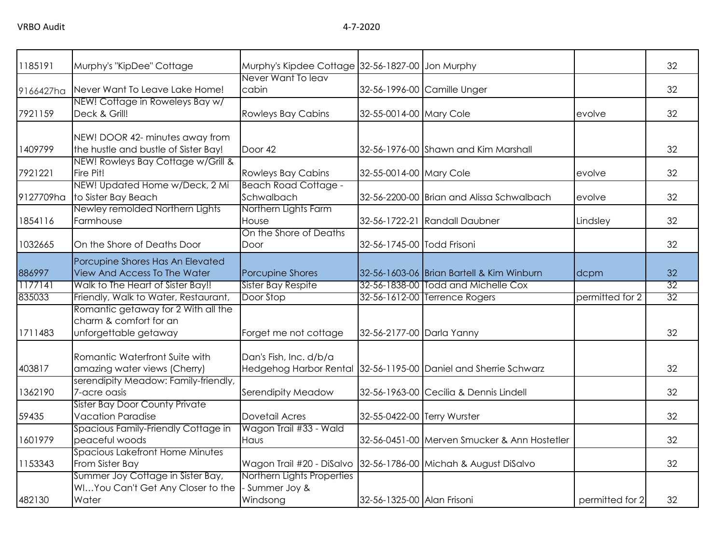| 1185191   | Murphy's "KipDee" Cottage             | Murphy's Kipdee Cottage 32-56-1827-00 Jon Murphy                |                             |                                                                 |                 | 32              |
|-----------|---------------------------------------|-----------------------------------------------------------------|-----------------------------|-----------------------------------------------------------------|-----------------|-----------------|
|           |                                       | Never Want To leav                                              |                             |                                                                 |                 |                 |
| 9166427ha | Never Want To Leave Lake Home!        | cabin                                                           |                             | 32-56-1996-00 Camille Unger                                     |                 | 32              |
|           | NEW! Cottage in Roweleys Bay w/       |                                                                 |                             |                                                                 |                 |                 |
| 7921159   | Deck & Grill!                         | <b>Rowleys Bay Cabins</b>                                       | 32-55-0014-00 Mary Cole     |                                                                 | evolve          | 32              |
|           | NEW! DOOR 42- minutes away from       |                                                                 |                             |                                                                 |                 |                 |
| 1409799   | the hustle and bustle of Sister Bay!  | Door 42                                                         |                             | 32-56-1976-00 Shawn and Kim Marshall                            |                 | 32              |
|           | NEW! Rowleys Bay Cottage w/Grill &    |                                                                 |                             |                                                                 |                 |                 |
| 7921221   | Fire Pit!                             | <b>Rowleys Bay Cabins</b>                                       | 32-55-0014-00 Mary Cole     |                                                                 | evolve          | 32              |
|           | NEW! Updated Home w/Deck, 2 Mi        | <b>Beach Road Cottage -</b>                                     |                             |                                                                 |                 |                 |
| 9127709ha | to Sister Bay Beach                   | Schwalbach                                                      |                             | 32-56-2200-00 Brian and Alissa Schwalbach                       | evolve          | 32              |
|           | Newley remolded Northern Lights       | Northern Lights Farm                                            |                             |                                                                 |                 |                 |
| 1854116   | Farmhouse                             | House                                                           |                             | 32-56-1722-21 Randall Daubner                                   | Lindsley        | 32              |
|           |                                       | On the Shore of Deaths                                          |                             |                                                                 |                 |                 |
| 1032665   | On the Shore of Deaths Door           | Door                                                            | 32-56-1745-00 Todd Frisoni  |                                                                 |                 | 32              |
|           | Porcupine Shores Has An Elevated      |                                                                 |                             |                                                                 |                 |                 |
| 886997    | View And Access To The Water          | <b>Porcupine Shores</b>                                         |                             | 32-56-1603-06 Brian Bartell & Kim Winburn                       | dcpm            | 32              |
| 1177141   | Walk to The Heart of Sister Bay!!     | <b>Sister Bay Respite</b>                                       |                             | 32-56-1838-00 Todd and Michelle Cox                             |                 | $\overline{32}$ |
| 835033    | Friendly, Walk to Water, Restaurant,  | Door Stop                                                       |                             | 32-56-1612-00 Terrence Rogers                                   | permitted for 2 | 32              |
|           | Romantic getaway for 2 With all the   |                                                                 |                             |                                                                 |                 |                 |
|           | charm & comfort for an                |                                                                 |                             |                                                                 |                 |                 |
| 1711483   | unforgettable getaway                 | Forget me not cottage                                           | 32-56-2177-00 Darla Yanny   |                                                                 |                 | 32              |
|           | Romantic Waterfront Suite with        | Dan's Fish, Inc. d/b/a                                          |                             |                                                                 |                 |                 |
| 403817    | amazing water views (Cherry)          |                                                                 |                             | Hedgehog Harbor Rental 32-56-1195-00 Daniel and Sherrie Schwarz |                 | 32              |
|           | serendipity Meadow: Family-friendly,  |                                                                 |                             |                                                                 |                 |                 |
| 1362190   | 7-acre oasis                          | Serendipity Meadow                                              |                             | 32-56-1963-00 Cecilia & Dennis Lindell                          |                 | 32              |
|           | <b>Sister Bay Door County Private</b> |                                                                 |                             |                                                                 |                 |                 |
| 59435     | <b>Vacation Paradise</b>              | Dovetail Acres                                                  | 32-55-0422-00 Terry Wurster |                                                                 |                 | 32              |
|           | Spacious Family-Friendly Cottage in   | Wagon Trail #33 - Wald                                          |                             |                                                                 |                 |                 |
| 1601979   | peaceful woods                        | Haus                                                            |                             | 32-56-0451-00 Merven Smucker & Ann Hostetler                    |                 | 32              |
|           | Spacious Lakefront Home Minutes       |                                                                 |                             |                                                                 |                 |                 |
| 1153343   | From Sister Bay                       | Wagon Trail #20 - DiSalvo 32-56-1786-00 Michah & August DiSalvo |                             |                                                                 |                 | 32              |
|           | Summer Joy Cottage in Sister Bay,     | Northern Lights Properties                                      |                             |                                                                 |                 |                 |
|           | WIYou Can't Get Any Closer to the     | - Summer Joy &                                                  |                             |                                                                 |                 |                 |
| 482130    | Water                                 | Windsong                                                        | 32-56-1325-00 Alan Frisoni  |                                                                 | permitted for 2 | 32              |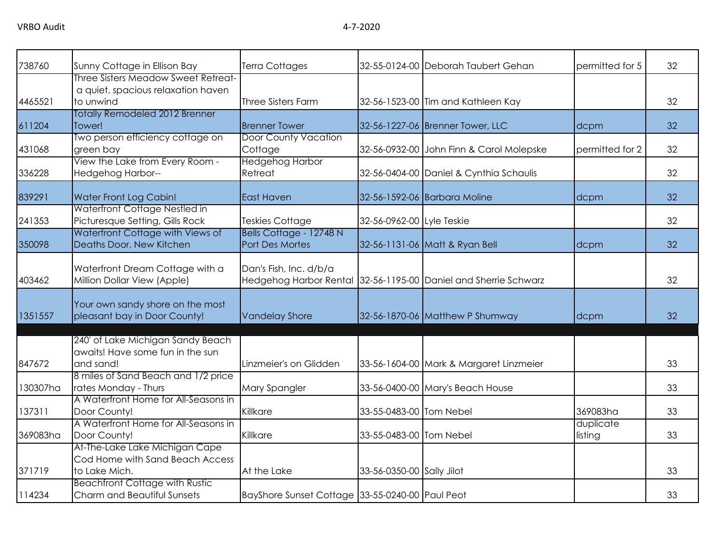| 738760   | Sunny Cottage in Ellison Bay                                                           | Terra Cottages                                  |                           | 32-55-0124-00 Deborah Taubert Gehan                             | permitted for 5      | 32 |
|----------|----------------------------------------------------------------------------------------|-------------------------------------------------|---------------------------|-----------------------------------------------------------------|----------------------|----|
| 4465521  | Three Sisters Meadow Sweet Retreat-<br>a quiet, spacious relaxation haven<br>to unwind | <b>Three Sisters Farm</b>                       |                           | 32-56-1523-00 Tim and Kathleen Kay                              |                      | 32 |
| 611204   | Totally Remodeled 2012 Brenner<br>Tower!                                               | <b>Brenner Tower</b>                            |                           | 32-56-1227-06 Brenner Tower, LLC                                | dcpm                 | 32 |
| 431068   | Two person efficiency cottage on<br>green bay                                          | <b>Door County Vacation</b><br>Cottage          |                           | 32-56-0932-00 John Finn & Carol Molepske                        | permitted for 2      | 32 |
| 336228   | View the Lake from Every Room -<br>Hedgehog Harbor--                                   | <b>Hedgehog Harbor</b><br>Retreat               |                           | 32-56-0404-00 Daniel & Cynthia Schaulis                         |                      | 32 |
| 839291   | Water Front Log Cabin!                                                                 | <b>East Haven</b>                               |                           | 32-56-1592-06 Barbara Moline                                    | dcpm                 | 32 |
| 241353   | Waterfront Cottage Nestled in<br>Picturesque Setting, Gills Rock                       | <b>Teskies Cottage</b>                          | 32-56-0962-00 Lyle Teskie |                                                                 |                      | 32 |
| 350098   | Waterfront Cottage with Views of<br>Deaths Door, New Kitchen                           | Bells Cottage - 12748 N<br>Port Des Mortes      |                           | 32-56-1131-06 Matt & Ryan Bell                                  | dcpm                 | 32 |
| 403462   | Waterfront Dream Cottage with a<br>Million Dollar View (Apple)                         | Dan's Fish, Inc. d/b/a                          |                           | Hedgehog Harbor Rental 32-56-1195-00 Daniel and Sherrie Schwarz |                      | 32 |
| 1351557  | Your own sandy shore on the most<br>pleasant bay in Door County!                       | <b>Vandelay Shore</b>                           |                           | 32-56-1870-06 Matthew P Shumway                                 | dcpm                 | 32 |
| 847672   | 240' of Lake Michigan Sandy Beach<br>awaits! Have some fun in the sun<br>and sand!     | Linzmeier's on Glidden                          |                           | 33-56-1604-00 Mark & Margaret Linzmeier                         |                      | 33 |
| 130307ha | 8 miles of Sand Beach and 1/2 price<br>rates Monday - Thurs                            | Mary Spangler                                   |                           | 33-56-0400-00 Mary's Beach House                                |                      | 33 |
| 137311   | A Waterfront Home for All-Seasons in<br>Door County!                                   | Killkare                                        | 33-55-0483-00 Tom Nebel   |                                                                 | 369083ha             | 33 |
| 369083ha | A Waterfront Home for All-Seasons in<br>Door County!                                   | Killkare                                        | 33-55-0483-00 Tom Nebel   |                                                                 | duplicate<br>listing | 33 |
| 371719   | At-The-Lake Lake Michigan Cape<br>Cod Home with Sand Beach Access<br>to Lake Mich.     | At the Lake                                     | 33-56-0350-00 Sally Jilot |                                                                 |                      | 33 |
| 114234   | <b>Beachfront Cottage with Rustic</b><br>Charm and Beautiful Sunsets                   | BayShore Sunset Cottage 33-55-0240-00 Paul Peot |                           |                                                                 |                      | 33 |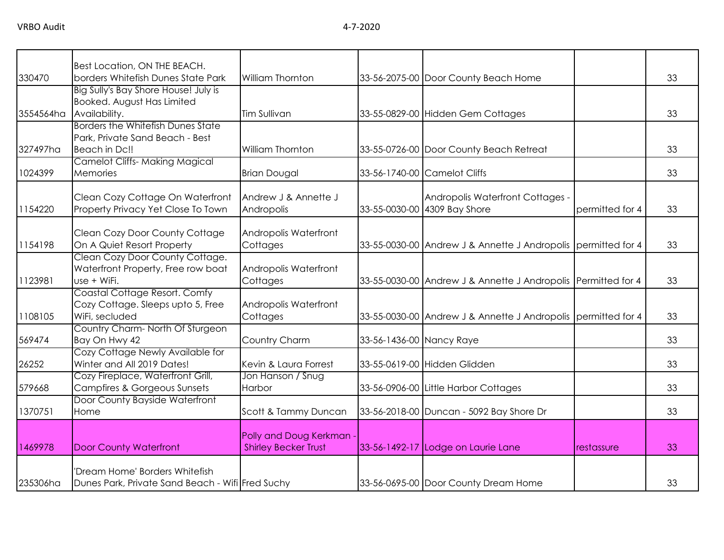|           | Best Location, ON THE BEACH.                      |                                                       |                          |                                                               |                 |    |
|-----------|---------------------------------------------------|-------------------------------------------------------|--------------------------|---------------------------------------------------------------|-----------------|----|
| 330470    | borders Whitefish Dunes State Park                | William Thornton                                      |                          | 33-56-2075-00 Door County Beach Home                          |                 | 33 |
|           | Big Sully's Bay Shore House! July is              |                                                       |                          |                                                               |                 |    |
|           | Booked. August Has Limited                        |                                                       |                          |                                                               |                 |    |
| 3554564ha | Availability.                                     | <b>Tim Sullivan</b>                                   |                          | 33-55-0829-00 Hidden Gem Cottages                             |                 | 33 |
|           | <b>Borders the Whitefish Dunes State</b>          |                                                       |                          |                                                               |                 |    |
|           | Park, Private Sand Beach - Best                   |                                                       |                          |                                                               |                 |    |
| 327497ha  | Beach in Dc!!                                     | William Thornton                                      |                          | 33-55-0726-00 Door County Beach Retreat                       |                 | 33 |
|           | <b>Camelot Cliffs- Making Magical</b>             |                                                       |                          |                                                               |                 |    |
| 1024399   | Memories                                          | <b>Brian Dougal</b>                                   |                          | 33-56-1740-00 Camelot Cliffs                                  |                 | 33 |
|           |                                                   |                                                       |                          |                                                               |                 |    |
|           | Clean Cozy Cottage On Waterfront                  | Andrew J & Annette J                                  |                          | Andropolis Waterfront Cottages -                              |                 |    |
| 1154220   | Property Privacy Yet Close To Town                | Andropolis                                            |                          | 33-55-0030-00 4309 Bay Shore                                  | permitted for 4 | 33 |
|           |                                                   |                                                       |                          |                                                               |                 |    |
|           | Clean Cozy Door County Cottage                    | Andropolis Waterfront                                 |                          |                                                               |                 |    |
| 1154198   | On A Quiet Resort Property                        | Cottages                                              |                          | 33-55-0030-00 Andrew J & Annette J Andropolis permitted for 4 |                 | 33 |
|           | Clean Cozy Door County Cottage.                   |                                                       |                          |                                                               |                 |    |
|           |                                                   |                                                       |                          |                                                               |                 |    |
| 1123981   | Waterfront Property, Free row boat<br>use + WiFi. | Andropolis Waterfront<br>Cottages                     |                          | 33-55-0030-00 Andrew J & Annette J Andropolis Permitted for 4 |                 | 33 |
|           | Coastal Cottage Resort. Comfy                     |                                                       |                          |                                                               |                 |    |
|           | Cozy Cottage. Sleeps upto 5, Free                 |                                                       |                          |                                                               |                 |    |
| 1108105   | WiFi, secluded                                    | Andropolis Waterfront                                 |                          |                                                               |                 | 33 |
|           | Country Charm- North Of Sturgeon                  | Cottages                                              |                          | 33-55-0030-00 Andrew J & Annette J Andropolis permitted for 4 |                 |    |
| 569474    | Bay On Hwy 42                                     | Country Charm                                         |                          |                                                               |                 | 33 |
|           | Cozy Cottage Newly Available for                  |                                                       | 33-56-1436-00 Nancy Raye |                                                               |                 |    |
| 26252     | Winter and All 2019 Dates!                        |                                                       |                          | 33-55-0619-00 Hidden Glidden                                  |                 | 33 |
|           | Cozy Fireplace, Waterfront Grill,                 | Kevin & Laura Forrest<br>Jon Hanson / Snug            |                          |                                                               |                 |    |
| 579668    | <b>Campfires &amp; Gorgeous Sunsets</b>           | Harbor                                                |                          |                                                               |                 | 33 |
|           | Door County Bayside Waterfront                    |                                                       |                          | 33-56-0906-00 Little Harbor Cottages                          |                 |    |
| 1370751   |                                                   | Scott & Tammy Duncan                                  |                          |                                                               |                 | 33 |
|           | Home                                              |                                                       |                          | 33-56-2018-00 Duncan - 5092 Bay Shore Dr                      |                 |    |
|           |                                                   |                                                       |                          |                                                               |                 |    |
| 1469978   | <b>Door County Waterfront</b>                     | Polly and Doug Kerkman<br><b>Shirley Becker Trust</b> |                          |                                                               | restassure      | 33 |
|           |                                                   |                                                       |                          | 33-56-1492-17 Lodge on Laurie Lane                            |                 |    |
|           | 'Dream Home' Borders Whitefish                    |                                                       |                          |                                                               |                 |    |
| 235306ha  |                                                   |                                                       |                          | 33-56-0695-00 Door County Dream Home                          |                 | 33 |
|           | Dunes Park, Private Sand Beach - Wifi Fred Suchy  |                                                       |                          |                                                               |                 |    |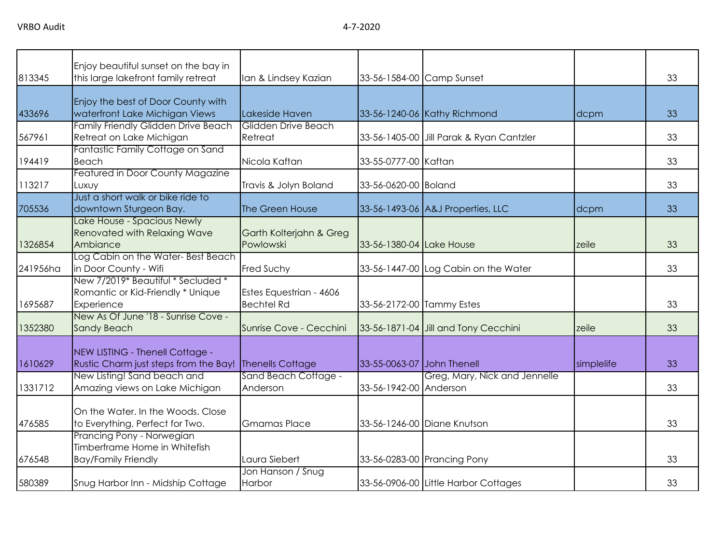| 813345   | Enjoy beautiful sunset on the bay in<br>this large lakefront family retreat              | Ian & Lindsey Kazian                         |                            | 33-56-1584-00 Camp Sunset                |            | 33 |
|----------|------------------------------------------------------------------------------------------|----------------------------------------------|----------------------------|------------------------------------------|------------|----|
| 433696   | Enjoy the best of Door County with<br>waterfront Lake Michigan Views                     | Lakeside Haven                               |                            | 33-56-1240-06 Kathy Richmond             | dcpm       | 33 |
| 567961   | Family Friendly Glidden Drive Beach<br>Retreat on Lake Michigan                          | Glidden Drive Beach<br>Retreat               |                            | 33-56-1405-00 Jill Parak & Ryan Cantzler |            | 33 |
| 194419   | Fantastic Family Cottage on Sand<br>Beach                                                | Nicola Kaftan                                | 33-55-0777-00 Kaftan       |                                          |            | 33 |
| 113217   | Featured in Door County Magazine<br>Luxuy                                                | Travis & Jolyn Boland                        | 33-56-0620-00 Boland       |                                          |            | 33 |
| 705536   | Just a short walk or bike ride to<br>downtown Sturgeon Bay.                              | The Green House                              |                            | 33-56-1493-06 A&J Properties, LLC        | dcpm       | 33 |
| 1326854  | Lake House - Spacious Newly<br><b>Renovated with Relaxing Wave</b><br>Ambiance           | Garth Kolterjahn & Greg<br>Powlowski         | 33-56-1380-04 Lake House   |                                          | zeile      | 33 |
| 241956ha | Log Cabin on the Water-Best Beach<br>in Door County - Wifi                               | Fred Suchy                                   |                            | 33-56-1447-00 Log Cabin on the Water     |            | 33 |
| 1695687  | New 7/2019* Beautiful * Secluded *<br>Romantic or Kid-Friendly * Unique<br>Experience    | Estes Equestrian - 4606<br><b>Bechtel Rd</b> | 33-56-2172-00 Tammy Estes  |                                          |            | 33 |
| 1352380  | New As Of June '18 - Sunrise Cove -<br><b>Sandy Beach</b>                                | Sunrise Cove - Cecchini                      |                            | 33-56-1871-04 Jill and Tony Cecchini     | zeile      | 33 |
| 1610629  | NEW LISTING - Thenell Cottage -<br>Rustic Charm just steps from the Bay!                 | Thenells Cottage                             | 33-55-0063-07 John Thenell |                                          | simplelife | 33 |
| 1331712  | New Listing! Sand beach and<br>Amazing views on Lake Michigan                            | Sand Beach Cottage -<br>Anderson             | 33-56-1942-00 Anderson     | Greg, Mary, Nick and Jennelle            |            | 33 |
| 476585   | On the Water. In the Woods. Close<br>to Everything. Perfect for Two.                     | <b>Gmamas Place</b>                          |                            | 33-56-1246-00 Diane Knutson              |            | 33 |
| 676548   | Prancing Pony - Norwegian<br>Timberframe Home in Whitefish<br><b>Bay/Family Friendly</b> | Laura Siebert                                |                            | 33-56-0283-00 Prancing Pony              |            | 33 |
| 580389   | Snug Harbor Inn - Midship Cottage                                                        | Jon Hanson / Snug<br>Harbor                  |                            | 33-56-0906-00 Little Harbor Cottages     |            | 33 |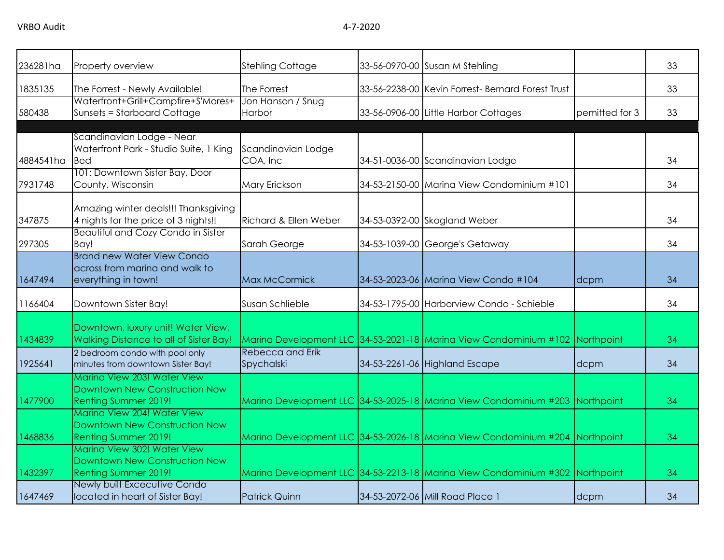| 236281ha           | <b>Property overview</b>                                                                                                                            | <b>Stehling Cottage</b>               | 33-56-0970-00 Susan M Stehling                                                                                |                    | 33       |
|--------------------|-----------------------------------------------------------------------------------------------------------------------------------------------------|---------------------------------------|---------------------------------------------------------------------------------------------------------------|--------------------|----------|
| 1835135            | The Forrest - Newly Available!                                                                                                                      | The Forrest                           | 33-56-2238-00 Kevin Forrest- Bernard Forest Trust                                                             |                    | 33       |
| 580438             | Waterfront+Grill+Campfire+S'Mores+<br><b>Sunsets = Starboard Cottage</b>                                                                            | Jon Hanson / Snug<br>Harbor           | 33-56-0906-00 Little Harbor Cottages                                                                          | pemitted for 3     | 33       |
| 4884541ha          | Scandinavian Lodge - Near<br>Waterfront Park - Studio Suite, 1 King<br><b>Bed</b>                                                                   | Scandinavian Lodge<br>COA, Inc        | 34-51-0036-00 Scandinavian Lodge                                                                              |                    | 34       |
| 7931748            | 101: Downtown Sister Bay, Door<br>County, Wisconsin                                                                                                 | Mary Erickson                         | 34-53-2150-00 Marina View Condominium #101                                                                    |                    | 34       |
| 347875             | Amazing winter deals!!! Thanksgiving<br>4 nights for the price of 3 nights!!                                                                        | Richard & Ellen Weber                 | 34-53-0392-00 Skogland Weber                                                                                  |                    | 34       |
| 297305             | <b>Beautiful and Cozy Condo in Sister</b><br>Bay!                                                                                                   | Sarah George                          | 34-53-1039-00 George's Getaway                                                                                |                    | 34       |
| 1647494            | <b>Brand new Water View Condo</b><br>across from marina and walk to<br>everything in town!                                                          | Max McCormick                         | 34-53-2023-06 Marina View Condo #104                                                                          | dcpm               | 34       |
| 1166404            | Downtown Sister Bay!                                                                                                                                | Susan Schlieble                       | 34-53-1795-00 Harborview Condo - Schieble                                                                     |                    | 34       |
| 1434839<br>1925641 | Downtown, luxury unit! Water View,<br>Walking Distance to all of Sister Bay!<br>2 bedroom condo with pool only<br>minutes from downtown Sister Bay! | <b>Rebecca and Erik</b><br>Spychalski | Marina Development LLC 34-53-2021-18 Marina View Condominium #102 Northpoint<br>34-53-2261-06 Highland Escape |                    | 34<br>34 |
| 1477900            | Marina View 203! Water View<br>Downtown New Construction Now<br>Renting Summer 2019!                                                                |                                       | Marina Development LLC 34-53-2025-18 Marina View Condominium #203                                             | dcpm<br>Northpoint | 34       |
| 1468836            | Marina View 204! Water View<br>Downtown New Construction Now<br><b>Renting Summer 2019!</b>                                                         |                                       | Marina Development LLC 34-53-2026-18 Marina View Condominium #204 Northpoint                                  |                    | 34       |
| 1432397            | Marina View 302! Water View<br>Downtown New Construction Now<br><b>Renting Summer 2019!</b>                                                         |                                       | Marina Development LLC 34-53-2213-18 Marina View Condominium #302 Northpoint                                  |                    | 34       |
| 1647469            | Newly built Excecutive Condo<br>located in heart of Sister Bay!                                                                                     | <b>Patrick Quinn</b>                  | 34-53-2072-06 Mill Road Place 1                                                                               | dcpm               | 34       |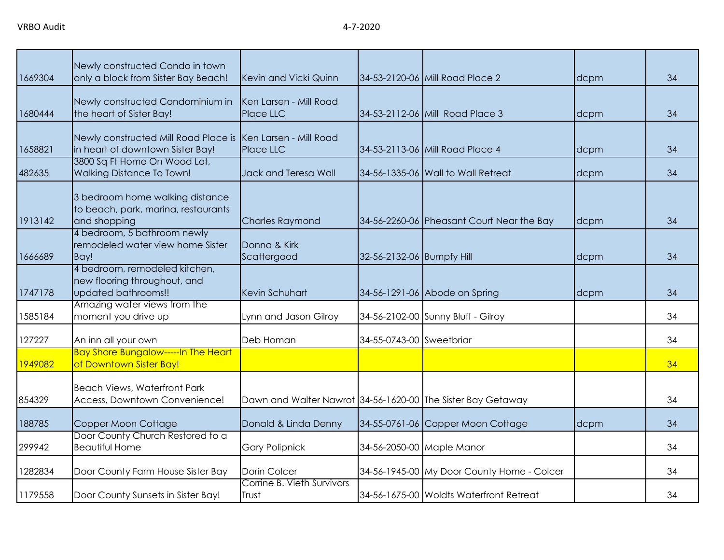| 1669304 | Newly constructed Condo in town<br>only a block from Sister Bay Beach!                 | Kevin and Vicki Quinn                                       |                           | 34-53-2120-06 Mill Road Place 2            | dcpm | 34 |
|---------|----------------------------------------------------------------------------------------|-------------------------------------------------------------|---------------------------|--------------------------------------------|------|----|
| 1680444 | Newly constructed Condominium in<br>the heart of Sister Bay!                           | Ken Larsen - Mill Road<br>Place LLC                         |                           | 34-53-2112-06 Mill Road Place 3            | dcpm | 34 |
| 1658821 | Newly constructed Mill Road Place is<br>in heart of downtown Sister Bay!               | Ken Larsen - Mill Road<br>Place LLC                         |                           | 34-53-2113-06 Mill Road Place 4            | dcpm | 34 |
| 482635  | 3800 Sq Ft Home On Wood Lot,<br><b>Walking Distance To Town!</b>                       | Jack and Teresa Wall                                        |                           | 34-56-1335-06 Wall to Wall Retreat         | dcpm | 34 |
| 1913142 | 3 bedroom home walking distance<br>to beach, park, marina, restaurants<br>and shopping | <b>Charles Raymond</b>                                      |                           | 34-56-2260-06 Pheasant Court Near the Bay  | dcpm | 34 |
| 1666689 | 4 bedroom, 5 bathroom newly<br>remodeled water view home Sister<br>Bay!                | Donna & Kirk<br>Scattergood                                 | 32-56-2132-06 Bumpfy Hill |                                            | dcpm | 34 |
| 1747178 | 4 bedroom, remodeled kitchen,<br>new flooring throughout, and<br>updated bathrooms!!   | Kevin Schuhart                                              |                           | 34-56-1291-06 Abode on Spring              | dcpm | 34 |
| 1585184 | Amazing water views from the<br>moment you drive up                                    | Lynn and Jason Gilroy                                       |                           | 34-56-2102-00 Sunny Bluff - Gilroy         |      | 34 |
| 127227  | An inn all your own                                                                    | Deb Homan                                                   | 34-55-0743-00 Sweetbriar  |                                            |      | 34 |
| 1949082 | <b>Bay Shore Bungalow-----In The Heart</b><br>of Downtown Sister Bay!                  |                                                             |                           |                                            |      | 34 |
| 854329  | <b>Beach Views, Waterfront Park</b><br>Access, Downtown Convenience!                   | Dawn and Walter Nawrot 34-56-1620-00 The Sister Bay Getaway |                           |                                            |      | 34 |
| 188785  | Copper Moon Cottage                                                                    | Donald & Linda Denny                                        |                           | 34-55-0761-06 Copper Moon Cottage          | dcpm | 34 |
| 299942  | Door County Church Restored to a<br><b>Beautiful Home</b>                              | <b>Gary Polipnick</b>                                       |                           | 34-56-2050-00 Maple Manor                  |      | 34 |
| 1282834 | Door County Farm House Sister Bay                                                      | Dorin Colcer                                                |                           | 34-56-1945-00 My Door County Home - Colcer |      | 34 |
| 1179558 | Door County Sunsets in Sister Bay!                                                     | Corrine B. Vieth Survivors<br>Trust                         |                           | 34-56-1675-00 Woldts Waterfront Retreat    |      | 34 |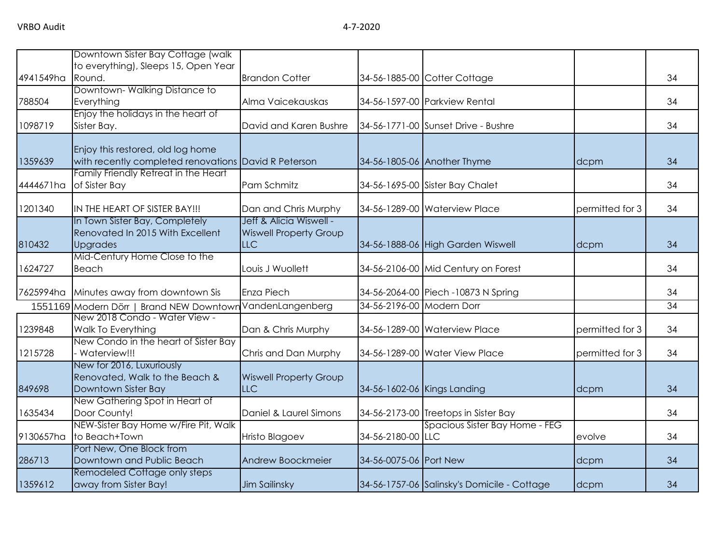|           | Downtown Sister Bay Cottage (walk                                                         |                                             |                           |                                             |                 |    |
|-----------|-------------------------------------------------------------------------------------------|---------------------------------------------|---------------------------|---------------------------------------------|-----------------|----|
| 4941549ha | to everything), Sleeps 15, Open Year<br>Round.                                            | <b>Brandon Cotter</b>                       |                           | 34-56-1885-00 Cotter Cottage                |                 | 34 |
|           | Downtown-Walking Distance to                                                              |                                             |                           |                                             |                 |    |
| 788504    | Everything                                                                                | Alma Vaicekauskas                           |                           | 34-56-1597-00 Parkview Rental               |                 | 34 |
|           | Enjoy the holidays in the heart of                                                        |                                             |                           |                                             |                 |    |
| 1098719   | Sister Bay.                                                                               | David and Karen Bushre                      |                           | 34-56-1771-00 Sunset Drive - Bushre         |                 | 34 |
| 1359639   | Enjoy this restored, old log home<br>with recently completed renovations David R Peterson |                                             |                           | 34-56-1805-06 Another Thyme                 | dcpm            | 34 |
|           | Family Friendly Retreat in the Heart                                                      |                                             |                           |                                             |                 |    |
| 4444671ha | of Sister Bay                                                                             | Pam Schmitz                                 |                           | 34-56-1695-00 Sister Bay Chalet             |                 | 34 |
| 1201340   | IN THE HEART OF SISTER BAY!!!                                                             | Dan and Chris Murphy                        |                           | 34-56-1289-00 Waterview Place               | permitted for 3 | 34 |
|           | In Town Sister Bay, Completely                                                            | Jeff & Alicia Wiswell -                     |                           |                                             |                 |    |
|           | Renovated In 2015 With Excellent                                                          | <b>Wiswell Property Group</b>               |                           |                                             |                 |    |
| 810432    | <b>Upgrades</b>                                                                           | <b>LLC</b>                                  |                           | 34-56-1888-06 High Garden Wiswell           | dcpm            | 34 |
| 1624727   | Mid-Century Home Close to the<br>Beach                                                    | Louis J Wuollett                            |                           | 34-56-2106-00 Mid Century on Forest         |                 | 34 |
| 7625994ha | Minutes away from downtown Sis                                                            | Enza Piech                                  |                           | 34-56-2064-00 Piech -10873 N Spring         |                 | 34 |
|           | 1551169 Modern Dörr   Brand NEW Downtowr                                                  | VandenLangenberg                            | 34-56-2196-00 Modern Dorr |                                             |                 | 34 |
| 1239848   | New 2018 Condo - Water View -<br>Walk To Everything                                       | Dan & Chris Murphy                          |                           | 34-56-1289-00 Waterview Place               | permitted for 3 | 34 |
| 1215728   | New Condo in the heart of Sister Bay<br>- Waterview!!!                                    | Chris and Dan Murphy                        |                           | 34-56-1289-00 Water View Place              | permitted for 3 | 34 |
| 849698    | New for 2016, Luxuriously<br>Renovated, Walk to the Beach &<br>Downtown Sister Bay        | <b>Wiswell Property Group</b><br><b>LLC</b> |                           | 34-56-1602-06 Kings Landing                 | dcpm            | 34 |
| 1635434   | New Gathering Spot in Heart of<br>Door County!                                            | Daniel & Laurel Simons                      |                           | 34-56-2173-00 Treetops in Sister Bay        |                 | 34 |
| 9130657ha | NEW-Sister Bay Home w/Fire Pit, Walk<br>to Beach+Town                                     | Hristo Blagoev                              | 34-56-2180-00 LLC         | Spacious Sister Bay Home - FEG              | evolve          | 34 |
| 286713    | Port New, One Block from<br>Downtown and Public Beach                                     | Andrew Boockmeier                           | 34-56-0075-06 Port New    |                                             | dcpm            | 34 |
| 1359612   | Remodeled Cottage only steps<br>away from Sister Bay!                                     | Jim Sailinsky                               |                           | 34-56-1757-06 Salinsky's Domicile - Cottage | dcpm            | 34 |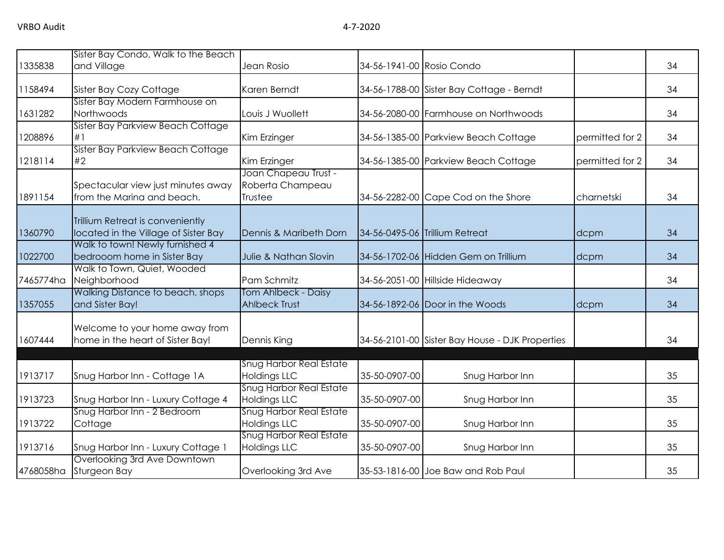|           | Sister Bay Condo, Walk to the Beach                                      |                                                       |                           |                                                 |                 |    |
|-----------|--------------------------------------------------------------------------|-------------------------------------------------------|---------------------------|-------------------------------------------------|-----------------|----|
| 1335838   | and Village                                                              | Jean Rosio                                            | 34-56-1941-00 Rosio Condo |                                                 |                 | 34 |
| 1158494   | Sister Bay Cozy Cottage                                                  | Karen Berndt                                          |                           | 34-56-1788-00 Sister Bay Cottage - Berndt       |                 | 34 |
| 1631282   | Sister Bay Modern Farmhouse on<br>Northwoods                             | Louis J Wuollett                                      |                           | 34-56-2080-00 Farmhouse on Northwoods           |                 | 34 |
| 1208896   | Sister Bay Parkview Beach Cottage<br>#1                                  | Kim Erzinger                                          |                           | 34-56-1385-00 Parkview Beach Cottage            | permitted for 2 | 34 |
| 1218114   | Sister Bay Parkview Beach Cottage<br>#2                                  | Kim Erzinger                                          |                           | 34-56-1385-00 Parkview Beach Cottage            | permitted for 2 | 34 |
| 1891154   | Spectacular view just minutes away<br>from the Marina and beach.         | Joan Chapeau Trust -<br>Roberta Champeau<br>Trustee   |                           | 34-56-2282-00 Cape Cod on the Shore             | charnetski      | 34 |
| 1360790   | Trillium Retreat is conveniently<br>located in the Village of Sister Bay | Dennis & Maribeth Dorn                                |                           | 34-56-0495-06 Trillium Retreat                  | dcpm            | 34 |
| 1022700   | Walk to town! Newly furnished 4<br>bedrooom home in Sister Bay           | Julie & Nathan Slovin                                 |                           | 34-56-1702-06 Hidden Gem on Trillium            | dcpm            | 34 |
| 7465774ha | Walk to Town, Quiet, Wooded<br>Neighborhood                              | Pam Schmitz                                           |                           | 34-56-2051-00 Hillside Hideaway                 |                 | 34 |
| 1357055   | Walking Distance to beach, shops<br>and Sister Bay!                      | Tom Ahlbeck - Daisy<br><b>Ahlbeck Trust</b>           |                           | 34-56-1892-06 Door in the Woods                 | dcpm            | 34 |
| 1607444   | Welcome to your home away from<br>home in the heart of Sister Bay!       | Dennis King                                           |                           | 34-56-2101-00 Sister Bay House - DJK Properties |                 | 34 |
| 1913717   | Snug Harbor Inn - Cottage 1A                                             | <b>Snug Harbor Real Estate</b><br>Holdings LLC        | 35-50-0907-00             | Snug Harbor Inn                                 |                 | 35 |
| 1913723   | Snug Harbor Inn - Luxury Cottage 4                                       | <b>Snug Harbor Real Estate</b><br><b>Holdings LLC</b> | 35-50-0907-00             | Snug Harbor Inn                                 |                 | 35 |
| 1913722   | Snug Harbor Inn - 2 Bedroom<br>Cottage                                   | Snug Harbor Real Estate<br>Holdings LLC               | 35-50-0907-00             | Snug Harbor Inn                                 |                 | 35 |
| 1913716   | Snug Harbor Inn - Luxury Cottage 1                                       | <b>Snug Harbor Real Estate</b><br><b>Holdings LLC</b> | 35-50-0907-00             | Snug Harbor Inn                                 |                 | 35 |
| 4768058ha | Overlooking 3rd Ave Downtown<br>Sturgeon Bay                             | Overlooking 3rd Ave                                   |                           | 35-53-1816-00 Joe Baw and Rob Paul              |                 | 35 |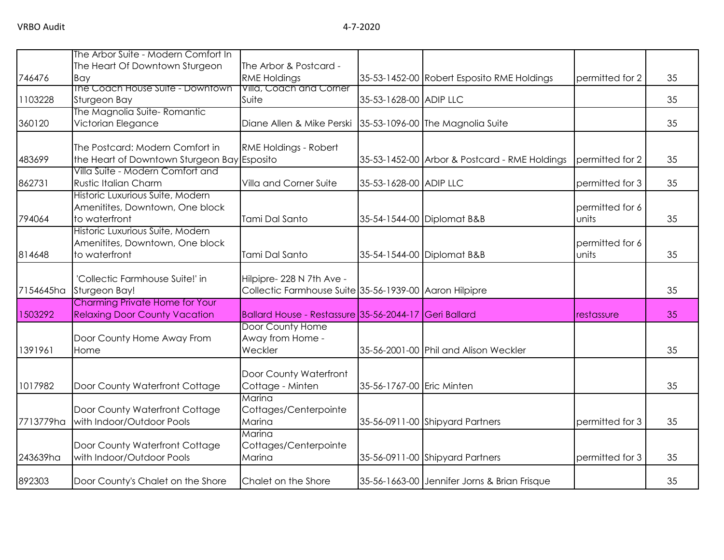|           | The Arbor Suite - Modern Comfort In         |                                                                                     |                           |                                               |                 |    |
|-----------|---------------------------------------------|-------------------------------------------------------------------------------------|---------------------------|-----------------------------------------------|-----------------|----|
|           | The Heart Of Downtown Sturgeon              | The Arbor & Postcard -                                                              |                           |                                               |                 |    |
| 746476    | Bay                                         | <b>RME Holdings</b>                                                                 |                           | 35-53-1452-00 Robert Esposito RME Holdings    | permitted for 2 | 35 |
|           | The Coach House Suite - Downtown            | Villa, Coach and Corner                                                             |                           |                                               |                 |    |
| 1103228   | Sturgeon Bay                                | Suite                                                                               | 35-53-1628-00 ADIP LLC    |                                               |                 | 35 |
|           | The Magnolia Suite-Romantic                 |                                                                                     |                           |                                               |                 |    |
| 360120    | Victorian Elegance                          | Diane Allen & Mike Perski                                                           |                           | 35-53-1096-00 The Magnolia Suite              |                 | 35 |
|           | The Postcard: Modern Comfort in             | <b>RME Holdings - Robert</b>                                                        |                           |                                               |                 |    |
| 483699    | the Heart of Downtown Sturgeon Bay Esposito |                                                                                     |                           | 35-53-1452-00 Arbor & Postcard - RME Holdings | permitted for 2 | 35 |
|           | Villa Suite - Modern Comfort and            |                                                                                     |                           |                                               |                 |    |
| 862731    | Rustic Italian Charm                        | Villa and Corner Suite                                                              | 35-53-1628-00 ADIP LLC    |                                               | permitted for 3 | 35 |
|           | Historic Luxurious Suite, Modern            |                                                                                     |                           |                                               |                 |    |
|           | Amenitites, Downtown, One block             |                                                                                     |                           |                                               | permitted for 6 |    |
| 794064    | to waterfront                               | Tami Dal Santo                                                                      |                           | 35-54-1544-00 Diplomat B&B                    | units           | 35 |
|           | Historic Luxurious Suite, Modern            |                                                                                     |                           |                                               |                 |    |
|           | Amenitites, Downtown, One block             |                                                                                     |                           |                                               | permitted for 6 |    |
| 814648    | to waterfront                               | Tami Dal Santo                                                                      |                           | 35-54-1544-00 Diplomat B&B                    | units           | 35 |
|           | 'Collectic Farmhouse Suite!' in             |                                                                                     |                           |                                               |                 |    |
| 7154645ha | Sturgeon Bay!                               | Hilpipre- 228 N 7th Ave -<br>Collectic Farmhouse Suite 35-56-1939-00 Aaron Hilpipre |                           |                                               |                 | 35 |
|           | Charming Private Home for Your              |                                                                                     |                           |                                               |                 |    |
| 1503292   | <b>Relaxing Door County Vacation</b>        | Ballard House - Restassure 35-56-2044-17 Geri Ballard                               |                           |                                               | restassure      | 35 |
|           |                                             | Door County Home                                                                    |                           |                                               |                 |    |
|           | Door County Home Away From                  | Away from Home -                                                                    |                           |                                               |                 |    |
| 1391961   | Home                                        | Weckler                                                                             |                           | 35-56-2001-00 Phil and Alison Weckler         |                 | 35 |
|           |                                             | Door County Waterfront                                                              |                           |                                               |                 |    |
| 1017982   | Door County Waterfront Cottage              | Cottage - Minten                                                                    | 35-56-1767-00 Eric Minten |                                               |                 | 35 |
|           |                                             | Marina                                                                              |                           |                                               |                 |    |
|           | Door County Waterfront Cottage              | Cottages/Centerpointe                                                               |                           |                                               |                 |    |
| 7713779ha | with Indoor/Outdoor Pools                   | Marina                                                                              |                           | 35-56-0911-00 Shipyard Partners               | permitted for 3 | 35 |
|           |                                             | Marina                                                                              |                           |                                               |                 |    |
|           | Door County Waterfront Cottage              | Cottages/Centerpointe                                                               |                           |                                               |                 |    |
| 243639ha  | with Indoor/Outdoor Pools                   | Marina                                                                              |                           | 35-56-0911-00 Shipyard Partners               | permitted for 3 | 35 |
| 892303    | Door County's Chalet on the Shore           | Chalet on the Shore                                                                 |                           | 35-56-1663-00 Jennifer Jorns & Brian Frisque  |                 | 35 |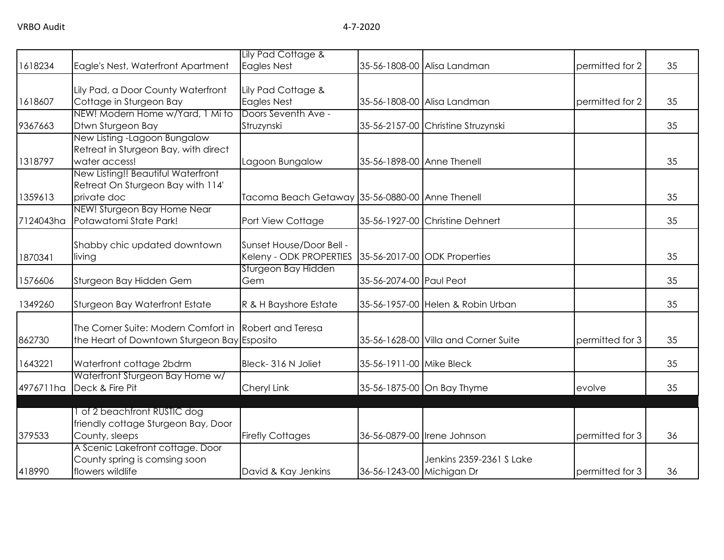|           |                                                                                                      | Lily Pad Cottage &                                  |                            |                                      |                 |    |
|-----------|------------------------------------------------------------------------------------------------------|-----------------------------------------------------|----------------------------|--------------------------------------|-----------------|----|
| 1618234   | Eagle's Nest, Waterfront Apartment                                                                   | <b>Eagles Nest</b>                                  |                            | 35-56-1808-00 Alisa Landman          | permitted for 2 | 35 |
| 1618607   | Lily Pad, a Door County Waterfront<br>Cottage in Sturgeon Bay                                        | Lily Pad Cottage &<br><b>Eagles Nest</b>            |                            | 35-56-1808-00 Alisa Landman          | permitted for 2 | 35 |
|           | NEW! Modern Home w/Yard, 1 Mi to                                                                     | Doors Seventh Ave -                                 |                            |                                      |                 |    |
| 9367663   | Dtwn Sturgeon Bay                                                                                    | Struzynski                                          |                            | 35-56-2157-00 Christine Struzynski   |                 | 35 |
| 1318797   | New Listing - Lagoon Bungalow<br>Retreat in Sturgeon Bay, with direct<br>water access!               | Lagoon Bungalow                                     | 35-56-1898-00 Anne Thenell |                                      |                 | 35 |
| 1359613   | New Listing!! Beautiful Waterfront<br>Retreat On Sturgeon Bay with 114'<br>private doc               | Tacoma Beach Getaway 35-56-0880-00 Anne Thenell     |                            |                                      |                 | 35 |
| 7124043ha | NEW! Sturgeon Bay Home Near<br>Potawatomi State Park!                                                | Port View Cottage                                   |                            | 35-56-1927-00 Christine Dehnert      |                 | 35 |
| 1870341   | Shabby chic updated downtown<br>living                                                               | Sunset House/Door Bell -<br>Keleny - ODK PROPERTIES |                            | 35-56-2017-00 ODK Properties         |                 | 35 |
| 1576606   | Sturgeon Bay Hidden Gem                                                                              | Sturgeon Bay Hidden<br>Gem                          | 35-56-2074-00 Paul Peot    |                                      |                 | 35 |
| 1349260   | Sturgeon Bay Waterfront Estate                                                                       | R & H Bayshore Estate                               |                            | 35-56-1957-00 Helen & Robin Urban    |                 | 35 |
| 862730    | The Corner Suite: Modern Comfort in Robert and Teresa<br>the Heart of Downtown Sturgeon Bay Esposito |                                                     |                            | 35-56-1628-00 Villa and Corner Suite | permitted for 3 | 35 |
| 1643221   | Waterfront cottage 2bdrm                                                                             | Bleck-316 N Joliet                                  | 35-56-1911-00 Mike Bleck   |                                      |                 | 35 |
| 4976711ha | Waterfront Sturgeon Bay Home w/<br>Deck & Fire Pit                                                   | Cheryl Link                                         |                            | 35-56-1875-00 On Bay Thyme           | evolve          | 35 |
| 379533    | 1 of 2 beachfront RUSTIC dog<br>friendly cottage Sturgeon Bay, Door<br>County, sleeps                | <b>Firefly Cottages</b>                             |                            | 36-56-0879-00 Irene Johnson          | permitted for 3 | 36 |
| 418990    | A Scenic Lakefront cottage. Door<br>County spring is comsing soon<br>flowers wildlife                | David & Kay Jenkins                                 | 36-56-1243-00 Michigan Dr  | Jenkins 2359-2361 S Lake             | permitted for 3 | 36 |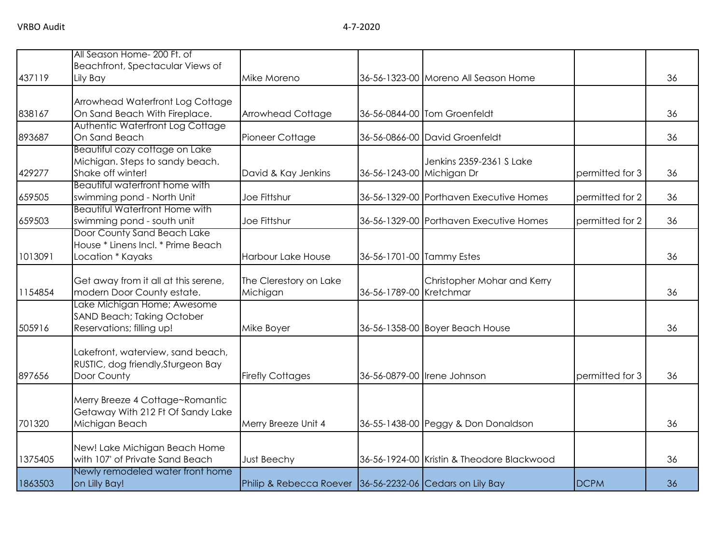|         | All Season Home- 200 Ft. of<br>Beachfront, Spectacular Views of                        |                                                          |                           |                                                                          |                 |    |
|---------|----------------------------------------------------------------------------------------|----------------------------------------------------------|---------------------------|--------------------------------------------------------------------------|-----------------|----|
| 437119  | Lily Bay                                                                               | Mike Moreno                                              |                           | 36-56-1323-00 Moreno All Season Home                                     |                 | 36 |
| 838167  | Arrowhead Waterfront Log Cottage<br>On Sand Beach With Fireplace.                      | <b>Arrowhead Cottage</b>                                 |                           | 36-56-0844-00 Tom Groenfeldt                                             |                 | 36 |
| 893687  | Authentic Waterfront Log Cottage<br>On Sand Beach                                      | Pioneer Cottage                                          |                           | 36-56-0866-00 David Groenfeldt                                           |                 | 36 |
| 429277  | Beautiful cozy cottage on Lake<br>Michigan. Steps to sandy beach.<br>Shake off winter! | David & Kay Jenkins                                      |                           | Jenkins 2359-2361 S Lake<br>36-56-1243-00 Michigan Dr<br>permitted for 3 |                 | 36 |
| 659505  | Beautiful waterfront home with<br>swimming pond - North Unit                           | Joe Fittshur                                             |                           | 36-56-1329-00 Porthaven Executive Homes<br>permitted for 2               |                 | 36 |
| 659503  | <b>Beautiful Waterfront Home with</b><br>swimming pond - south unit                    | Joe Fittshur                                             |                           | 36-56-1329-00 Porthaven Executive Homes                                  | permitted for 2 | 36 |
| 1013091 | Door County Sand Beach Lake<br>House * Linens Incl. * Prime Beach<br>Location * Kayaks | Harbour Lake House                                       | 36-56-1701-00 Tammy Estes |                                                                          |                 | 36 |
| 1154854 | Get away from it all at this serene,<br>modern Door County estate.                     | The Clerestory on Lake<br>Michigan                       | 36-56-1789-00 Kretchmar   | Christopher Mohar and Kerry                                              |                 | 36 |
| 505916  | Lake Michigan Home; Awesome<br>SAND Beach; Taking October<br>Reservations; filling up! | Mike Boyer                                               |                           | 36-56-1358-00 Boyer Beach House                                          |                 | 36 |
| 897656  | Lakefront, waterview, sand beach,<br>RUSTIC, dog friendly, Sturgeon Bay<br>Door County | <b>Firefly Cottages</b>                                  |                           | 36-56-0879-00 Irene Johnson                                              | permitted for 3 | 36 |
| 701320  | Merry Breeze 4 Cottage~Romantic<br>Getaway With 212 Ft Of Sandy Lake<br>Michigan Beach | Merry Breeze Unit 4                                      |                           | 36-55-1438-00 Peggy & Don Donaldson                                      |                 | 36 |
| 1375405 | New! Lake Michigan Beach Home<br>with 107' of Private Sand Beach                       | Just Beechy                                              |                           | 36-56-1924-00 Kristin & Theodore Blackwood                               |                 | 36 |
| 1863503 | Newly remodeled water front home<br>on Lilly Bay!                                      | Philip & Rebecca Roever 36-56-2232-06 Cedars on Lily Bay |                           |                                                                          | <b>DCPM</b>     | 36 |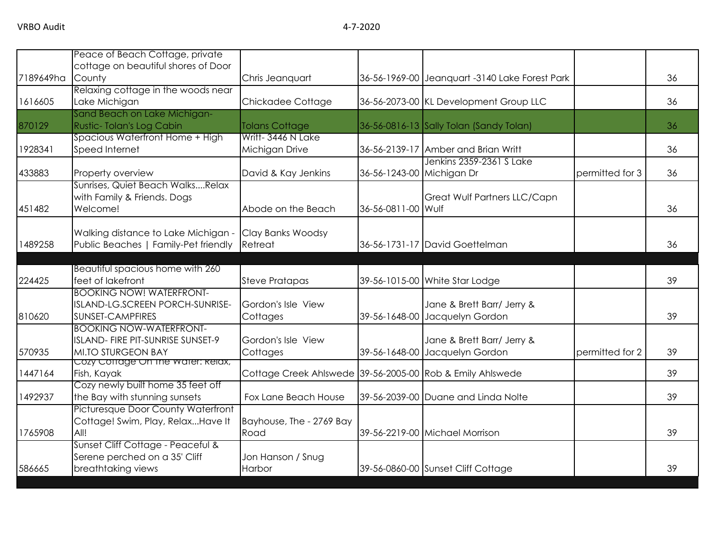|           | Peace of Beach Cottage, private                                |                                                           |                           |                                                |                 |    |
|-----------|----------------------------------------------------------------|-----------------------------------------------------------|---------------------------|------------------------------------------------|-----------------|----|
|           | cottage on beautiful shores of Door                            |                                                           |                           |                                                |                 |    |
| 7189649ha | County                                                         | Chris Jeanquart                                           |                           | 36-56-1969-00 Jeanquart -3140 Lake Forest Park |                 | 36 |
|           | Relaxing cottage in the woods near                             |                                                           |                           |                                                |                 |    |
| 1616605   | Lake Michigan                                                  | Chickadee Cottage                                         |                           | 36-56-2073-00 KL Development Group LLC         |                 | 36 |
|           | Sand Beach on Lake Michigan-                                   |                                                           |                           |                                                |                 |    |
| 870129    | Rustic-Tolan's Log Cabin                                       | <b>Tolans Cottage</b>                                     |                           | 36-56-0816-13 Sally Tolan (Sandy Tolan)        |                 | 36 |
|           | Spacious Waterfront Home + High                                | Writt-3446 N Lake                                         |                           |                                                |                 |    |
| 1928341   | Speed Internet                                                 | Michigan Drive                                            |                           | 36-56-2139-17 Amber and Brian Writt            |                 | 36 |
|           |                                                                |                                                           |                           | Jenkins 2359-2361 S Lake                       |                 |    |
| 433883    | Property overview                                              | David & Kay Jenkins                                       | 36-56-1243-00 Michigan Dr |                                                | permitted for 3 | 36 |
|           | Sunrises, Quiet Beach WalksRelax                               |                                                           |                           |                                                |                 |    |
|           | with Family & Friends. Dogs                                    |                                                           |                           | Great Wulf Partners LLC/Capn                   |                 |    |
| 451482    | Welcome!                                                       | Abode on the Beach                                        | 36-56-0811-00 Wulf        |                                                |                 | 36 |
|           |                                                                |                                                           |                           |                                                |                 |    |
|           | Walking distance to Lake Michigan -                            | Clay Banks Woodsy                                         |                           |                                                |                 |    |
| 1489258   | Public Beaches   Family-Pet friendly                           | Retreat                                                   |                           | 36-56-1731-17 David Goettelman                 |                 | 36 |
|           |                                                                |                                                           |                           |                                                |                 |    |
|           | Beautiful spacious home with 260                               |                                                           |                           |                                                |                 |    |
| 224425    | feet of lakefront                                              | <b>Steve Pratapas</b>                                     |                           | 39-56-1015-00 White Star Lodge                 |                 | 39 |
|           | <b>BOOKING NOW! WATERFRONT-</b>                                |                                                           |                           |                                                |                 |    |
|           | ISLAND-LG.SCREEN PORCH-SUNRISE-                                | Gordon's Isle View                                        |                           | Jane & Brett Barr/ Jerry &                     |                 |    |
| 810620    | SUNSET-CAMPFIRES                                               | Cottages                                                  |                           | 39-56-1648-00 Jacquelyn Gordon                 |                 | 39 |
|           | <b>BOOKING NOW-WATERFRONT-</b>                                 |                                                           |                           |                                                |                 |    |
|           | ISLAND- FIRE PIT-SUNRISE SUNSET-9                              | Gordon's Isle View                                        |                           | Jane & Brett Barr/ Jerry &                     |                 |    |
| 570935    | <b>MI.TO STURGEON BAY</b><br>Cozy Corrage On the water: Relax, | Cottages                                                  |                           | 39-56-1648-00 Jacquelyn Gordon                 | permitted for 2 | 39 |
| 1447164   | Fish, Kayak                                                    | Cottage Creek Ahlswede 39-56-2005-00 Rob & Emily Ahlswede |                           |                                                |                 | 39 |
|           | Cozy newly built home 35 feet off                              |                                                           |                           |                                                |                 |    |
| 1492937   | the Bay with stunning sunsets                                  | Fox Lane Beach House                                      |                           | 39-56-2039-00 Duane and Linda Nolte            |                 | 39 |
|           | <b>Picturesque Door County Waterfront</b>                      |                                                           |                           |                                                |                 |    |
|           | Cottage! Swim, Play, RelaxHave It                              | Bayhouse, The - 2769 Bay                                  |                           |                                                |                 |    |
| 1765908   | All!                                                           | Road                                                      |                           | 39-56-2219-00 Michael Morrison                 |                 | 39 |
|           | Sunset Cliff Cottage - Peaceful &                              |                                                           |                           |                                                |                 |    |
|           | Serene perched on a 35' Cliff                                  | Jon Hanson / Snug                                         |                           |                                                |                 |    |
| 586665    | breathtaking views                                             | Harbor                                                    |                           | 39-56-0860-00 Sunset Cliff Cottage             |                 | 39 |
|           |                                                                |                                                           |                           |                                                |                 |    |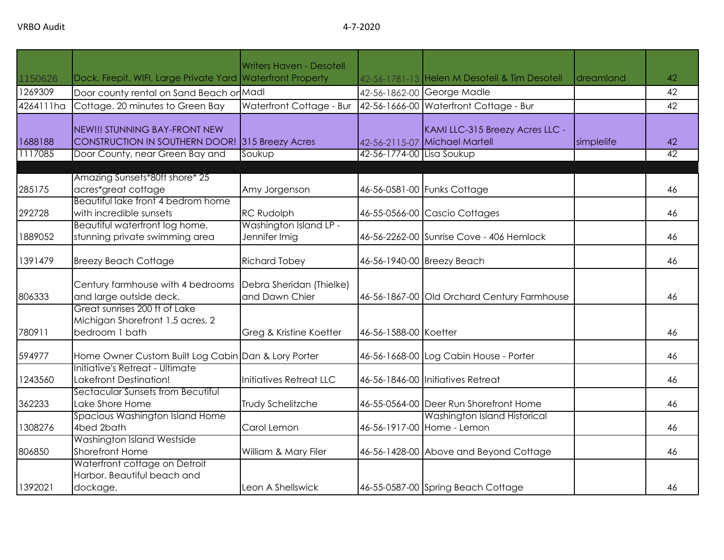|           |                                                                                     | <b>Writers Haven - Desotell</b>            |                           |                                               |            |                 |
|-----------|-------------------------------------------------------------------------------------|--------------------------------------------|---------------------------|-----------------------------------------------|------------|-----------------|
| 1150626   | Dock, Firepit, WIFI, Large Private Yard Waterfront Property                         |                                            |                           | 42-56-1781-13 Helen M Desotell & Tim Desotell | dreamland  | 42              |
| 1269309   | Door county rental on Sand Beach or Madl                                            |                                            |                           | 42-56-1862-00 George Madle                    |            | 42              |
| 4264111ha | Cottage. 20 minutes to Green Bay                                                    | Waterfront Cottage - Bur                   |                           | 42-56-1666-00 Waterfront Cottage - Bur        |            | 42              |
|           |                                                                                     |                                            |                           |                                               |            |                 |
|           | NEW!!! STUNNING BAY-FRONT NEW                                                       |                                            |                           | KAMI LLC-315 Breezy Acres LLC -               |            |                 |
| 1688188   | CONSTRUCTION IN SOUTHERN DOOR! 315 Breezy Acres                                     |                                            |                           | 42-56-2115-07 Michael Martell                 | simplelife | 42              |
| 1117085   | Door County, near Green Bay and                                                     | Soukup                                     | 42-56-1774-00 Lisa Soukup |                                               |            | $\overline{42}$ |
|           | Amazing Sunsets*80ft shore* 25                                                      |                                            |                           |                                               |            |                 |
| 285175    | acres*great cottage                                                                 | Amy Jorgenson                              |                           | 46-56-0581-00 Funks Cottage                   |            | 46              |
|           | Beautiful lake front 4 bedrom home                                                  |                                            |                           |                                               |            |                 |
| 292728    | with incredible sunsets                                                             | <b>RC Rudolph</b>                          |                           | 46-55-0566-00 Cascio Cottages                 |            | 46              |
|           | Beautiful waterfront log home,                                                      | Washington Island LP -                     |                           |                                               |            |                 |
| 1889052   | stunning private swimming area                                                      | Jennifer Imig                              |                           | 46-56-2262-00 Sunrise Cove - 406 Hemlock      |            | 46              |
| 1391479   | <b>Breezy Beach Cottage</b>                                                         | <b>Richard Tobey</b>                       |                           | 46-56-1940-00 Breezy Beach                    |            | 46              |
| 806333    | Century farmhouse with 4 bedrooms<br>and large outside deck.                        | Debra Sheridan (Thielke)<br>and Dawn Chier |                           | 46-56-1867-00 Old Orchard Century Farmhouse   |            | 46              |
| 780911    | Great sunrises 200 ft of Lake<br>Michigan Shorefront 1.5 acres, 2<br>bedroom 1 bath | Greg & Kristine Koetter                    | 46-56-1588-00 Koetter     |                                               |            | 46              |
| 594977    | Home Owner Custom Built Log Cabin Dan & Lory Porter                                 |                                            |                           | 46-56-1668-00 Log Cabin House - Porter        |            | 46              |
| 1243560   | Initiative's Retreat - Ultimate<br>Lakefront Destination!                           | Initiatives Retreat LLC                    |                           | 46-56-1846-00 Initiatives Retreat             |            | 46              |
| 362233    | Sectacular Sunsets from Becutiful<br>Lake Shore Home                                | Trudy Schelitzche                          |                           | 46-55-0564-00 Deer Run Shorefront Home        |            | 46              |
|           | Spacious Washington Island Home                                                     |                                            |                           | Washington Island Historical                  |            |                 |
| 1308276   | 4bed 2bath                                                                          | Carol Lemon                                |                           | 46-56-1917-00 Home - Lemon                    |            | 46              |
| 806850    | Washington Island Westside<br><b>Shorefront Home</b>                                | William & Mary Filer                       |                           | 46-56-1428-00 Above and Beyond Cottage        |            | 46              |
| 1392021   | Waterfront cottage on Detroit<br>Harbor. Beautiful beach and<br>dockage.            | Leon A Shellswick                          |                           | 46-55-0587-00 Spring Beach Cottage            |            | 46              |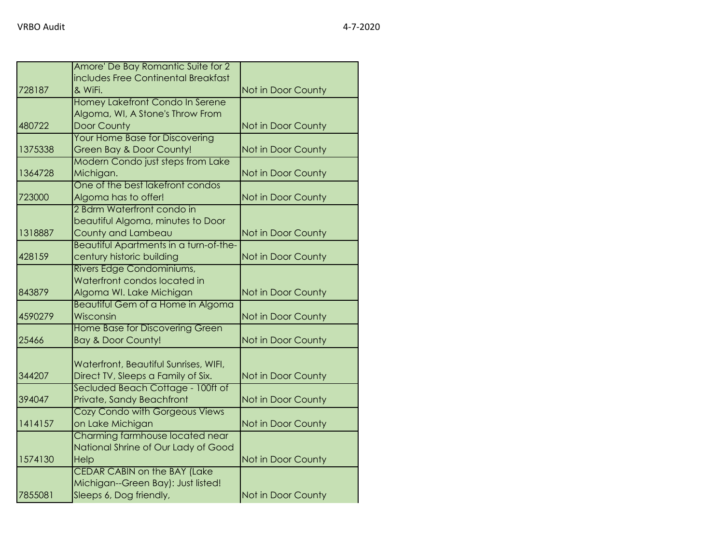|         | Amore' De Bay Romantic Suite for 2                        |                    |
|---------|-----------------------------------------------------------|--------------------|
|         | includes Free Continental Breakfast                       |                    |
| 728187  | & WiFi.                                                   | Not in Door County |
|         | Homey Lakefront Condo In Serene                           |                    |
|         | Algoma, WI, A Stone's Throw From                          |                    |
| 480722  | Door County                                               | Not in Door County |
|         | Your Home Base for Discovering                            |                    |
| 1375338 | Green Bay & Door County!                                  | Not in Door County |
|         | Modern Condo just steps from Lake                         |                    |
| 1364728 | Michigan.                                                 | Not in Door County |
|         | One of the best lakefront condos                          |                    |
| 723000  | Algoma has to offer!                                      | Not in Door County |
|         | 2 Bdrm Waterfront condo in                                |                    |
|         | beautiful Algoma, minutes to Door                         |                    |
| 1318887 | County and Lambeau                                        | Not in Door County |
|         | Beautiful Apartments in a turn-of-the-                    |                    |
| 428159  | century historic building                                 | Not in Door County |
|         | Rivers Edge Condominiums,<br>Waterfront condos located in |                    |
| 843879  | Algoma WI. Lake Michigan                                  | Not in Door County |
|         | <b>Beautiful Gem of a Home in Algoma</b>                  |                    |
| 4590279 | Wisconsin                                                 | Not in Door County |
|         | Home Base for Discovering Green                           |                    |
| 25466   | <b>Bay &amp; Door County!</b>                             | Not in Door County |
|         |                                                           |                    |
|         | Waterfront, Beautiful Sunrises, WIFI,                     |                    |
| 344207  | Direct TV, Sleeps a Family of Six.                        | Not in Door County |
|         | Secluded Beach Cottage - 100ft of                         |                    |
| 394047  | Private, Sandy Beachfront                                 | Not in Door County |
|         | Cozy Condo with Gorgeous Views                            |                    |
| 1414157 | on Lake Michigan                                          | Not in Door County |
|         | Charming farmhouse located near                           |                    |
|         | National Shrine of Our Lady of Good                       |                    |
| 1574130 | Help                                                      | Not in Door County |
|         | <b>CEDAR CABIN on the BAY (Lake</b>                       |                    |
|         | Michigan--Green Bay): Just listed!                        |                    |
| 7855081 | Sleeps 6, Dog friendly,                                   | Not in Door County |